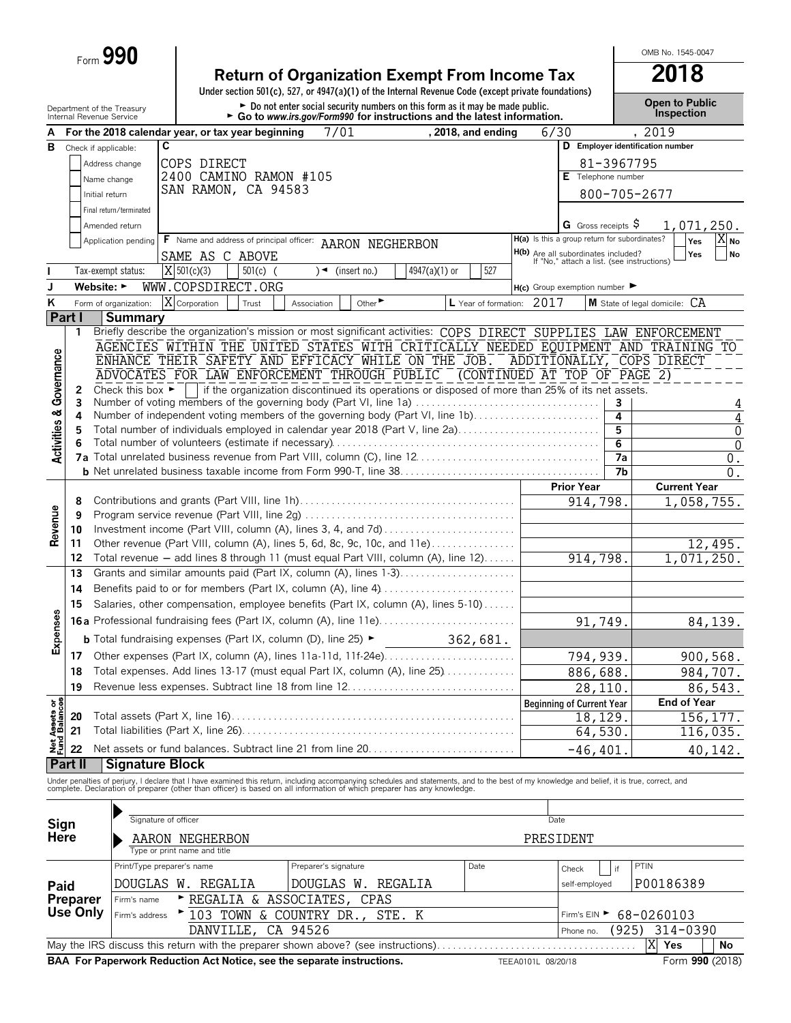|                                        |          | Form 990                                               |                              |            |                                                                                                                                                                                                                                   |                               |                 |                      |      |                                                                                          |                | OMB No. 1545-0047                                                                                                |
|----------------------------------------|----------|--------------------------------------------------------|------------------------------|------------|-----------------------------------------------------------------------------------------------------------------------------------------------------------------------------------------------------------------------------------|-------------------------------|-----------------|----------------------|------|------------------------------------------------------------------------------------------|----------------|------------------------------------------------------------------------------------------------------------------|
|                                        |          |                                                        |                              |            | <b>Return of Organization Exempt From Income Tax</b>                                                                                                                                                                              |                               |                 |                      |      |                                                                                          |                | 2018                                                                                                             |
|                                        |          |                                                        |                              |            | Under section 501(c), 527, or 4947(a)(1) of the Internal Revenue Code (except private foundations)                                                                                                                                |                               |                 |                      |      |                                                                                          |                |                                                                                                                  |
|                                        |          | Department of the Treasury<br>Internal Revenue Service |                              |            | Do not enter social security numbers on this form as it may be made public.<br>$\triangleright$ Go to www.irs.gov/Form990 for instructions and the latest information.                                                            |                               |                 |                      |      |                                                                                          |                | <b>Open to Public</b><br><b>Inspection</b>                                                                       |
| A                                      |          | For the 2018 calendar year, or tax year beginning      |                              |            | 7/01                                                                                                                                                                                                                              |                               |                 | , 2018, and ending   |      | 6/30                                                                                     |                | , 2019                                                                                                           |
| в                                      |          | Check if applicable:                                   | C                            |            |                                                                                                                                                                                                                                   |                               |                 |                      |      |                                                                                          |                | D Employer identification number                                                                                 |
|                                        |          | Address change                                         | COPS DIRECT                  |            |                                                                                                                                                                                                                                   |                               |                 |                      |      |                                                                                          | 81-3967795     |                                                                                                                  |
|                                        |          | Name change                                            |                              |            | 2400 CAMINO RAMON #105                                                                                                                                                                                                            |                               |                 |                      |      | $E$ Telephone number                                                                     |                |                                                                                                                  |
|                                        |          | Initial return                                         | SAN RAMON, CA 94583          |            |                                                                                                                                                                                                                                   |                               |                 |                      |      |                                                                                          |                | 800-705-2677                                                                                                     |
|                                        |          | Final return/terminated                                |                              |            |                                                                                                                                                                                                                                   |                               |                 |                      |      |                                                                                          |                |                                                                                                                  |
|                                        |          | Amended return                                         |                              |            |                                                                                                                                                                                                                                   |                               |                 |                      |      | <b>G</b> Gross receipts $\varsigma$<br>H(a) Is this a group return for subordinates?     |                | 1,071,250.                                                                                                       |
|                                        |          | Application pending                                    | SAME AS C ABOVE              |            | F Name and address of principal officer: AARON NEGHERBON                                                                                                                                                                          |                               |                 |                      |      |                                                                                          |                | XI No<br>Yes<br>Yes<br>No                                                                                        |
|                                        |          | Tax-exempt status:                                     | X 501(c)(3)                  | $501(c)$ ( |                                                                                                                                                                                                                                   | $\sqrt{\bullet}$ (insert no.) | $4947(a)(1)$ or | 527                  |      | <b>H(b)</b> Are all subordinates included?<br>If "No," attach a list. (see instructions) |                |                                                                                                                  |
| J                                      |          | Website: $\blacktriangleright$                         | WWW.COPSDIRECT.ORG           |            |                                                                                                                                                                                                                                   |                               |                 |                      |      | $H(c)$ Group exemption number                                                            |                |                                                                                                                  |
| ĸ                                      |          | Form of organization:                                  | <b>X</b> Corporation         | Trust      | Association                                                                                                                                                                                                                       | Other <sup>&gt;</sup>         |                 | L Year of formation: | 2017 |                                                                                          |                | $M$ State of legal domicile: $CA$                                                                                |
|                                        | Part I   | <b>Summary</b>                                         |                              |            |                                                                                                                                                                                                                                   |                               |                 |                      |      |                                                                                          |                |                                                                                                                  |
|                                        | 1        |                                                        |                              |            |                                                                                                                                                                                                                                   |                               |                 |                      |      |                                                                                          |                | Briefly describe the organization's mission or most significant activities: COPS DIRECT SUPPLIES LAW ENFORCEMENT |
|                                        |          |                                                        |                              |            |                                                                                                                                                                                                                                   |                               |                 |                      |      |                                                                                          |                | AGENCIES WITHIN THE UNITED STATES WITH CRITICALLY NEEDED EQUIPMENT AND TRAINING TO                               |
|                                        |          |                                                        |                              |            |                                                                                                                                                                                                                                   |                               |                 |                      |      |                                                                                          |                | ENHANCE THEIR SAFETY AND EFFICACY WHILE ON THE JOB. ADDITIONALLY, COPS DIRECT                                    |
| Governance                             | 2        | Check this box $\blacktriangleright$                   |                              |            | ADVOCATES FOR LAW ENFORCEMENT THROUGH PUBLIC (CONTINUED AT TOP OF PAGE 2)<br>if the organization discontinued its operations or disposed of more than 25% of its net assets.                                                      |                               |                 |                      |      |                                                                                          |                |                                                                                                                  |
|                                        | 3        |                                                        |                              |            | Number of voting members of the governing body (Part VI, line 1a)                                                                                                                                                                 |                               |                 |                      |      |                                                                                          | 3              | 4                                                                                                                |
|                                        | 4        |                                                        |                              |            | Number of independent voting members of the governing body (Part VI, line 1b)                                                                                                                                                     |                               |                 |                      |      |                                                                                          | 4              | $\overline{4}$                                                                                                   |
|                                        | 5        |                                                        |                              |            | Total number of individuals employed in calendar year 2018 (Part V, line 2a)                                                                                                                                                      |                               |                 |                      |      |                                                                                          | 5              | $\mathbf 0$                                                                                                      |
| <b>Activities &amp;</b>                | 6        |                                                        |                              |            |                                                                                                                                                                                                                                   |                               |                 |                      |      |                                                                                          | 6<br>7a        | $\overline{0}$                                                                                                   |
|                                        |          |                                                        |                              |            |                                                                                                                                                                                                                                   |                               |                 |                      |      |                                                                                          | 7 <sub>b</sub> | $0$ .<br>0.                                                                                                      |
|                                        |          |                                                        |                              |            |                                                                                                                                                                                                                                   |                               |                 |                      |      | <b>Prior Year</b>                                                                        |                | <b>Current Year</b>                                                                                              |
|                                        | 8        |                                                        |                              |            |                                                                                                                                                                                                                                   |                               |                 |                      |      | 914,798.                                                                                 |                | 1,058,755.                                                                                                       |
| Revenue                                | 9        |                                                        |                              |            |                                                                                                                                                                                                                                   |                               |                 |                      |      |                                                                                          |                |                                                                                                                  |
|                                        | 10       |                                                        |                              |            | Investment income (Part VIII, column (A), lines 3, 4, and 7d)                                                                                                                                                                     |                               |                 |                      |      |                                                                                          |                |                                                                                                                  |
|                                        | 11<br>12 |                                                        |                              |            | Other revenue (Part VIII, column (A), lines 5, 6d, 8c, 9c, 10c, and 11e)<br>Total revenue - add lines 8 through 11 (must equal Part VIII, column (A), line 12)                                                                    |                               |                 |                      |      | 914,798.                                                                                 |                | 12,495.<br>1,071,250.                                                                                            |
|                                        | 13       |                                                        |                              |            | Grants and similar amounts paid (Part IX, column (A), lines 1-3)                                                                                                                                                                  |                               |                 |                      |      |                                                                                          |                |                                                                                                                  |
|                                        | 14       |                                                        |                              |            |                                                                                                                                                                                                                                   |                               |                 |                      |      |                                                                                          |                |                                                                                                                  |
|                                        | 15       |                                                        |                              |            | Salaries, other compensation, employee benefits (Part IX, column (A), lines 5-10)                                                                                                                                                 |                               |                 |                      |      |                                                                                          |                |                                                                                                                  |
| ęδ                                     |          |                                                        |                              |            | 16a Professional fundraising fees (Part IX, column (A), line 11e)                                                                                                                                                                 |                               |                 |                      |      | 91,749.                                                                                  |                | 84,139.                                                                                                          |
| Expense                                |          |                                                        |                              |            | <b>b</b> Total fundraising expenses (Part IX, column (D), line 25) ►                                                                                                                                                              |                               |                 | 362,681.             |      |                                                                                          |                |                                                                                                                  |
|                                        | 17       |                                                        |                              |            |                                                                                                                                                                                                                                   |                               |                 |                      |      | 794,939.                                                                                 |                | 900, 568.                                                                                                        |
|                                        | 18       |                                                        |                              |            | Total expenses. Add lines 13-17 (must equal Part IX, column (A), line 25)                                                                                                                                                         |                               |                 |                      |      | 886,688.                                                                                 |                | 984,707.                                                                                                         |
|                                        | 19       |                                                        |                              |            | Revenue less expenses. Subtract line 18 from line 12                                                                                                                                                                              |                               |                 |                      |      | 28,110.                                                                                  |                | 86,543.                                                                                                          |
|                                        |          |                                                        |                              |            |                                                                                                                                                                                                                                   |                               |                 |                      |      | <b>Beginning of Current Year</b>                                                         |                | <b>End of Year</b>                                                                                               |
|                                        | 20       |                                                        |                              |            |                                                                                                                                                                                                                                   |                               |                 |                      |      | $\overline{18}$ , 129.                                                                   |                | 156,177.                                                                                                         |
| <b>Net Assets or<br/>Fund Balances</b> | 21       |                                                        |                              |            |                                                                                                                                                                                                                                   |                               |                 |                      |      | 64,530.                                                                                  |                | 116,035.                                                                                                         |
|                                        | 22       |                                                        |                              |            |                                                                                                                                                                                                                                   |                               |                 |                      |      | $-46, 401$                                                                               |                | 40,142.                                                                                                          |
|                                        | Part II  | <b>Signature Block</b>                                 |                              |            |                                                                                                                                                                                                                                   |                               |                 |                      |      |                                                                                          |                |                                                                                                                  |
|                                        |          |                                                        |                              |            | Under penalties of perjury, I declare that I have examined this return, including accompanying schedules and statements, and to the best of my knowledge and belief, it is true, correct, and<br>complete. Declaration of prepare |                               |                 |                      |      |                                                                                          |                |                                                                                                                  |
|                                        |          |                                                        |                              |            |                                                                                                                                                                                                                                   |                               |                 |                      |      |                                                                                          |                |                                                                                                                  |
| Sign                                   |          |                                                        | Signature of officer         |            |                                                                                                                                                                                                                                   |                               |                 |                      |      | Date                                                                                     |                |                                                                                                                  |
| Here                                   |          |                                                        | AARON NEGHERBON              |            |                                                                                                                                                                                                                                   |                               |                 |                      |      | PRESIDENT                                                                                |                |                                                                                                                  |
|                                        |          |                                                        | Type or print name and title |            |                                                                                                                                                                                                                                   |                               |                 |                      |      |                                                                                          |                |                                                                                                                  |

|                                                                                              | Print/Type preparer's name                                                       | Preparer's signature                        | $\overline{ }$ if<br>Check | PTIN      |  |  |  |  |  |  |  |
|----------------------------------------------------------------------------------------------|----------------------------------------------------------------------------------|---------------------------------------------|----------------------------|-----------|--|--|--|--|--|--|--|
| Paid<br>Preparer                                                                             | DOUGLAS W. REGALIA<br>DOUGLAS W. REGALIA                                         |                                             | self-employed              | P00186389 |  |  |  |  |  |  |  |
|                                                                                              | Exegalia & ASSOCIATES, CPAS<br>Firm's name                                       |                                             |                            |           |  |  |  |  |  |  |  |
|                                                                                              | Use Only $ F_{\text{Firm's address}} \rightarrow 103$ TOWN & COUNTRY DR., STE. K | Firm's EIN $\blacktriangleright$ 68-0260103 |                            |           |  |  |  |  |  |  |  |
|                                                                                              | DANVILLE, CA 94526                                                               | $(925)$ 314-0390<br>Phone no.               |                            |           |  |  |  |  |  |  |  |
|                                                                                              | ΙX<br>Yes<br>No                                                                  |                                             |                            |           |  |  |  |  |  |  |  |
| BAA For Paperwork Reduction Act Notice, see the separate instructions.<br>TEEA0101L 08/20/18 |                                                                                  |                                             |                            |           |  |  |  |  |  |  |  |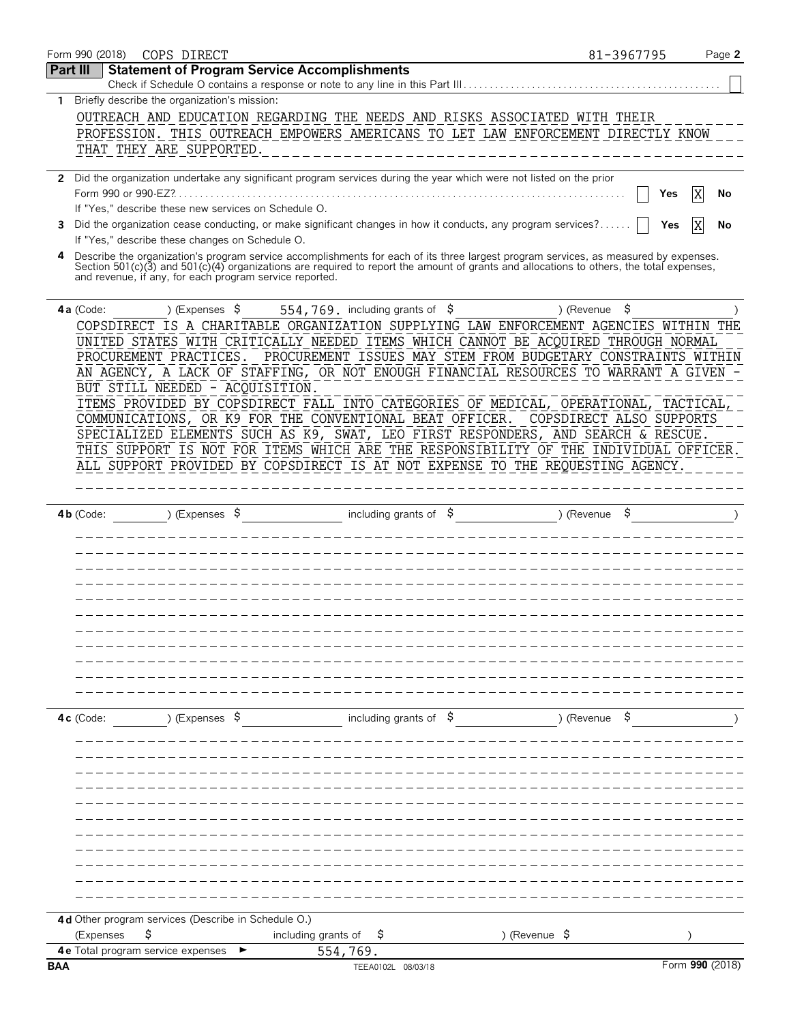| Form 990 (2018) | COPS DIRECT                                                                                                                                                                                         |                                  | 81-3967795                                                    | Page 2          |
|-----------------|-----------------------------------------------------------------------------------------------------------------------------------------------------------------------------------------------------|----------------------------------|---------------------------------------------------------------|-----------------|
| <b>Part III</b> | <b>Statement of Program Service Accomplishments</b><br>Check if Schedule O contains a response or note to any line in this Part III                                                                 |                                  |                                                               |                 |
| $\mathbf{1}$    | Briefly describe the organization's mission:                                                                                                                                                        |                                  |                                                               |                 |
|                 | OUTREACH AND EDUCATION REGARDING THE NEEDS AND RISKS ASSOCIATED WITH THEIR                                                                                                                          |                                  |                                                               |                 |
|                 |                                                                                                                                                                                                     |                                  |                                                               |                 |
|                 | PROFESSION. THIS OUTREACH EMPOWERS AMERICANS TO LET LAW ENFORCEMENT DIRECTLY KNOW                                                                                                                   |                                  |                                                               |                 |
|                 | THAT THEY ARE SUPPORTED.                                                                                                                                                                            |                                  |                                                               |                 |
|                 | 2 Did the organization undertake any significant program services during the year which were not listed on the prior                                                                                |                                  |                                                               |                 |
|                 |                                                                                                                                                                                                     |                                  |                                                               | Yes<br>No       |
|                 | If "Yes," describe these new services on Schedule O.                                                                                                                                                |                                  |                                                               |                 |
| 3               | Did the organization cease conducting, or make significant changes in how it conducts, any program services?                                                                                        |                                  |                                                               | Yes             |
|                 | If "Yes," describe these changes on Schedule O.                                                                                                                                                     |                                  |                                                               |                 |
| 4               | Describe the organization's program service accomplishments for each of its three largest program services, as measured by expenses.                                                                |                                  |                                                               |                 |
|                 | Section 501(c)(3) and 501(c)(4) organizations are required to report the amount of grants and allocations to others, the total expenses,<br>and revenue, if any, for each program service reported. |                                  |                                                               |                 |
| 4a (Code:       | ) (Expenses $\sqrt{5}$                                                                                                                                                                              | 554,769. including grants of $$$ | \$<br>) (Revenue                                              |                 |
|                 | COPSDIRECT IS A CHARITABLE ORGANIZATION SUPPLYING LAW ENFORCEMENT AGENCIES WITHIN                                                                                                                   |                                  |                                                               | THE             |
|                 | UNITED STATES WITH CRITICALLY NEEDED ITEMS WHICH CANNOT BE ACQUIRED THROUGH NORMAL                                                                                                                  |                                  |                                                               |                 |
|                 | PROCUREMENT PRACTICES.                                                                                                                                                                              |                                  | PROCUREMENT ISSUES MAY STEM FROM BUDGETARY CONSTRAINTS WITHIN |                 |
|                 | AN AGENCY, A LACK OF STAFFING, OR NOT ENOUGH FINANCIAL RESOURCES TO WARRANT A GIVEN                                                                                                                 |                                  |                                                               |                 |
|                 | BUT STILL NEEDED - ACQUISITION.                                                                                                                                                                     |                                  |                                                               |                 |
|                 | ITEMS PROVIDED BY COPSDIRECT FALL INTO CATEGORIES OF MEDICAL, OPERATIONAL, TACTICAL                                                                                                                 |                                  |                                                               |                 |
|                 | COMMUNICATIONS, OR K9 FOR THE CONVENTIONAL BEAT OFFICER.                                                                                                                                            |                                  | COPSDIRECT ALSO SUPPORTS                                      |                 |
|                 | SPECIALIZED ELEMENTS SUCH AS K9, SWAT, LEO FIRST RESPONDERS, AND SEARCH & RESCUE.                                                                                                                   |                                  |                                                               |                 |
|                 | THIS SUPPORT IS NOT FOR ITEMS WHICH ARE THE RESPONSIBILITY OF THE INDIVIDUAL OFFICER.                                                                                                               |                                  |                                                               |                 |
|                 | ALL SUPPORT PROVIDED BY COPSDIRECT IS AT NOT EXPENSE TO THE REQUESTING AGENCY.                                                                                                                      |                                  |                                                               |                 |
|                 |                                                                                                                                                                                                     |                                  |                                                               |                 |
|                 |                                                                                                                                                                                                     |                                  |                                                               |                 |
| $4b$ (Code:     | ) (Expenses $\sqrt{5}$                                                                                                                                                                              | including grants of $$$          | ) (Revenue                                                    |                 |
|                 |                                                                                                                                                                                                     |                                  |                                                               |                 |
|                 |                                                                                                                                                                                                     |                                  |                                                               |                 |
|                 |                                                                                                                                                                                                     |                                  |                                                               |                 |
|                 |                                                                                                                                                                                                     |                                  |                                                               |                 |
|                 |                                                                                                                                                                                                     |                                  |                                                               |                 |
|                 |                                                                                                                                                                                                     |                                  |                                                               |                 |
|                 |                                                                                                                                                                                                     |                                  |                                                               |                 |
|                 |                                                                                                                                                                                                     |                                  |                                                               |                 |
|                 |                                                                                                                                                                                                     |                                  |                                                               |                 |
|                 |                                                                                                                                                                                                     |                                  |                                                               |                 |
|                 |                                                                                                                                                                                                     |                                  |                                                               |                 |
|                 |                                                                                                                                                                                                     |                                  |                                                               |                 |
| $4c$ (Code:     | ) (Expenses $\sqrt{5}$                                                                                                                                                                              | including grants of $\$$         | ) (Revenue                                                    |                 |
|                 |                                                                                                                                                                                                     |                                  |                                                               |                 |
|                 |                                                                                                                                                                                                     |                                  |                                                               |                 |
|                 |                                                                                                                                                                                                     |                                  |                                                               |                 |
|                 |                                                                                                                                                                                                     |                                  |                                                               |                 |
|                 |                                                                                                                                                                                                     |                                  |                                                               |                 |
|                 |                                                                                                                                                                                                     |                                  |                                                               |                 |
|                 |                                                                                                                                                                                                     |                                  |                                                               |                 |
|                 |                                                                                                                                                                                                     |                                  |                                                               |                 |
|                 |                                                                                                                                                                                                     |                                  |                                                               |                 |
|                 |                                                                                                                                                                                                     |                                  |                                                               |                 |
|                 |                                                                                                                                                                                                     |                                  |                                                               |                 |
|                 |                                                                                                                                                                                                     |                                  |                                                               |                 |
|                 | 4 d Other program services (Describe in Schedule O.)                                                                                                                                                |                                  |                                                               |                 |
| (Expenses       | \$                                                                                                                                                                                                  | including grants of<br>Ş         | ) (Revenue $\frac{1}{2}$                                      |                 |
|                 | 4e Total program service expenses                                                                                                                                                                   | 554,769.                         |                                                               |                 |
|                 |                                                                                                                                                                                                     | TEEA0102L 08/03/18               |                                                               | Form 990 (2018) |
| <b>BAA</b>      |                                                                                                                                                                                                     |                                  |                                                               |                 |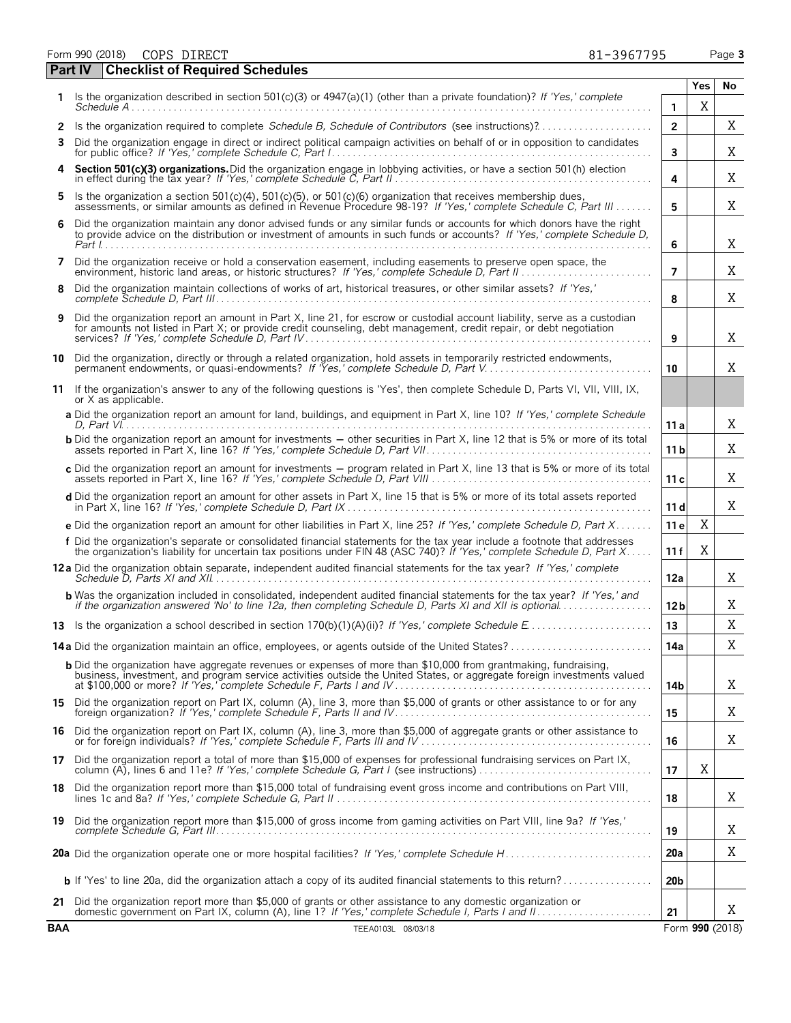Form 990 (2018) Page **3** COPS DIRECT 81-3967795 **Part IV Checklist of Required Schedules**

|    |                                                                                                                                                                                                                                                     |                | Yes | No |
|----|-----------------------------------------------------------------------------------------------------------------------------------------------------------------------------------------------------------------------------------------------------|----------------|-----|----|
|    | Is the organization described in section 501(c)(3) or $4947(a)(1)$ (other than a private foundation)? If 'Yes,' complete<br>Schedule A                                                                                                              | 1              | Χ   |    |
|    |                                                                                                                                                                                                                                                     | $\overline{2}$ |     | Χ  |
| 3  | Did the organization engage in direct or indirect political campaign activities on behalf of or in opposition to candidates                                                                                                                         | 3              |     | Χ  |
| 4  | Section 501(c)(3) organizations. Did the organization engage in lobbying activities, or have a section 501(h) election                                                                                                                              | 4              |     | Χ  |
| 5. | Is the organization a section 501(c)(4), 501(c)(5), or 501(c)(6) organization that receives membership dues,<br>assessments, or similar amounts as defined in Revenue Procedure 98-19? If 'Yes,' complete Schedule C, Part III                      | 5              |     | X  |
| 6  | Did the organization maintain any donor advised funds or any similar funds or accounts for which donors have the right<br>to provide advice on the distribution or investment of amounts in such funds or accounts? If 'Yes,' complete Schedule D,  | 6              |     | Χ  |
| 7  | Did the organization receive or hold a conservation easement, including easements to preserve open space, the                                                                                                                                       | 7              |     | Χ  |
| 8  | Did the organization maintain collections of works of art, historical treasures, or other similar assets? If 'Yes,'                                                                                                                                 | 8              |     | Χ  |
| 9  | Did the organization report an amount in Part X, line 21, for escrow or custodial account liability, serve as a custodian<br>for amounts not listed in Part X; or provide credit counseling, debt management, credit repair, or debt negotiation    | 9              |     | Χ  |
| 10 | Did the organization, directly or through a related organization, hold assets in temporarily restricted endowments,<br>permanent endowments, or quasi-endowments? If 'Yes,' complete Schedule D, Part V.                                            | 10             |     | Χ  |
| 11 | If the organization's answer to any of the following questions is 'Yes', then complete Schedule D. Parts VI, VII, VIII, IX,<br>or X as applicable.                                                                                                  |                |     |    |
|    | a Did the organization report an amount for land, buildings, and equipment in Part X, line 10? If 'Yes,' complete Schedule                                                                                                                          | 11 a           |     | Χ  |
|    | <b>b</b> Did the organization report an amount for investments – other securities in Part X, line 12 that is 5% or more of its total                                                                                                                | 11 b           |     | Χ  |
|    | c Did the organization report an amount for investments – program related in Part X, line 13 that is 5% or more of its total                                                                                                                        | 11 c           |     | Χ  |
|    | d Did the organization report an amount for other assets in Part X, line 15 that is 5% or more of its total assets reported                                                                                                                         | 11 d           |     | X  |
|    | e Did the organization report an amount for other liabilities in Part X, line 25? If 'Yes,' complete Schedule D, Part X                                                                                                                             | 11 e           | Χ   |    |
|    | f Did the organization's separate or consolidated financial statements for the tax year include a footnote that addresses<br>the organization's liability for uncertain tax positions under FIN 48 (ASC 740)? If 'Yes,' complete Schedule D, Part X | 11 f           | Χ   |    |
|    | 12 a Did the organization obtain separate, independent audited financial statements for the tax year? If 'Yes,' complete                                                                                                                            | 12a            |     | Χ  |
|    | <b>b</b> Was the organization included in consolidated, independent audited financial statements for the tax year? If 'Yes,' and<br>if the organization answered 'No' to line 12a, then completing Schedule D, Parts XI and XII is optional         | 12 b           |     | Χ  |
|    |                                                                                                                                                                                                                                                     | 13             |     | X  |
|    |                                                                                                                                                                                                                                                     | 14a            |     | Χ  |
|    | <b>b</b> Did the organization have aggregate revenues or expenses of more than \$10,000 from grantmaking, fundraising,<br>business, investment, and program service activities outside the United States, or aggregate foreign investments valued   | 14b            |     | Χ  |
|    | 15 Did the organization report on Part IX, column (A), line 3, more than \$5,000 of grants or other assistance to or for any                                                                                                                        | 15             |     | Χ  |
|    | 16 Did the organization report on Part IX, column (A), line 3, more than \$5,000 of aggregate grants or other assistance to                                                                                                                         | 16             |     | Χ  |
|    | 17 Did the organization report a total of more than \$15,000 of expenses for professional fundraising services on Part IX, column (A), lines 6 and 11e? If 'Yes,' complete Schedule G, Part I (see instructions)                                    | 17             | Χ   |    |
|    | 18 Did the organization report more than \$15,000 total of fundraising event gross income and contributions on Part VIII,                                                                                                                           | 18             |     | X  |
|    | 19 Did the organization report more than \$15,000 of gross income from gaming activities on Part VIII, line 9a? If 'Yes,'                                                                                                                           | 19             |     | Χ  |
|    |                                                                                                                                                                                                                                                     | <b>20a</b>     |     | Χ  |
|    |                                                                                                                                                                                                                                                     | 20b            |     |    |
| 21 | Did the organization report more than \$5,000 of grants or other assistance to any domestic organization or                                                                                                                                         | 21             |     | X  |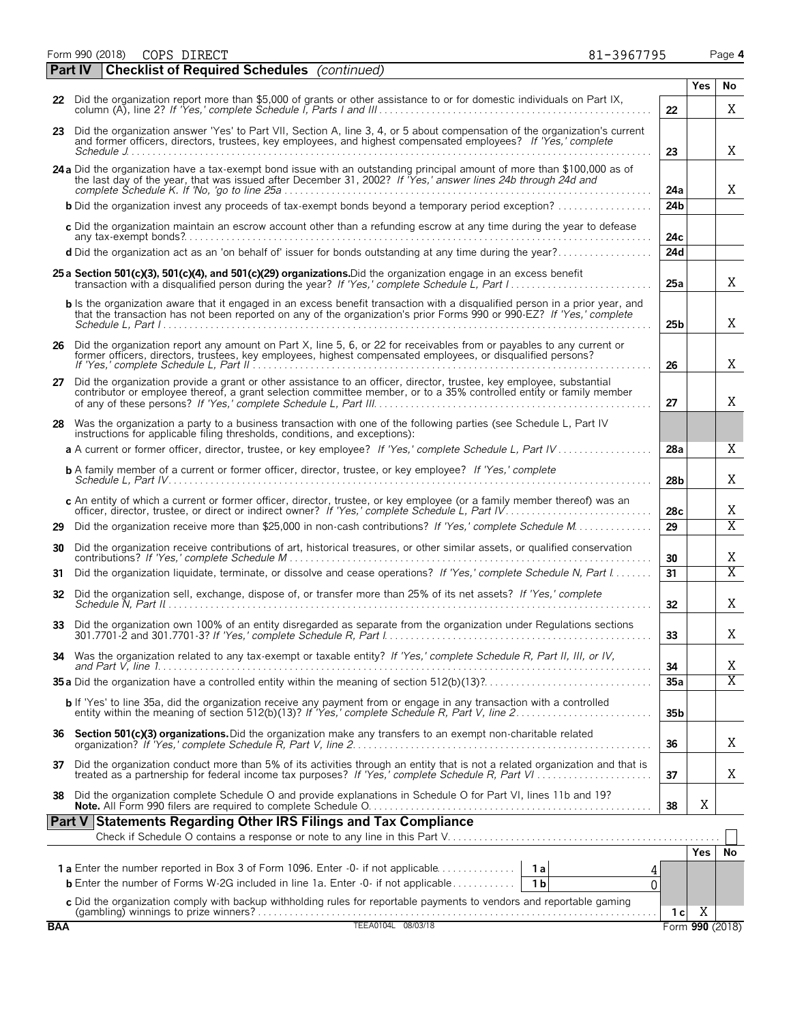Form 990 (2018) Page **4** COPS DIRECT 81-3967795

|    | <b>Part IV</b> | <b>Checklist of Required Schedules</b> (continued)                                                                                                                                                                                                              |                 |            |                         |
|----|----------------|-----------------------------------------------------------------------------------------------------------------------------------------------------------------------------------------------------------------------------------------------------------------|-----------------|------------|-------------------------|
|    |                |                                                                                                                                                                                                                                                                 |                 | <b>Yes</b> | No                      |
|    |                | 22 Did the organization report more than \$5,000 of grants or other assistance to or for domestic individuals on Part IX,                                                                                                                                       | 22              |            | Χ                       |
|    |                | 23 Did the organization answer 'Yes' to Part VII, Section A, line 3, 4, or 5 about compensation of the organization's current<br>and former officers, directors, trustees, key employees, and highest compensated employees? If 'Yes,' complete<br>Schedule $J$ | 23              |            | Χ                       |
|    |                | 24 a Did the organization have a tax-exempt bond issue with an outstanding principal amount of more than \$100,000 as of<br>the last day of the year, that was issued after December 31, 2002? If Yes,' answer lines 24b through 24d and                        | 24a             |            | X                       |
|    |                | <b>b</b> Did the organization invest any proceeds of tax-exempt bonds beyond a temporary period exception?                                                                                                                                                      | 24 <sub>b</sub> |            |                         |
|    |                | c Did the organization maintain an escrow account other than a refunding escrow at any time during the year to defease                                                                                                                                          | 24c             |            |                         |
|    |                | d Did the organization act as an 'on behalf of' issuer for bonds outstanding at any time during the year?                                                                                                                                                       | 24d             |            |                         |
|    |                | 25 a Section 501(c)(3), 501(c)(4), and 501(c)(29) organizations. Did the organization engage in an excess benefit                                                                                                                                               | 25a             |            | X                       |
|    |                | b Is the organization aware that it engaged in an excess benefit transaction with a disqualified person in a prior year, and<br>that the transaction has not been reported on any of the organization's prior Forms 990 or 990-EZ? If 'Yes,' complete           | 25 <sub>b</sub> |            | X                       |
| 26 |                | Did the organization report any amount on Part X, line 5, 6, or 22 for receivables from or payables to any current or<br>former officers, directors, trustees, key employees, highest compensated employees, or disqualified pers                               | 26              |            | X                       |
| 27 |                | Did the organization provide a grant or other assistance to an officer, director, trustee, key employee, substantial<br>contributor or employee thereof, a grant selection committee member, or to a 35% controlled entity or fam                               | 27              |            | X                       |
|    |                | 28 Was the organization a party to a business transaction with one of the following parties (see Schedule L, Part IV<br>instructions for applicable filing thresholds, conditions, and exceptions):                                                             |                 |            |                         |
|    |                | a A current or former officer, director, trustee, or key employee? If 'Yes,' complete Schedule L, Part IV                                                                                                                                                       | 28a             |            | X                       |
|    |                | <b>b</b> A family member of a current or former officer, director, trustee, or key employee? If 'Yes,' complete                                                                                                                                                 | 28b             |            | X                       |
|    |                | c An entity of which a current or former officer, director, trustee, or key employee (or a family member thereof) was an                                                                                                                                        | 28 <sub>c</sub> |            | X                       |
| 29 |                | Did the organization receive more than \$25,000 in non-cash contributions? If 'Yes,' complete Schedule M.                                                                                                                                                       | 29              |            | $\overline{X}$          |
| 30 |                | Did the organization receive contributions of art, historical treasures, or other similar assets, or qualified conservation                                                                                                                                     | 30              |            | X                       |
| 31 |                | Did the organization liquidate, terminate, or dissolve and cease operations? If 'Yes,' complete Schedule N, Part I                                                                                                                                              | 31              |            | $\overline{X}$          |
| 32 |                | Did the organization sell, exchange, dispose of, or transfer more than 25% of its net assets? If 'Yes,' complete                                                                                                                                                | 32              |            | X                       |
|    |                | 33 Did the organization own 100% of an entity disregarded as separate from the organization under Regulations sections                                                                                                                                          | 33              |            | X                       |
|    |                | 34 Was the organization related to any tax-exempt or taxable entity? If 'Yes,' complete Schedule R, Part II, III, or IV,                                                                                                                                        | 34              |            | Χ                       |
|    |                |                                                                                                                                                                                                                                                                 | 35a             |            | $\overline{\mathrm{X}}$ |
|    |                | b If 'Yes' to line 35a, did the organization receive any payment from or engage in any transaction with a controlled                                                                                                                                            | 35 <sub>b</sub> |            |                         |
| 36 |                | Section 501(c)(3) organizations. Did the organization make any transfers to an exempt non-charitable related                                                                                                                                                    | 36              |            | Χ                       |
| 37 |                | Did the organization conduct more than 5% of its activities through an entity that is not a related organization and that is<br>treated as a partnership for federal income tax purposes? If 'Yes,' complete Schedule R, Part VI                                | 37              |            | X                       |
| 38 |                | Did the organization complete Schedule O and provide explanations in Schedule O for Part VI, lines 11b and 19?                                                                                                                                                  | 38              | Χ          |                         |
|    | Part V         | <b>Statements Regarding Other IRS Filings and Tax Compliance</b>                                                                                                                                                                                                |                 |            |                         |
|    |                |                                                                                                                                                                                                                                                                 |                 |            |                         |
|    |                | <b>1a</b> Enter the number reported in Box 3 of Form 1096. Enter -0- if not applicable<br>1 a                                                                                                                                                                   |                 | <b>Yes</b> | No                      |
|    |                | <b>b</b> Enter the number of Forms W-2G included in line 1a. Enter -0- if not applicable<br>1 <sub>b</sub><br>U                                                                                                                                                 |                 |            |                         |
|    |                | c Did the organization comply with backup withholding rules for reportable payments to vendors and reportable gaming                                                                                                                                            |                 |            |                         |
|    |                |                                                                                                                                                                                                                                                                 | 1 с             | Χ          |                         |

**BAA** TEEA0104L 08/03/18 Form **990** (2018)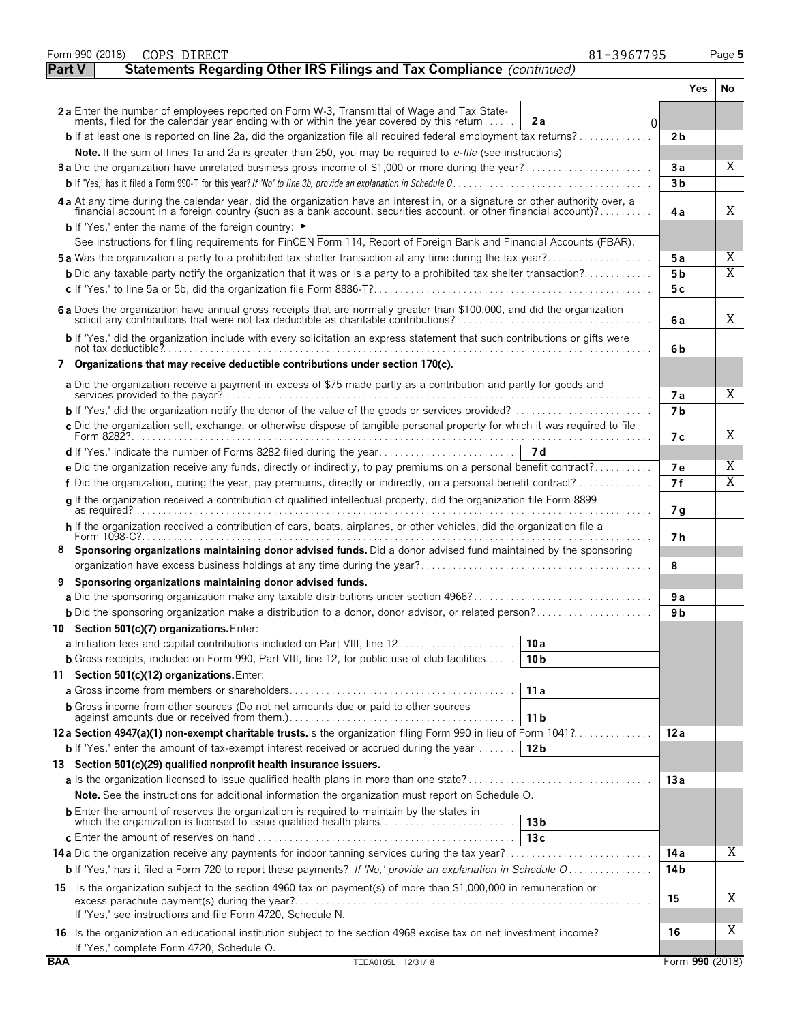|            | Form 990 (2018)<br>COPS DIRECT                                                                                                                                                                                                 | 81-3967795      |                 | Page 5                       |
|------------|--------------------------------------------------------------------------------------------------------------------------------------------------------------------------------------------------------------------------------|-----------------|-----------------|------------------------------|
|            | Statements Regarding Other IRS Filings and Tax Compliance (continued)<br><b>Part V</b>                                                                                                                                         |                 |                 |                              |
|            |                                                                                                                                                                                                                                |                 | <b>Yes</b>      | No                           |
|            | 2a Enter the number of employees reported on Form W-3, Transmittal of Wage and Tax State-                                                                                                                                      |                 |                 |                              |
|            | ments, filed for the calendar year ending with or within the year covered by this return<br>2a                                                                                                                                 | 0               |                 |                              |
|            | <b>b</b> If at least one is reported on line 2a, did the organization file all required federal employment tax returns?                                                                                                        | 2 <sub>b</sub>  |                 |                              |
|            | Note. If the sum of lines 1a and 2a is greater than 250, you may be required to e-file (see instructions)                                                                                                                      |                 |                 |                              |
|            |                                                                                                                                                                                                                                | Зa              |                 | Χ                            |
|            |                                                                                                                                                                                                                                | 3 <sub>b</sub>  |                 |                              |
|            | 4a At any time during the calendar year, did the organization have an interest in, or a signature or other authority over, a financial account in a foreign country (such as a bank account, securities account, or other fina | 4а              |                 | Χ                            |
|            | <b>b</b> If 'Yes,' enter the name of the foreign country: $\blacktriangleright$                                                                                                                                                |                 |                 |                              |
|            | See instructions for filing requirements for FinCEN Form 114, Report of Foreign Bank and Financial Accounts (FBAR).                                                                                                            |                 |                 |                              |
|            | <b>5a</b> Was the organization a party to a prohibited tax shelter transaction at any time during the tax year?                                                                                                                | 5а              |                 | Χ<br>$\overline{\mathrm{X}}$ |
|            | <b>b</b> Did any taxable party notify the organization that it was or is a party to a prohibited tax shelter transaction?                                                                                                      | 5 <sub>b</sub>  |                 |                              |
|            |                                                                                                                                                                                                                                | 5c              |                 |                              |
|            | 6 a Does the organization have annual gross receipts that are normally greater than \$100,000, and did the organization<br>solicit any contributions that were not tax deductible as charitable contributions?                 | 6 a             |                 | Χ                            |
|            | b If 'Yes,' did the organization include with every solicitation an express statement that such contributions or gifts were                                                                                                    | 6b              |                 |                              |
|            | 7 Organizations that may receive deductible contributions under section 170(c).                                                                                                                                                |                 |                 |                              |
|            | a Did the organization receive a payment in excess of \$75 made partly as a contribution and partly for goods and                                                                                                              | 7а              |                 | X                            |
|            | <b>b</b> If 'Yes,' did the organization notify the donor of the value of the goods or services provided? $\ldots$                                                                                                              | 7 <sub>b</sub>  |                 |                              |
|            | c Did the organization sell, exchange, or otherwise dispose of tangible personal property for which it was required to file                                                                                                    |                 |                 |                              |
|            |                                                                                                                                                                                                                                | 7 с             |                 | Χ                            |
|            |                                                                                                                                                                                                                                |                 |                 |                              |
|            | e Did the organization receive any funds, directly or indirectly, to pay premiums on a personal benefit contract?                                                                                                              | 7 e             |                 | Χ                            |
|            | f Did the organization, during the year, pay premiums, directly or indirectly, on a personal benefit contract?                                                                                                                 | 7f              |                 | Χ                            |
|            | q If the organization received a contribution of qualified intellectual property, did the organization file Form 8899                                                                                                          | 7 g             |                 |                              |
|            | h If the organization received a contribution of cars, boats, airplanes, or other vehicles, did the organization file a                                                                                                        |                 |                 |                              |
| 8          | Form 1098-C?.<br>Sponsoring organizations maintaining donor advised funds. Did a donor advised fund maintained by the sponsoring                                                                                               | 7 h             |                 |                              |
|            |                                                                                                                                                                                                                                | 8               |                 |                              |
| 9          | Sponsoring organizations maintaining donor advised funds.                                                                                                                                                                      |                 |                 |                              |
|            |                                                                                                                                                                                                                                | 9 a             |                 |                              |
|            | <b>b</b> Did the sponsoring organization make a distribution to a donor, donor advisor, or related person?                                                                                                                     | 9 b             |                 |                              |
|            | 10 Section 501(c)(7) organizations. Enter:                                                                                                                                                                                     |                 |                 |                              |
|            | 10 a                                                                                                                                                                                                                           |                 |                 |                              |
|            | <b>b</b> Gross receipts, included on Form 990, Part VIII, line 12, for public use of club facilities<br>10 <sub>b</sub>                                                                                                        |                 |                 |                              |
|            | 11 Section 501(c)(12) organizations. Enter:                                                                                                                                                                                    |                 |                 |                              |
|            | 11 a                                                                                                                                                                                                                           |                 |                 |                              |
|            | <b>b</b> Gross income from other sources (Do not net amounts due or paid to other sources                                                                                                                                      |                 |                 |                              |
|            | 11 b                                                                                                                                                                                                                           |                 |                 |                              |
|            | 12a Section 4947(a)(1) non-exempt charitable trusts. Is the organization filing Form 990 in lieu of Form 1041?                                                                                                                 | 12 a            |                 |                              |
|            | <b>b</b> If 'Yes,' enter the amount of tax-exempt interest received or accrued during the year $\dots \dots$<br>12 <sub>b</sub>                                                                                                |                 |                 |                              |
|            | 13 Section 501(c)(29) qualified nonprofit health insurance issuers.                                                                                                                                                            |                 |                 |                              |
|            |                                                                                                                                                                                                                                | 13a             |                 |                              |
|            | <b>Note.</b> See the instructions for additional information the organization must report on Schedule O.                                                                                                                       |                 |                 |                              |
|            | <b>b</b> Enter the amount of reserves the organization is required to maintain by the states in<br>which the organization is licensed to issue qualified health plans<br>13 <sub>b</sub>                                       |                 |                 |                              |
|            | 13c                                                                                                                                                                                                                            |                 |                 |                              |
|            |                                                                                                                                                                                                                                | 14 a            |                 | Χ                            |
|            | <b>b</b> If 'Yes,' has it filed a Form 720 to report these payments? If 'No,' provide an explanation in Schedule O                                                                                                             | 14 <sub>b</sub> |                 |                              |
|            | 15 Is the organization subject to the section 4960 tax on payment(s) of more than \$1,000,000 in remuneration or                                                                                                               |                 |                 |                              |
|            | excess parachute payment(s) during the year?                                                                                                                                                                                   | 15              |                 | Χ                            |
|            | If 'Yes,' see instructions and file Form 4720, Schedule N.                                                                                                                                                                     |                 |                 |                              |
|            | 16 Is the organization an educational institution subject to the section 4968 excise tax on net investment income?                                                                                                             | 16              |                 | Χ                            |
|            | If 'Yes,' complete Form 4720, Schedule O.                                                                                                                                                                                      |                 |                 |                              |
| <b>BAA</b> | TEEA0105L 12/31/18                                                                                                                                                                                                             |                 | Form 990 (2018) |                              |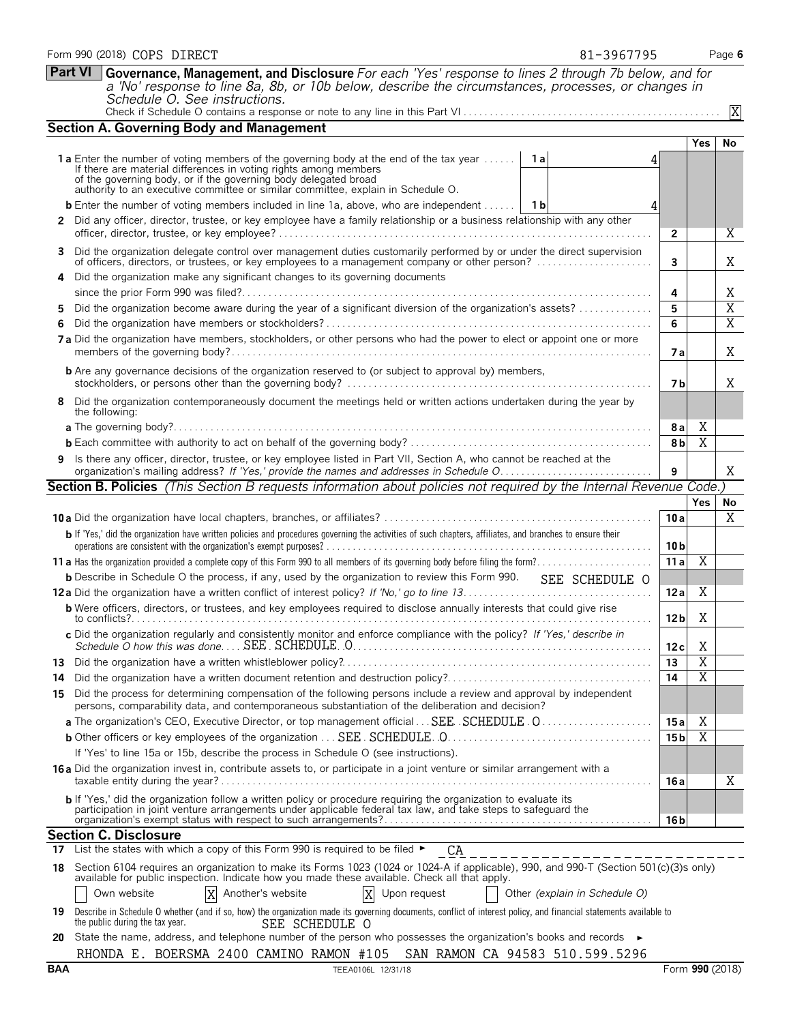| <b>Part VI</b><br>Governance, Management, and Disclosure For each 'Yes' response to lines 2 through 7b below, and for<br>a 'No' response to line 8a, 8b, or 10b below, describe the circumstances, processes, or changes in<br>Schedule O. See instructions. |                |  |     |  |  |  |
|--------------------------------------------------------------------------------------------------------------------------------------------------------------------------------------------------------------------------------------------------------------|----------------|--|-----|--|--|--|
| <b>Section A. Governing Body and Management</b>                                                                                                                                                                                                              |                |  |     |  |  |  |
|                                                                                                                                                                                                                                                              |                |  | Yes |  |  |  |
| <b>1a</b> Enter the number of voting members of the governing body at the end of the tax year $\dots$                                                                                                                                                        | 1al            |  |     |  |  |  |
| If there are material differences in voting rights among members<br>of the governing body, or if the governing body delegated broad<br>authority to an executive committee or similar committee, explain in Schedule O.                                      |                |  |     |  |  |  |
| <b>b</b> Enter the number of voting members included in line 1a, above, who are independent $\dots$                                                                                                                                                          | 1 <sub>b</sub> |  |     |  |  |  |
| 2 Did any officer, director, trustee, or key employee have a family relationship or a business relationship with any other                                                                                                                                   |                |  |     |  |  |  |
| 0 Did the composition delegate control and memoranism duties contemporary acutement by an order the diseast composition                                                                                                                                      |                |  |     |  |  |  |

|                                                                                                                                                                                                                                     | TO ALL CACCALITYC CONTINUES OF SINTINGLI CONTINUES. CADIANT IN OSHCAU                                                                                                                                                   |                 |                |                         |  |  |  |  |  |  |
|-------------------------------------------------------------------------------------------------------------------------------------------------------------------------------------------------------------------------------------|-------------------------------------------------------------------------------------------------------------------------------------------------------------------------------------------------------------------------|-----------------|----------------|-------------------------|--|--|--|--|--|--|
|                                                                                                                                                                                                                                     | <b>b</b> Enter the number of voting members included in line 1a, above, who are independent $\vert$ 1b                                                                                                                  |                 |                |                         |  |  |  |  |  |  |
|                                                                                                                                                                                                                                     | 2 Did any officer, director, trustee, or key employee have a family relationship or a business relationship with any other                                                                                              |                 |                |                         |  |  |  |  |  |  |
|                                                                                                                                                                                                                                     |                                                                                                                                                                                                                         | $\overline{2}$  |                | X.                      |  |  |  |  |  |  |
| 3                                                                                                                                                                                                                                   | Did the organization delegate control over management duties customarily performed by or under the direct supervision of officers, directors, or trustees, or key employees to a management company or other person?    | 3               |                | Χ                       |  |  |  |  |  |  |
| 4                                                                                                                                                                                                                                   | Did the organization make any significant changes to its governing documents                                                                                                                                            |                 |                |                         |  |  |  |  |  |  |
|                                                                                                                                                                                                                                     |                                                                                                                                                                                                                         | 4               |                | Χ                       |  |  |  |  |  |  |
| 5.                                                                                                                                                                                                                                  | Did the organization become aware during the year of a significant diversion of the organization's assets?                                                                                                              | 5               |                | $\overline{\mathrm{X}}$ |  |  |  |  |  |  |
| 6                                                                                                                                                                                                                                   |                                                                                                                                                                                                                         | 6               |                | Χ                       |  |  |  |  |  |  |
|                                                                                                                                                                                                                                     | 7a Did the organization have members, stockholders, or other persons who had the power to elect or appoint one or more                                                                                                  | <b>7a</b>       |                | X                       |  |  |  |  |  |  |
|                                                                                                                                                                                                                                     | <b>b</b> Are any governance decisions of the organization reserved to (or subject to approval by) members,                                                                                                              | 7 b             |                | Χ                       |  |  |  |  |  |  |
| Did the organization contemporaneously document the meetings held or written actions undertaken during the year by<br>the following:                                                                                                |                                                                                                                                                                                                                         |                 |                |                         |  |  |  |  |  |  |
|                                                                                                                                                                                                                                     |                                                                                                                                                                                                                         |                 |                |                         |  |  |  |  |  |  |
|                                                                                                                                                                                                                                     |                                                                                                                                                                                                                         |                 |                |                         |  |  |  |  |  |  |
| 9 Is there any officer, director, trustee, or key employee listed in Part VII, Section A, who cannot be reached at the                                                                                                              |                                                                                                                                                                                                                         |                 |                |                         |  |  |  |  |  |  |
|                                                                                                                                                                                                                                     | Section B. Policies (This Section B requests information about policies not required by the Internal Revenue Code.)                                                                                                     |                 |                |                         |  |  |  |  |  |  |
|                                                                                                                                                                                                                                     |                                                                                                                                                                                                                         |                 | Yes            | No                      |  |  |  |  |  |  |
|                                                                                                                                                                                                                                     |                                                                                                                                                                                                                         | 10a             |                | Χ                       |  |  |  |  |  |  |
| b If 'Yes,' did the organization have written policies and procedures governing the activities of such chapters, affiliates, and branches to ensure their                                                                           |                                                                                                                                                                                                                         |                 |                |                         |  |  |  |  |  |  |
|                                                                                                                                                                                                                                     |                                                                                                                                                                                                                         |                 |                |                         |  |  |  |  |  |  |
|                                                                                                                                                                                                                                     | <b>b</b> Describe in Schedule O the process, if any, used by the organization to review this Form 990.<br>SEE SCHEDULE O                                                                                                |                 |                |                         |  |  |  |  |  |  |
|                                                                                                                                                                                                                                     |                                                                                                                                                                                                                         | 12a             | Χ              |                         |  |  |  |  |  |  |
|                                                                                                                                                                                                                                     | <b>b</b> Were officers, directors, or trustees, and key employees required to disclose annually interests that could give rise                                                                                          | 12 <sub>b</sub> | X              |                         |  |  |  |  |  |  |
|                                                                                                                                                                                                                                     | c Did the organization regularly and consistently monitor and enforce compliance with the policy? If 'Yes,' describe in                                                                                                 | 12c             | Χ              |                         |  |  |  |  |  |  |
|                                                                                                                                                                                                                                     |                                                                                                                                                                                                                         | 13              | $\overline{X}$ |                         |  |  |  |  |  |  |
| 14                                                                                                                                                                                                                                  | Did the organization have a written document retention and destruction policy?                                                                                                                                          | 14              | $\overline{X}$ |                         |  |  |  |  |  |  |
| 15                                                                                                                                                                                                                                  | Did the process for determining compensation of the following persons include a review and approval by independent<br>persons, comparability data, and contemporaneous substantiation of the deliberation and decision? |                 |                |                         |  |  |  |  |  |  |
|                                                                                                                                                                                                                                     | a The organization's CEO, Executive Director, or top management official SEE SCHEDULE . O                                                                                                                               | 15a             | Χ              |                         |  |  |  |  |  |  |
|                                                                                                                                                                                                                                     |                                                                                                                                                                                                                         | 15 <sub>b</sub> | X              |                         |  |  |  |  |  |  |
|                                                                                                                                                                                                                                     | If 'Yes' to line 15a or 15b, describe the process in Schedule O (see instructions).                                                                                                                                     |                 |                |                         |  |  |  |  |  |  |
| 16 a Did the organization invest in, contribute assets to, or participate in a joint venture or similar arrangement with a                                                                                                          |                                                                                                                                                                                                                         |                 |                |                         |  |  |  |  |  |  |
|                                                                                                                                                                                                                                     |                                                                                                                                                                                                                         | 16a             |                | Χ                       |  |  |  |  |  |  |
| <b>b</b> If 'Yes,' did the organization follow a written policy or procedure requiring the organization to evaluate its participation in joint venture arrangements under applicable federal tax law, and take steps to safeguard t |                                                                                                                                                                                                                         |                 |                |                         |  |  |  |  |  |  |
|                                                                                                                                                                                                                                     |                                                                                                                                                                                                                         | 16 <sub>b</sub> |                |                         |  |  |  |  |  |  |
|                                                                                                                                                                                                                                     | Section C. Disclosure                                                                                                                                                                                                   |                 |                |                         |  |  |  |  |  |  |
|                                                                                                                                                                                                                                     | 17 List the states with which a copy of this Form 990 is required to be filed $\blacktriangleright$<br>CA                                                                                                               |                 |                |                         |  |  |  |  |  |  |

### 18 Section 6104 requires an organization to make its Forms 1023 (1024 or 1024-A if applicable), 990, and 990-T (Section 501(c)(3)s only)<br>available for public inspection. Indicate how you made these available. Check all tha Own website  $\boxed{X}$  Another's website  $\boxed{X}$  Upon request  $\boxed{O}$  Other *(explain in Schedule O)* Г Another's website

| 19 Describe in Schedule O whether (and if so, how) the organization made its governing documents, conflict of interest policy, and financial statements available to |                |  |  |
|----------------------------------------------------------------------------------------------------------------------------------------------------------------------|----------------|--|--|
| the public during the tax year.                                                                                                                                      | SEE SCHEDULE O |  |  |
| ___ __ _ _                                                                                                                                                           |                |  |  |

Form 990 (2018) Page **6** COPS DIRECT 81-3967795

X

**Yes No**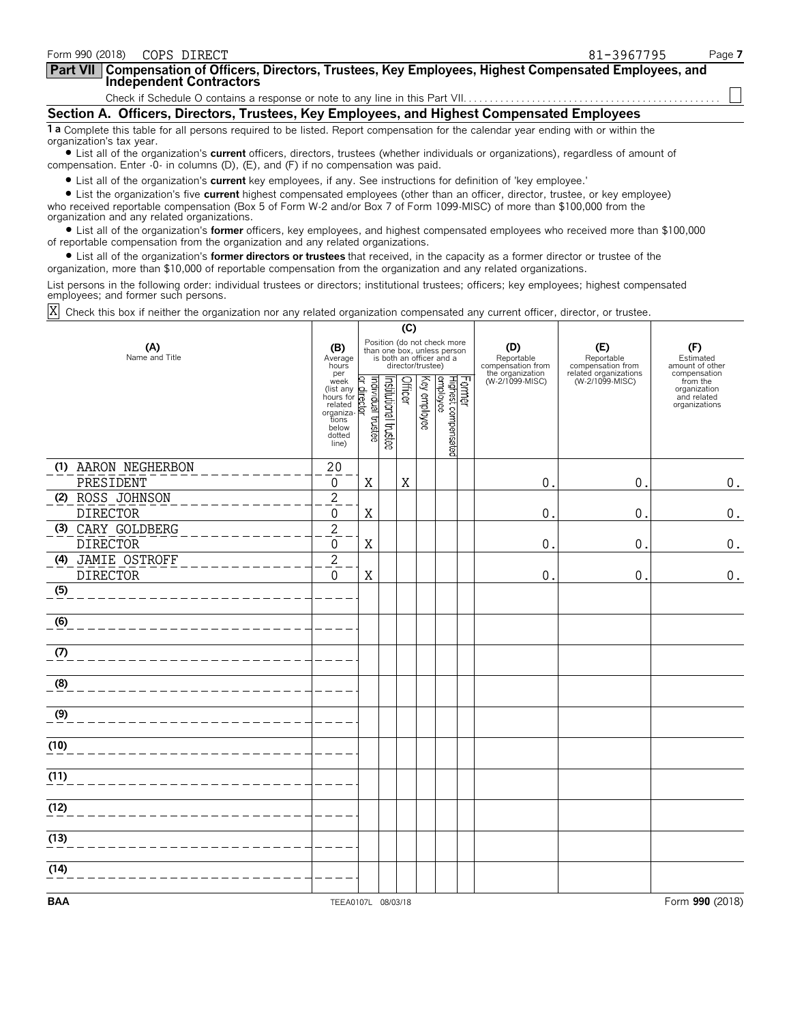| Form 990 (2018)<br>COPS DIRECT                                                                                                                                                                                                                                                                                                                                                                                                   |                                                                                                                                                                                                                  |                                                                                                                                                                                            |                                           |                                                                               | 81-3967795                                                                         | Page 7                                                                                                          |  |  |  |  |
|----------------------------------------------------------------------------------------------------------------------------------------------------------------------------------------------------------------------------------------------------------------------------------------------------------------------------------------------------------------------------------------------------------------------------------|------------------------------------------------------------------------------------------------------------------------------------------------------------------------------------------------------------------|--------------------------------------------------------------------------------------------------------------------------------------------------------------------------------------------|-------------------------------------------|-------------------------------------------------------------------------------|------------------------------------------------------------------------------------|-----------------------------------------------------------------------------------------------------------------|--|--|--|--|
| Compensation of Officers, Directors, Trustees, Key Employees, Highest Compensated Employees, and<br><b>Part VII</b><br><b>Independent Contractors</b>                                                                                                                                                                                                                                                                            |                                                                                                                                                                                                                  |                                                                                                                                                                                            |                                           |                                                                               |                                                                                    |                                                                                                                 |  |  |  |  |
|                                                                                                                                                                                                                                                                                                                                                                                                                                  |                                                                                                                                                                                                                  |                                                                                                                                                                                            |                                           |                                                                               |                                                                                    |                                                                                                                 |  |  |  |  |
|                                                                                                                                                                                                                                                                                                                                                                                                                                  | Section A. Officers, Directors, Trustees, Key Employees, and Highest Compensated Employees                                                                                                                       |                                                                                                                                                                                            |                                           |                                                                               |                                                                                    |                                                                                                                 |  |  |  |  |
| 1 a Complete this table for all persons required to be listed. Report compensation for the calendar year ending with or within the<br>organization's tax year.<br>• List all of the organization's <b>current</b> officers, directors, trustees (whether individuals or organizations), regardless of amount of<br>compensation. Enter -0- in columns (D), (E), and (F) if no compensation was paid.                             |                                                                                                                                                                                                                  |                                                                                                                                                                                            |                                           |                                                                               |                                                                                    |                                                                                                                 |  |  |  |  |
| • List all of the organization's current key employees, if any. See instructions for definition of 'key employee.'<br>• List the organization's five current highest compensated employees (other than an officer, director, trustee, or key employee)<br>who received reportable compensation (Box 5 of Form W-2 and/or Box 7 of Form 1099-MISC) of more than \$100,000 from the<br>organization and any related organizations. |                                                                                                                                                                                                                  |                                                                                                                                                                                            |                                           |                                                                               |                                                                                    |                                                                                                                 |  |  |  |  |
| • List all of the organization's <b>former</b> officers, key employees, and highest compensated employees who received more than \$100,000<br>of reportable compensation from the organization and any related organizations.<br>• List all of the organization's former directors or trustees that received, in the capacity as a former director or trustee of the                                                             |                                                                                                                                                                                                                  |                                                                                                                                                                                            |                                           |                                                                               |                                                                                    |                                                                                                                 |  |  |  |  |
| organization, more than \$10,000 of reportable compensation from the organization and any related organizations.                                                                                                                                                                                                                                                                                                                 |                                                                                                                                                                                                                  |                                                                                                                                                                                            |                                           |                                                                               |                                                                                    |                                                                                                                 |  |  |  |  |
| List persons in the following order: individual trustees or directors; institutional trustees; officers; key employees; highest compensated<br>employees; and former such persons.                                                                                                                                                                                                                                               |                                                                                                                                                                                                                  |                                                                                                                                                                                            |                                           |                                                                               |                                                                                    |                                                                                                                 |  |  |  |  |
| Check this box if neither the organization nor any related organization compensated any current officer, director, or trustee.                                                                                                                                                                                                                                                                                                   |                                                                                                                                                                                                                  |                                                                                                                                                                                            |                                           |                                                                               |                                                                                    |                                                                                                                 |  |  |  |  |
|                                                                                                                                                                                                                                                                                                                                                                                                                                  |                                                                                                                                                                                                                  | (C)                                                                                                                                                                                        |                                           |                                                                               |                                                                                    |                                                                                                                 |  |  |  |  |
| (A)<br>Name and Title                                                                                                                                                                                                                                                                                                                                                                                                            | (B)<br>Average<br>hours<br>per<br>week<br>$\frac{\text{were}}{\text{hours}}$ for $\frac{1}{\text{cm}}$<br>hours for $\frac{1}{\text{cm}}$<br>related organiza-<br>organiza-<br>tions<br>below<br>dotted<br>line) | Position (do not check more<br>than one box, unless person<br>is both an officer and a<br>director/trustee)<br>Key employee<br>Institutional trustee<br><b>Officer</b><br>pajsnų jenovibuj | Former<br>Highest compensated<br>enployee | (D)<br>Reportable<br>compensation from<br>the organization<br>(W-2/1099-MISC) | (E)<br>Reportable<br>compensation from<br>related organizations<br>(W-2/1099-MISC) | (F)<br>Estimated<br>amount of other<br>compensation<br>from the<br>organization<br>and related<br>organizations |  |  |  |  |

PRESIDENT 0 X X 0. 0. 0.

DIRECTOR 0 X 0. 0. 0.

DIRECTOR 0 X 0. 0. 0.

 $DIRECTOR$  0. 0. 0.

**(1)** AARON NEGHERBON 20

**(2)** ROSS JOHNSON 2

**(3)** CARY GOLDBERG 2

**(4)** JAMIE OSTROFF 2

**(5)**

**(6)**

**(7)**

**(8)**

**(9)**

**(10)**

 $(11)$ 

**(12)**

 $(13)$ 

 $(14)$ 

**BAA** TEEA0107L 08/03/18 Form **990** (2018)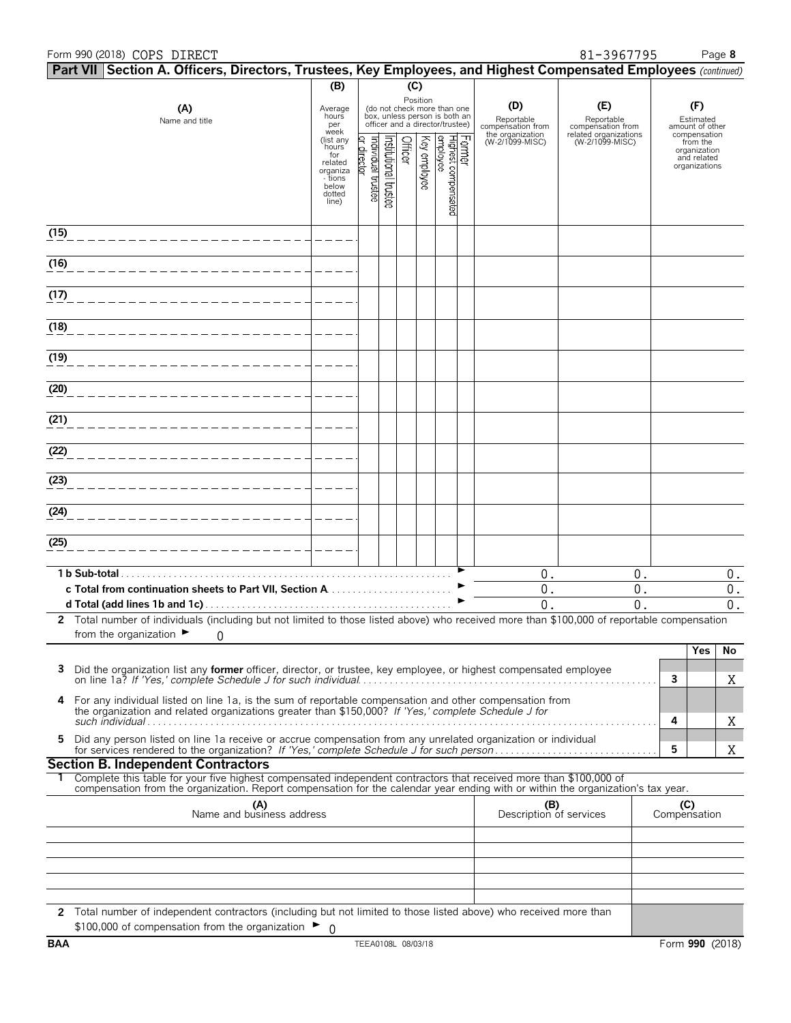### Form 990 (2018) Page **8** COPS DIRECT 81-3967795

|              |               | Part VII Section A. Officers, Directors, Trustees, Key Employees, and Highest Compensated Employees (continued)                                                                                                 |                                                                              |                                  |                      |         |              |                                                                                                             |        |                                        |                                          |     |                                                                          |
|--------------|---------------|-----------------------------------------------------------------------------------------------------------------------------------------------------------------------------------------------------------------|------------------------------------------------------------------------------|----------------------------------|----------------------|---------|--------------|-------------------------------------------------------------------------------------------------------------|--------|----------------------------------------|------------------------------------------|-----|--------------------------------------------------------------------------|
|              |               |                                                                                                                                                                                                                 | (B)                                                                          |                                  |                      | (C)     |              |                                                                                                             |        |                                        |                                          |     |                                                                          |
|              |               | (A)<br>Name and title                                                                                                                                                                                           | Average<br>hours<br>per                                                      |                                  |                      |         |              | Position<br>(do not check more than one<br>box, unless person is both an<br>officer and a director/trustee) |        | (D)<br>Reportable<br>compensation from | (E)<br>Reportable<br>compensation from   |     | (F)<br>Estimated<br>amount of other                                      |
|              |               |                                                                                                                                                                                                                 | week<br>(list any<br>hours<br>for<br>related<br>organiza<br>- tions<br>below | ar director<br>ndividual trustee | nstitutional trustee | Officer | Key employee | Highest compensated<br>employee                                                                             | Former | the organization<br>(W-2/1099-MISC)    | related organizations<br>(W-2/1099-MISC) |     | compensation<br>from the<br>organization<br>and related<br>organizations |
|              |               |                                                                                                                                                                                                                 | dotted<br>line)                                                              |                                  |                      |         |              |                                                                                                             |        |                                        |                                          |     |                                                                          |
| (15)         |               |                                                                                                                                                                                                                 |                                                                              |                                  |                      |         |              |                                                                                                             |        |                                        |                                          |     |                                                                          |
| (16)         |               |                                                                                                                                                                                                                 |                                                                              |                                  |                      |         |              |                                                                                                             |        |                                        |                                          |     |                                                                          |
| (17)         |               |                                                                                                                                                                                                                 |                                                                              |                                  |                      |         |              |                                                                                                             |        |                                        |                                          |     |                                                                          |
| (18)         |               |                                                                                                                                                                                                                 |                                                                              |                                  |                      |         |              |                                                                                                             |        |                                        |                                          |     |                                                                          |
| (19)         |               |                                                                                                                                                                                                                 |                                                                              |                                  |                      |         |              |                                                                                                             |        |                                        |                                          |     |                                                                          |
| (20)         |               |                                                                                                                                                                                                                 |                                                                              |                                  |                      |         |              |                                                                                                             |        |                                        |                                          |     |                                                                          |
| (21)         |               |                                                                                                                                                                                                                 |                                                                              |                                  |                      |         |              |                                                                                                             |        |                                        |                                          |     |                                                                          |
| (22)         |               |                                                                                                                                                                                                                 |                                                                              |                                  |                      |         |              |                                                                                                             |        |                                        |                                          |     |                                                                          |
| (23)         |               |                                                                                                                                                                                                                 |                                                                              |                                  |                      |         |              |                                                                                                             |        |                                        |                                          |     |                                                                          |
| (24)         |               |                                                                                                                                                                                                                 |                                                                              |                                  |                      |         |              |                                                                                                             |        |                                        |                                          |     |                                                                          |
| (25)         |               |                                                                                                                                                                                                                 |                                                                              |                                  |                      |         |              |                                                                                                             |        |                                        |                                          |     |                                                                          |
|              | 1 b Sub-total |                                                                                                                                                                                                                 |                                                                              |                                  |                      |         |              |                                                                                                             |        | 0.                                     | 0.                                       |     | $0$ .                                                                    |
|              |               | c Total from continuation sheets to Part VII, Section A                                                                                                                                                         |                                                                              |                                  |                      |         |              |                                                                                                             |        | 0.                                     | 0.                                       |     | $0$ .                                                                    |
| $\mathbf{2}$ |               | Total number of individuals (including but not limited to those listed above) who received more than \$100,000 of reportable compensation<br>from the organization $\blacktriangleright$<br>0                   |                                                                              |                                  |                      |         |              |                                                                                                             |        | $\mathbf{0}$ .                         | $\mathbf{0}$ .                           |     | $0$ .                                                                    |
|              |               |                                                                                                                                                                                                                 |                                                                              |                                  |                      |         |              |                                                                                                             |        |                                        |                                          |     | Yes<br>No                                                                |
| 3            |               | Did the organization list any former officer, director, or trustee, key employee, or highest compensated employee                                                                                               |                                                                              |                                  |                      |         |              |                                                                                                             |        |                                        |                                          | 3   | Χ                                                                        |
| 4            |               | For any individual listed on line 1a, is the sum of reportable compensation and other compensation from<br>the organization and related organizations greater than \$150,000? If 'Yes,' complete Schedule J for |                                                                              |                                  |                      |         |              |                                                                                                             |        |                                        |                                          |     |                                                                          |
| 5            |               | Did any person listed on line 1a receive or accrue compensation from any unrelated organization or individual                                                                                                   |                                                                              |                                  |                      |         |              |                                                                                                             |        |                                        |                                          | 4   | Χ                                                                        |
|              |               | <b>Section B. Independent Contractors</b>                                                                                                                                                                       |                                                                              |                                  |                      |         |              |                                                                                                             |        |                                        |                                          | 5   | Χ                                                                        |
|              |               | Complete this table for your five highest compensated independent contractors that received more than \$100,000 of                                                                                              |                                                                              |                                  |                      |         |              |                                                                                                             |        |                                        |                                          |     |                                                                          |
|              |               | compensation from the organization. Report compensation for the calendar year ending with or within the organization's tax year.                                                                                |                                                                              |                                  |                      |         |              |                                                                                                             |        |                                        |                                          |     |                                                                          |
|              |               | (A)<br>Name and business address                                                                                                                                                                                |                                                                              |                                  |                      |         |              |                                                                                                             |        | (B)<br>Description of services         |                                          | (C) | Compensation                                                             |
|              |               |                                                                                                                                                                                                                 |                                                                              |                                  |                      |         |              |                                                                                                             |        |                                        |                                          |     |                                                                          |
|              |               |                                                                                                                                                                                                                 |                                                                              |                                  |                      |         |              |                                                                                                             |        |                                        |                                          |     |                                                                          |
|              |               |                                                                                                                                                                                                                 |                                                                              |                                  |                      |         |              |                                                                                                             |        |                                        |                                          |     |                                                                          |
|              |               | 2 Total number of independent contractors (including but not limited to those listed above) who received more than                                                                                              |                                                                              |                                  |                      |         |              |                                                                                                             |        |                                        |                                          |     |                                                                          |
|              |               | \$100,000 of compensation from the organization ►                                                                                                                                                               | - 0                                                                          |                                  |                      |         |              |                                                                                                             |        |                                        |                                          |     |                                                                          |
| <b>BAA</b>   |               |                                                                                                                                                                                                                 |                                                                              | TEEA0108L 08/03/18               |                      |         |              |                                                                                                             |        |                                        |                                          |     | Form 990 (2018)                                                          |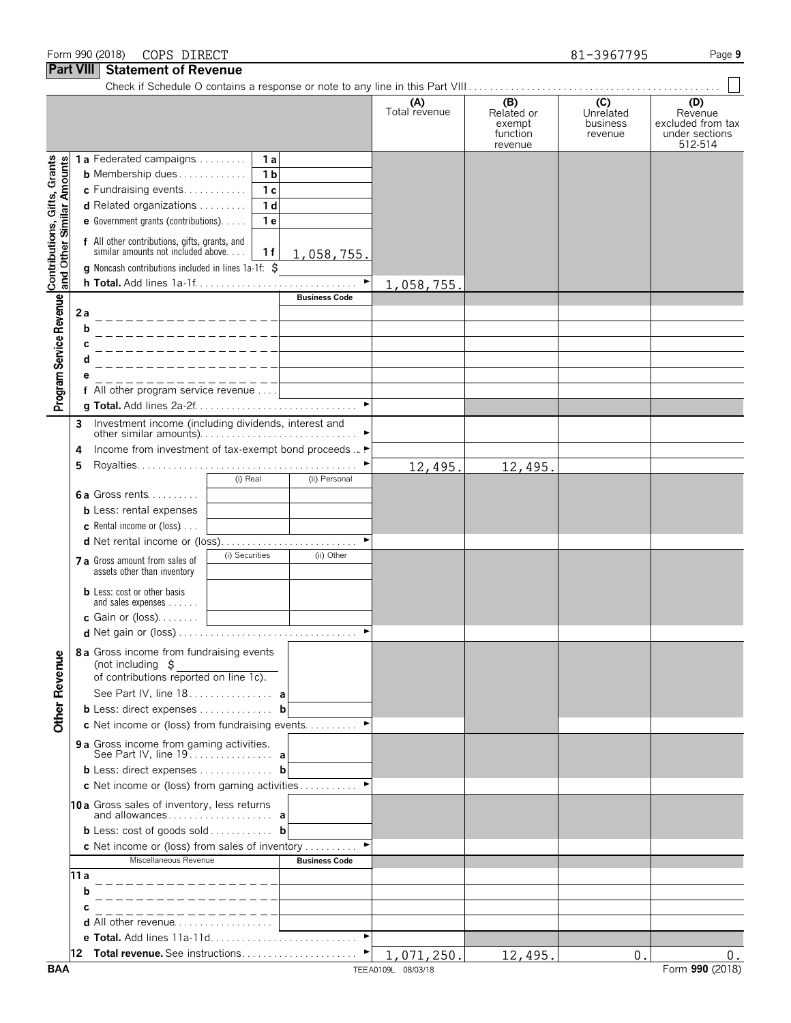|                                                           |                                                                                                                 | (A)<br>Total revenue | (B)<br>Related or<br>exempt<br>function<br>revenue | (C)<br>Unrelated<br>business<br>revenue | (D)<br>Revenue<br>excluded from tax<br>under sections<br>512-514 |
|-----------------------------------------------------------|-----------------------------------------------------------------------------------------------------------------|----------------------|----------------------------------------------------|-----------------------------------------|------------------------------------------------------------------|
|                                                           | 1a Federated campaigns<br>1 a                                                                                   |                      |                                                    |                                         |                                                                  |
|                                                           | <b>b</b> Membership dues<br>1 <sub>b</sub>                                                                      |                      |                                                    |                                         |                                                                  |
|                                                           | $c$ Fundraising events<br>1 <sub>c</sub>                                                                        |                      |                                                    |                                         |                                                                  |
|                                                           | d Related organizations<br>1 <sub>d</sub>                                                                       |                      |                                                    |                                         |                                                                  |
|                                                           | e Government grants (contributions).<br>1 e                                                                     |                      |                                                    |                                         |                                                                  |
| Contributions, Gifts, Grants<br>and Other Similar Amounts | f All other contributions, gifts, grants, and<br>similar amounts not included above<br>1 f<br><u>1,058,755.</u> |                      |                                                    |                                         |                                                                  |
|                                                           | g Noncash contributions included in lines 1a-1f: \$                                                             | ▶                    |                                                    |                                         |                                                                  |
|                                                           | <b>Business Code</b>                                                                                            | 1,058,755.           |                                                    |                                         |                                                                  |
| Program Service Revenue                                   | 2а<br>----------------                                                                                          |                      |                                                    |                                         |                                                                  |
|                                                           | b<br>_ _ _ _ _ _ _ _ _ _ _ _ _ _ _ _                                                                            |                      |                                                    |                                         |                                                                  |
|                                                           | С<br>_ _ _ _ _ _ _ _ _ _ _ _ _ _ _ _ _                                                                          |                      |                                                    |                                         |                                                                  |
|                                                           | d<br>_______________                                                                                            |                      |                                                    |                                         |                                                                  |
|                                                           | _______________                                                                                                 |                      |                                                    |                                         |                                                                  |
|                                                           | f All other program service revenue                                                                             |                      |                                                    |                                         |                                                                  |
|                                                           | Investment income (including dividends, interest and                                                            |                      |                                                    |                                         |                                                                  |
|                                                           | 3                                                                                                               |                      |                                                    |                                         |                                                                  |
|                                                           | Income from investment of tax-exempt bond proceeds  ▶<br>4                                                      |                      |                                                    |                                         |                                                                  |
|                                                           | 5                                                                                                               | 12,495.              | 12,495.                                            |                                         |                                                                  |
|                                                           | (i) Real<br>(ii) Personal                                                                                       |                      |                                                    |                                         |                                                                  |
|                                                           | 6a Gross rents                                                                                                  |                      |                                                    |                                         |                                                                  |
|                                                           | <b>b</b> Less: rental expenses                                                                                  |                      |                                                    |                                         |                                                                  |
|                                                           | c Rental income or (loss)<br>d Net rental income or (loss)                                                      |                      |                                                    |                                         |                                                                  |
|                                                           | (i) Securities<br>(ii) Other<br>7 a Gross amount from sales of                                                  |                      |                                                    |                                         |                                                                  |
|                                                           | assets other than inventory                                                                                     |                      |                                                    |                                         |                                                                  |
|                                                           | <b>b</b> Less: cost or other basis<br>and sales expenses                                                        |                      |                                                    |                                         |                                                                  |
|                                                           | <b>c</b> Gain or (loss). $\ldots$                                                                               |                      |                                                    |                                         |                                                                  |
|                                                           |                                                                                                                 |                      |                                                    |                                         |                                                                  |
| <b>Other Revenue</b>                                      | 8 a Gross income from fundraising events<br>(not including $$$<br>of contributions reported on line 1c).        |                      |                                                    |                                         |                                                                  |
|                                                           | See Part IV, line 18. a                                                                                         |                      |                                                    |                                         |                                                                  |
|                                                           | <b>b</b> Less: direct expenses <b>b</b>                                                                         |                      |                                                    |                                         |                                                                  |
|                                                           | c Net income or (loss) from fundraising events ▶                                                                |                      |                                                    |                                         |                                                                  |
|                                                           | 9 a Gross income from gaming activities.<br>See Part IV, line 19. a                                             |                      |                                                    |                                         |                                                                  |
|                                                           | <b>b</b> Less: direct expenses <b>b</b>                                                                         |                      |                                                    |                                         |                                                                  |
|                                                           |                                                                                                                 |                      |                                                    |                                         |                                                                  |
|                                                           | 10a Gross sales of inventory, less returns                                                                      |                      |                                                    |                                         |                                                                  |
|                                                           | <b>b</b> Less: cost of goods sold <b>b</b>                                                                      |                      |                                                    |                                         |                                                                  |
|                                                           | c Net income or (loss) from sales of inventory<br>Miscellaneous Revenue                                         |                      |                                                    |                                         |                                                                  |
|                                                           | <b>Business Code</b><br>11 a                                                                                    |                      |                                                    |                                         |                                                                  |
|                                                           | b                                                                                                               |                      |                                                    |                                         |                                                                  |
|                                                           |                                                                                                                 |                      |                                                    |                                         |                                                                  |
|                                                           | $      -$                                                                                                       |                      |                                                    |                                         |                                                                  |
|                                                           |                                                                                                                 |                      |                                                    |                                         |                                                                  |
|                                                           |                                                                                                                 |                      |                                                    |                                         |                                                                  |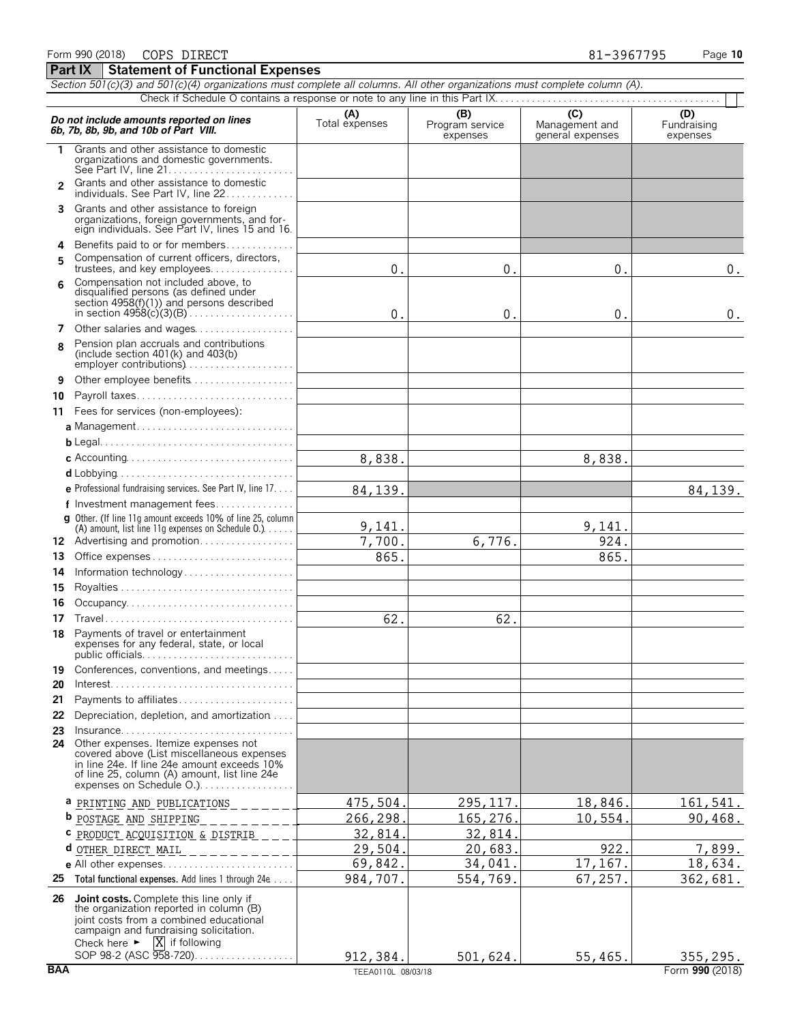|                | Section 501(c)(3) and 501(c)(4) organizations must complete all columns. All other organizations must complete column (A).                                                                                                                                                                      |                       |                                    |                                           |                                |  |  |
|----------------|-------------------------------------------------------------------------------------------------------------------------------------------------------------------------------------------------------------------------------------------------------------------------------------------------|-----------------------|------------------------------------|-------------------------------------------|--------------------------------|--|--|
|                |                                                                                                                                                                                                                                                                                                 |                       |                                    |                                           |                                |  |  |
|                | Do not include amounts reported on lines<br>6b, 7b, 8b, 9b, and 10b of Part VIII.                                                                                                                                                                                                               | (A)<br>Total expenses | (B)<br>Program service<br>expenses | (C)<br>Management and<br>general expenses | (D)<br>Fundraising<br>expenses |  |  |
| 1              | Grants and other assistance to domestic<br>organizations and domestic governments.                                                                                                                                                                                                              |                       |                                    |                                           |                                |  |  |
| $\mathfrak{p}$ | Grants and other assistance to domestic<br>individuals. See Part IV, line 22                                                                                                                                                                                                                    |                       |                                    |                                           |                                |  |  |
| 3              | Grants and other assistance to foreign<br>organizations, foreign governments, and for-<br>eign individuals. See Part IV, lines 15 and 16.                                                                                                                                                       |                       |                                    |                                           |                                |  |  |
| 4              | Benefits paid to or for members                                                                                                                                                                                                                                                                 |                       |                                    |                                           |                                |  |  |
| 5              | Compensation of current officers, directors,<br>trustees, and key employees                                                                                                                                                                                                                     | 0.                    | 0.                                 | 0.                                        | $0$ .                          |  |  |
| 6              | Compensation not included above, to<br>disqualified persons (as defined under<br>section 4958(f)(1)) and persons described                                                                                                                                                                      | $\mathbf 0$ .         | 0.                                 | 0.                                        | 0.                             |  |  |
| 7              | Other salaries and wages                                                                                                                                                                                                                                                                        |                       |                                    |                                           |                                |  |  |
| 8              | Pension plan accruals and contributions<br>(include section $401(k)$ and $403(b)$ )<br>employer contributions)                                                                                                                                                                                  |                       |                                    |                                           |                                |  |  |
| 9              | Other employee benefits                                                                                                                                                                                                                                                                         |                       |                                    |                                           |                                |  |  |
| 10             | Payroll taxes                                                                                                                                                                                                                                                                                   |                       |                                    |                                           |                                |  |  |
| 11             | Fees for services (non-employees):                                                                                                                                                                                                                                                              |                       |                                    |                                           |                                |  |  |
|                |                                                                                                                                                                                                                                                                                                 |                       |                                    |                                           |                                |  |  |
|                |                                                                                                                                                                                                                                                                                                 |                       |                                    |                                           |                                |  |  |
|                |                                                                                                                                                                                                                                                                                                 | 8,838.                |                                    | 8,838.                                    |                                |  |  |
|                |                                                                                                                                                                                                                                                                                                 |                       |                                    |                                           |                                |  |  |
|                | e Professional fundraising services. See Part IV, line 17.                                                                                                                                                                                                                                      | 84,139.               |                                    |                                           | 84, 139.                       |  |  |
|                | f Investment management fees<br>g Other. (If line 11q amount exceeds 10% of line 25, column                                                                                                                                                                                                     |                       |                                    |                                           |                                |  |  |
|                | (A) amount, list line 11g expenses on Schedule 0.)                                                                                                                                                                                                                                              | 9,141.                |                                    | 9,141.                                    |                                |  |  |
|                | 12 Advertising and promotion                                                                                                                                                                                                                                                                    | 7,700.                | 6,776.                             | 924.                                      |                                |  |  |
| 13             | Office expenses                                                                                                                                                                                                                                                                                 | 865.                  |                                    | 865.                                      |                                |  |  |
| 14             | Information technology                                                                                                                                                                                                                                                                          |                       |                                    |                                           |                                |  |  |
| 15             |                                                                                                                                                                                                                                                                                                 |                       |                                    |                                           |                                |  |  |
| 16             |                                                                                                                                                                                                                                                                                                 |                       |                                    |                                           |                                |  |  |
| 17             |                                                                                                                                                                                                                                                                                                 | 62.                   | 62.                                |                                           |                                |  |  |
| 18             | Payments of travel or entertainment<br>expenses for any federal, state, or local<br>public officials                                                                                                                                                                                            |                       |                                    |                                           |                                |  |  |
| 19             | Conferences, conventions, and meetings                                                                                                                                                                                                                                                          |                       |                                    |                                           |                                |  |  |
| 20             |                                                                                                                                                                                                                                                                                                 |                       |                                    |                                           |                                |  |  |
| 21             | Payments to affiliates                                                                                                                                                                                                                                                                          |                       |                                    |                                           |                                |  |  |
| 22             | Depreciation, depletion, and amortization                                                                                                                                                                                                                                                       |                       |                                    |                                           |                                |  |  |
| 23             | $insurance. \ldots \ldots \ldots \ldots \ldots \ldots \ldots \ldots \ldots$<br>24 Other expenses. Itemize expenses not<br>covered above (List miscellaneous expenses<br>in line 24e. If line 24e amount exceeds 10%<br>of line 25, column (A) amount, list line 24e<br>expenses on Schedule O.) |                       |                                    |                                           |                                |  |  |
|                | a PRINTING AND PUBLICATIONS _______                                                                                                                                                                                                                                                             | 475,504               | 295,117                            | 18,846.                                   | 161,541.                       |  |  |
|                | <b>b</b> <u>POSTAGE AND SHIPPING</u> ________                                                                                                                                                                                                                                                   | 266,298               | 165,276.                           | 10,554                                    | 90,468.                        |  |  |
|                | C PRODUCT ACQUISITION & DISTRIB ___                                                                                                                                                                                                                                                             | 32,814                | 32,814                             |                                           |                                |  |  |
|                | $d$ other direct Mail ____________                                                                                                                                                                                                                                                              | 29,504                | 20,683                             | 922                                       | 7,899.                         |  |  |
|                |                                                                                                                                                                                                                                                                                                 | 69,842.               | 34,041.                            | 17,167.                                   | 18,634.                        |  |  |
|                | 25 Total functional expenses. Add lines 1 through 24e                                                                                                                                                                                                                                           | 984,707.              | 554,769.                           | 67,257.                                   | 362,681.                       |  |  |
|                | <b>26 Joint costs.</b> Complete this line only if<br>the organization reported in column (B)<br>joint costs from a combined educational<br>campaign and fundraising solicitation.<br>Check here $\blacktriangleright$ $\overline{X}$ if following                                               |                       |                                    |                                           |                                |  |  |
|                | SOP 98-2 (ASC 958-720)                                                                                                                                                                                                                                                                          | 912,384.              | 501,624.                           | 55,465.                                   | 355, 295.                      |  |  |
|                | <b>BAA</b><br>Form 990 (2018)<br>TEEA0110L 08/03/18                                                                                                                                                                                                                                             |                       |                                    |                                           |                                |  |  |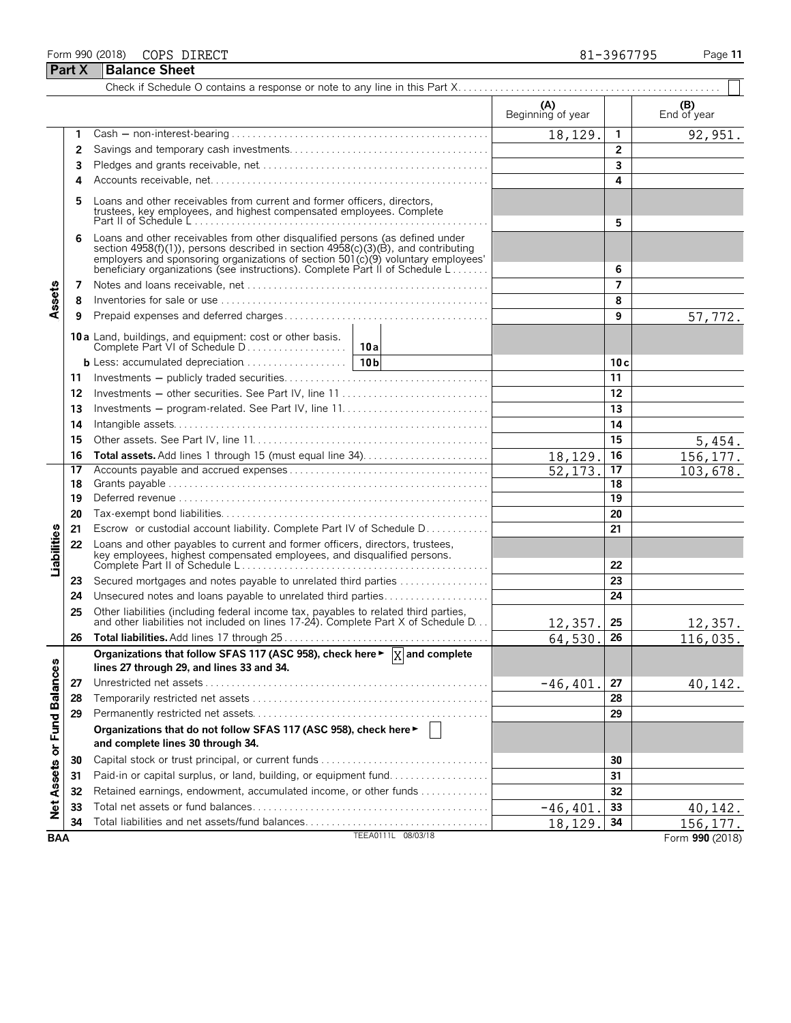### Form 990 (2018) Page **11** COPS DIRECT 81-3967795

**Part X** Balance Sheet Check if Schedule O contains a response or note to any line in this Part X. . . . . . . . . . . . . . . . . . . . . . . . . . . . . . . . . . . . . . . . . . . . . . . . . .  $(B)$  **(A)**  $\qquad \qquad$  **End of year** End of year **(A) (B) 1** Cash ' non-interest-bearing . . . . . . . . . . . . . . . . . . . . . . . . . . . . . . . . . . . . . . . . . . . . . . . . . **1** 18,129. 1 92,951 **2** Savings and temporary cash investments. . . . . . . . . . . . . . . . . . . . . . . . . . . . . . . . . . . . . . **2 3** Pledges and grants receivable, net. . . . . . . . . . . . . . . . . . . . . . . . . . . . . . . . . . . . . . . . . . . . **3 4** Accounts receivable, net. . . . . . . . . . . . . . . . . . . . . . . . . . . . . . . . . . . . . . . . . . . . . . . . . . . . . **4 5** Loans and other receivables from current and former officers, directors, trustees, key employees, and highest compensated employees. Complete Part II of Schedule L . . . . . . . . . . . . . . . . . . . . . . . . . . . . . . . . . . . . . . . . . . . . . . . . . . . . . . . . **5 6** Loans and other receivables from other disqualified persons (as defined under section 4958(f)(1)), persons described in section 4958(c)(3)(B), and contributing employers and sponsoring organizations of section  $501(c)(9)$  voluntary employees' beneficiary organizations (see instructions). Complete Part II of Schedule L . . . . . . . **6 7** Notes and loans receivable, net. . . . . . . . . . . . . . . . . . . . . . . . . . . . . . . . . . . . . . . . . . . . . . . **7** Assets **8** Inventories for sale or use . . . . . . . . . . . . . . . . . . . . . . . . . . . . . . . . . . . . . . . . . . . . . . . . . . . **8 9** Prepaid expenses and deferred charges . . . . . . . . . . . . . . . . . . . . . . . . . . . . . . . . . . . . . . . **9** 57,772. **10 a** Land, buildings, and equipment: cost or other basis. Complete Part VI of Schedule D . . . . . . . . . . . . . . . . . . . **10a b** Less: accumulated depreciation. . . . . . . . . . . . . . . . . . . . **10b 10 c 11** Investments ' publicly traded securities. . . . . . . . . . . . . . . . . . . . . . . . . . . . . . . . . . . . . . . **11 12** Investments ' other securities. See Part IV, line 11 . . . . . . . . . . . . . . . . . . . . . . . . . . . . **12 13** Investments ' program-related. See Part IV, line 11. . . . . . . . . . . . . . . . . . . . . . . . . . . . **13 14** Intangible assets. . . . . . . . . . . . . . . . . . . . . . . . . . . . . . . . . . . . . . . . . . . . . . . . . . . . . . . . . . . . **14 15** Other assets. See Part IV, line 11. . . . . . . . . . . . . . . . . . . . . . . . . . . . . . . . . . . . . . . . . . . . . **15** 5,454. **16 Total assets.** Add lines 1 through 15 (must equal line 34). . . . . . . . . . . . . . . . . . . . . . . . **16** 18,129. 156,177. **17** Accounts payable and accrued expenses . . . . . . . . . . . . . . . . . . . . . . . . . . . . . . . . . . . . . . **17** 103,678 **18** Grants payable . . . . . . . . . . . . . . . . . . . . . . . . . . . . . . . . . . . . . . . . . . . . . . . . . . . . . . . . . . . . . **18 19** Deferred revenue . . . . . . . . . . . . . . . . . . . . . . . . . . . . . . . . . . . . . . . . . . . . . . . . . . . . . . . . . . . **19 20** Tax-exempt bond liabilities. . . . . . . . . . . . . . . . . . . . . . . . . . . . . . . . . . . . . . . . . . . . . . . . . . . **20 21** Escrow or custodial account liability. Complete Part IV of Schedule D. . . . . . . . . . . . **21 Liabilities 22** Loans and other payables to current and former officers, directors, trustees, key employees, highest compensated employees, and disqualified persons. Complete Part II of Schedule L . . . . . . . . . . . . . . . . . . . . . . . . . . . . . . . . . . . . . . . . . . . . . . . **22 23** Secured mortgages and notes payable to unrelated third parties . . . . . . . . . . . . . . . . . **23 24** Unsecured notes and loans payable to unrelated third parties. . . . . . . . . . . . . . . . . . . . **24 25** Other liabilities (including federal income tax, payables to related third parties,<br>and other liabilities not included on lines 17-24). Complete Part X of Schedule D. . . **25** 257, **25** 12,357. 25 12,357. **26 Total liabilities.** Add lines 17 through 25 . . . . . . . . . . . . . . . . . . . . . . . . . . . . . . . . . . . . . . . **26** 116,035. Organizations that follow SFAS 117 (ASC 958), check here ►  $\boxed{\mathrm{X}}$  and complete Balances **lines 27 through 29, and lines 33 and 34. 27** Unrestricted net assets . . . . . . . . . . . . . . . . . . . . . . . . . . . . . . . . . . . . . . . . . . . . . . . . . . . . . . **27** -46,401. 40,142. **28** Temporarily restricted net assets . . . . . . . . . . . . . . . . . . . . . . . . . . . . . . . . . . . . . . . . . . . . . **28 29** Permanently restricted net assets. . . . . . . . . . . . . . . . . . . . . . . . . . . . . . . . . . . . . . . . . . . . . **29** or Fund **Organizations that do not follow SFAS 117 (ASC 958), check here** G **and complete lines 30 through 34. 30** Capital stock or trust principal, or current funds. . . . . . . . . . . . . . . . . . . . . . . . . . . . . . . . . **30**

**34** Total liabilities and net assets/fund balances. . . . . . . . . . . . . . . . . . . . . . . . . . . . . . . . . . . **34** TEEA0111L 08/03/18 **BAA** Form **990** (2018)

Ľ. Asset ğ

**31** Paid-in or capital surplus, or land, building, or equipment fund. . . . . . . . . . . . . . . . . . . **31 32** Retained earnings, endowment, accumulated income, or other funds . . . . . . . . . . . . . **32 33** Total net assets or fund balances. . . . . . . . . . . . . . . . . . . . . . . . . . . . . . . . . . . . . . . . . . . . . **33**

18,129. 156,177.

 $-46,401$ . 33 | 40,142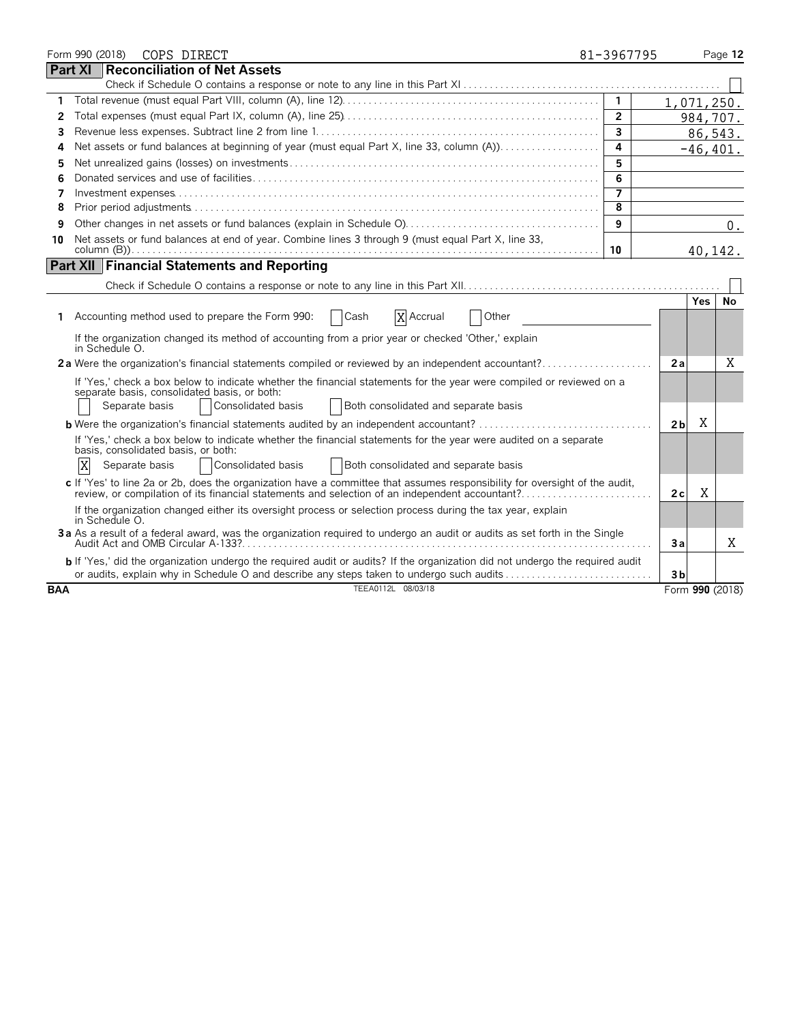|            |                | Form 990 (2018) | COPS DIRECT                                                                                                                                                                                                                        | 81-3967795     |                 |            | Page 12     |
|------------|----------------|-----------------|------------------------------------------------------------------------------------------------------------------------------------------------------------------------------------------------------------------------------------|----------------|-----------------|------------|-------------|
|            | <b>Part XI</b> |                 | Reconciliation of Net Assets                                                                                                                                                                                                       |                |                 |            |             |
|            |                |                 |                                                                                                                                                                                                                                    |                |                 |            |             |
| 1.         |                |                 |                                                                                                                                                                                                                                    | $\mathbf{1}$   | 1,071,250.      |            |             |
| 2          |                |                 |                                                                                                                                                                                                                                    | $\overline{2}$ |                 |            | 984,707.    |
| 3          |                |                 |                                                                                                                                                                                                                                    | $\overline{3}$ |                 |            | 86,543.     |
| 4          |                |                 |                                                                                                                                                                                                                                    | 4              |                 |            | $-46, 401.$ |
| 5          |                |                 |                                                                                                                                                                                                                                    | 5              |                 |            |             |
| 6          |                |                 |                                                                                                                                                                                                                                    | 6              |                 |            |             |
| 7          |                |                 |                                                                                                                                                                                                                                    |                |                 |            |             |
| 8          |                |                 |                                                                                                                                                                                                                                    | 8              |                 |            |             |
| 9          |                |                 |                                                                                                                                                                                                                                    | 9              |                 |            | 0.          |
| 10         |                |                 | Net assets or fund balances at end of year. Combine lines 3 through 9 (must equal Part X, line 33,                                                                                                                                 | 10             |                 | 40,142.    |             |
|            |                |                 | <b>Part XII Financial Statements and Reporting</b>                                                                                                                                                                                 |                |                 |            |             |
|            |                |                 |                                                                                                                                                                                                                                    |                |                 |            |             |
|            |                |                 |                                                                                                                                                                                                                                    |                |                 | <b>Yes</b> | No          |
| 1.         |                |                 | X Accrual<br>Other<br>Accounting method used to prepare the Form 990:<br>Cash                                                                                                                                                      |                |                 |            |             |
|            |                | in Schedule O.  | If the organization changed its method of accounting from a prior year or checked 'Other,' explain                                                                                                                                 |                |                 |            |             |
|            |                |                 | 2a Were the organization's financial statements compiled or reviewed by an independent accountant?                                                                                                                                 |                | 2a              |            | Χ           |
|            |                | Separate basis  | If 'Yes,' check a box below to indicate whether the financial statements for the year were compiled or reviewed on a<br>separate basis, consolidated basis, or both:<br>Consolidated basis<br>Both consolidated and separate basis |                |                 |            |             |
|            |                |                 | <b>b</b> Were the organization's financial statements audited by an independent accountant?                                                                                                                                        |                | 2 <sub>b</sub>  | X          |             |
|            | X              | Separate basis  | If 'Yes,' check a box below to indicate whether the financial statements for the year were audited on a separate<br>basis, consolidated basis, or both:<br>Consolidated basis<br><b>Both consolidated and separate basis</b>       |                |                 |            |             |
|            |                |                 | c If 'Yes' to line 2a or 2b, does the organization have a committee that assumes responsibility for oversight of the audit,<br>review, or compilation of its financial statements and selection of an independent accountant?      |                | 2c              | Χ          |             |
|            |                | in Schedule O.  | If the organization changed either its oversight process or selection process during the tax year, explain                                                                                                                         |                |                 |            |             |
|            |                |                 | 3a As a result of a federal award, was the organization required to undergo an audit or audits as set forth in the Single                                                                                                          |                | Зa              |            | X           |
|            |                |                 | b If 'Yes,' did the organization undergo the required audit or audits? If the organization did not undergo the required audit<br>or audits, explain why in Schedule O and describe any steps taken to undergo such audits          |                | 3 <sub>b</sub>  |            |             |
| <b>BAA</b> |                |                 | TEEA0112L 08/03/18                                                                                                                                                                                                                 |                | Form 990 (2018) |            |             |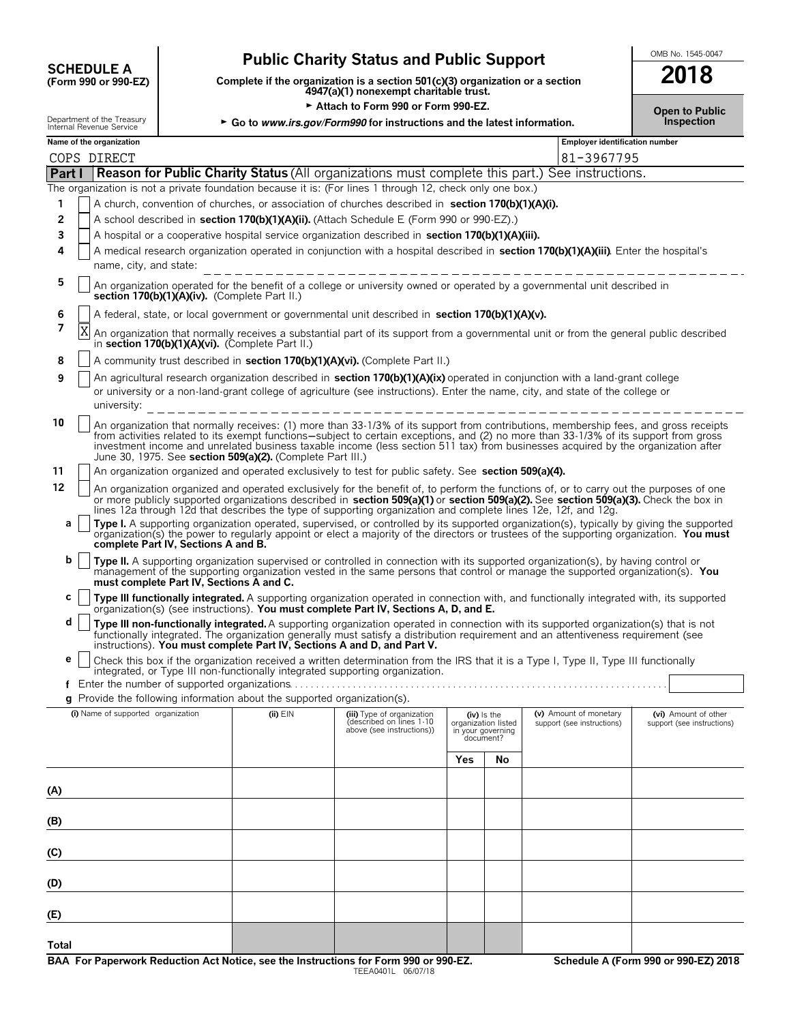# **CHEDULE A** Public Charity Status and Public Support<br>
(Form 990 or 990-EZ) Complete if the organization is a section 501(c)(3) organization or a section

**COMPOUTE A**<br>(Form 990 or 990-EZ) Complete if the organization is a section 501(c)(3) organization or a section<br>4947(a)(1) nonexempt charitable trust.

► Attach to Form 990 or Form 990-EZ. **Depictive State of Public** 

Department of the Treasury **Frank Concord Figure 3 Go to** *www.irs.gov/Form990* **for instructions and the latest information.** Internal Revenue Service

| <b>Open to Publi</b> |  |  |
|----------------------|--|--|
| <b>Inspection</b>    |  |  |

|  | Name of the organization |
|--|--------------------------|

| nue Service  | as to minimately and a more modeled to and the latest implification. | ---- |
|--------------|----------------------------------------------------------------------|------|
| organization | <b>Employer identification number</b>                                |      |

|       |                                                                                                                  | COPS DIRECT                                                                                                                                                                                                                                                                                                                                                                                                                                                                      |              |                                                                                     |     |                                                                        | 81-3967795                                           |                                                    |  |  |  |  |
|-------|------------------------------------------------------------------------------------------------------------------|----------------------------------------------------------------------------------------------------------------------------------------------------------------------------------------------------------------------------------------------------------------------------------------------------------------------------------------------------------------------------------------------------------------------------------------------------------------------------------|--------------|-------------------------------------------------------------------------------------|-----|------------------------------------------------------------------------|------------------------------------------------------|----------------------------------------------------|--|--|--|--|
|       | <b>Reason for Public Charity Status</b> (All organizations must complete this part.) See instructions.<br>Part I |                                                                                                                                                                                                                                                                                                                                                                                                                                                                                  |              |                                                                                     |     |                                                                        |                                                      |                                                    |  |  |  |  |
|       |                                                                                                                  | The organization is not a private foundation because it is: (For lines 1 through 12, check only one box.)                                                                                                                                                                                                                                                                                                                                                                        |              |                                                                                     |     |                                                                        |                                                      |                                                    |  |  |  |  |
| 1     |                                                                                                                  | A church, convention of churches, or association of churches described in section 170(b)(1)(A)(i).                                                                                                                                                                                                                                                                                                                                                                               |              |                                                                                     |     |                                                                        |                                                      |                                                    |  |  |  |  |
| 2     |                                                                                                                  | A school described in section 170(b)(1)(A)(ii). (Attach Schedule E (Form 990 or 990-EZ).)                                                                                                                                                                                                                                                                                                                                                                                        |              |                                                                                     |     |                                                                        |                                                      |                                                    |  |  |  |  |
| 3     |                                                                                                                  | A hospital or a cooperative hospital service organization described in section 170(b)(1)(A)(iii).                                                                                                                                                                                                                                                                                                                                                                                |              |                                                                                     |     |                                                                        |                                                      |                                                    |  |  |  |  |
| 4     |                                                                                                                  | A medical research organization operated in conjunction with a hospital described in section 170(b)(1)(A)(iii). Enter the hospital's                                                                                                                                                                                                                                                                                                                                             |              |                                                                                     |     |                                                                        |                                                      |                                                    |  |  |  |  |
|       |                                                                                                                  | name, city, and state:                                                                                                                                                                                                                                                                                                                                                                                                                                                           |              |                                                                                     |     |                                                                        |                                                      |                                                    |  |  |  |  |
| 5     |                                                                                                                  | An organization operated for the benefit of a college or university owned or operated by a governmental unit described in<br>section 170(b)(1)(A)(iv). (Complete Part II.)                                                                                                                                                                                                                                                                                                       |              |                                                                                     |     |                                                                        |                                                      |                                                    |  |  |  |  |
| 6     |                                                                                                                  | A federal, state, or local government or governmental unit described in section 170(b)(1)(A)(v).                                                                                                                                                                                                                                                                                                                                                                                 |              |                                                                                     |     |                                                                        |                                                      |                                                    |  |  |  |  |
| 7     |                                                                                                                  | An organization that normally receives a substantial part of its support from a governmental unit or from the general public described<br>in section 170(b)(1)(A)(vi). (Complete Part II.)                                                                                                                                                                                                                                                                                       |              |                                                                                     |     |                                                                        |                                                      |                                                    |  |  |  |  |
| 8     |                                                                                                                  | A community trust described in section 170(b)(1)(A)(vi). (Complete Part II.)                                                                                                                                                                                                                                                                                                                                                                                                     |              |                                                                                     |     |                                                                        |                                                      |                                                    |  |  |  |  |
| 9     |                                                                                                                  | An agricultural research organization described in section 170(b)(1)(A)(ix) operated in conjunction with a land-grant college<br>or university or a non-land-grant college of agriculture (see instructions). Enter the name, city, and state of the college or                                                                                                                                                                                                                  |              |                                                                                     |     |                                                                        |                                                      |                                                    |  |  |  |  |
|       |                                                                                                                  | university:                                                                                                                                                                                                                                                                                                                                                                                                                                                                      |              |                                                                                     |     |                                                                        |                                                      |                                                    |  |  |  |  |
| 10    |                                                                                                                  | An organization that normally receives: (1) more than 33-1/3% of its support from contributions, membership fees, and gross receipts<br>from activities related to its exempt functions—subject to certain exceptions, and (2) no more than 33-1/3% of its support from gross<br>investment income and unrelated business taxable income (less section 511 tax) from businesses acquired by the organization after<br>June 30, 1975. See section 509(a)(2). (Complete Part III.) |              |                                                                                     |     |                                                                        |                                                      |                                                    |  |  |  |  |
| 11    |                                                                                                                  | An organization organized and operated exclusively to test for public safety. See section 509(a)(4).                                                                                                                                                                                                                                                                                                                                                                             |              |                                                                                     |     |                                                                        |                                                      |                                                    |  |  |  |  |
| 12    |                                                                                                                  | An organization organized and operated exclusively for the benefit of, to perform the functions of, or to carry out the purposes of one<br>or more publicly supported organizations described in section 509(a)(1) or section 509(a)(2). See section 509(a)(3). Check the box in<br>lines 12a through 12d that describes the type of supporting organization and complete lines 12e, 12f, and 12g,                                                                               |              |                                                                                     |     |                                                                        |                                                      |                                                    |  |  |  |  |
| a     |                                                                                                                  | Type I. A supporting organization operated, supervised, or controlled by its supported organization(s), typically by giving the supported<br>organization(s) the power to regularly appoint or elect a majority of the directors or trustees of the supporting organization. You must<br>complete Part IV, Sections A and B.                                                                                                                                                     |              |                                                                                     |     |                                                                        |                                                      |                                                    |  |  |  |  |
| b     |                                                                                                                  | Type II. A supporting organization supervised or controlled in connection with its supported organization(s), by having control or<br>management of the supporting organization vested in the same persons that control or manage the supported organization(s). You<br>must complete Part IV, Sections A and C.                                                                                                                                                                 |              |                                                                                     |     |                                                                        |                                                      |                                                    |  |  |  |  |
| c     |                                                                                                                  | Type III functionally integrated. A supporting organization operated in connection with, and functionally integrated with, its supported<br>organization(s) (see instructions). You must complete Part IV, Sections A, D, and E.                                                                                                                                                                                                                                                 |              |                                                                                     |     |                                                                        |                                                      |                                                    |  |  |  |  |
| d     |                                                                                                                  | Type III non-functionally integrated. A supporting organization operated in connection with its supported organization(s) that is not<br>functionally integrated. The organization generally must satisfy a distribution requirement and an attentiveness requirement (see<br>instructions). You must complete Part IV, Sections A and D, and Part V.                                                                                                                            |              |                                                                                     |     |                                                                        |                                                      |                                                    |  |  |  |  |
| е     |                                                                                                                  | Check this box if the organization received a written determination from the IRS that it is a Type I, Type II, Type III functionally<br>integrated, or Type III non-functionally integrated supporting organization.                                                                                                                                                                                                                                                             |              |                                                                                     |     |                                                                        |                                                      |                                                    |  |  |  |  |
|       |                                                                                                                  |                                                                                                                                                                                                                                                                                                                                                                                                                                                                                  |              |                                                                                     |     |                                                                        |                                                      |                                                    |  |  |  |  |
|       |                                                                                                                  | $q$ Provide the following information about the supported organization(s).                                                                                                                                                                                                                                                                                                                                                                                                       |              |                                                                                     |     |                                                                        |                                                      |                                                    |  |  |  |  |
|       |                                                                                                                  | (i) Name of supported organization                                                                                                                                                                                                                                                                                                                                                                                                                                               | $(ii)$ $EIN$ | (iii) Type of organization<br>(described on lines 1-10<br>above (see instructions)) |     | $(iv)$ is the<br>organization listed<br>in your governing<br>document? | (v) Amount of monetary<br>support (see instructions) | (vi) Amount of other<br>support (see instructions) |  |  |  |  |
|       |                                                                                                                  |                                                                                                                                                                                                                                                                                                                                                                                                                                                                                  |              |                                                                                     | Yes | No                                                                     |                                                      |                                                    |  |  |  |  |
| (A)   |                                                                                                                  |                                                                                                                                                                                                                                                                                                                                                                                                                                                                                  |              |                                                                                     |     |                                                                        |                                                      |                                                    |  |  |  |  |
| (B)   |                                                                                                                  |                                                                                                                                                                                                                                                                                                                                                                                                                                                                                  |              |                                                                                     |     |                                                                        |                                                      |                                                    |  |  |  |  |
|       |                                                                                                                  |                                                                                                                                                                                                                                                                                                                                                                                                                                                                                  |              |                                                                                     |     |                                                                        |                                                      |                                                    |  |  |  |  |
| (C)   |                                                                                                                  |                                                                                                                                                                                                                                                                                                                                                                                                                                                                                  |              |                                                                                     |     |                                                                        |                                                      |                                                    |  |  |  |  |
| (D)   |                                                                                                                  |                                                                                                                                                                                                                                                                                                                                                                                                                                                                                  |              |                                                                                     |     |                                                                        |                                                      |                                                    |  |  |  |  |
| (E)   |                                                                                                                  |                                                                                                                                                                                                                                                                                                                                                                                                                                                                                  |              |                                                                                     |     |                                                                        |                                                      |                                                    |  |  |  |  |
| Total |                                                                                                                  |                                                                                                                                                                                                                                                                                                                                                                                                                                                                                  |              |                                                                                     |     |                                                                        |                                                      |                                                    |  |  |  |  |
|       |                                                                                                                  |                                                                                                                                                                                                                                                                                                                                                                                                                                                                                  |              |                                                                                     |     |                                                                        |                                                      |                                                    |  |  |  |  |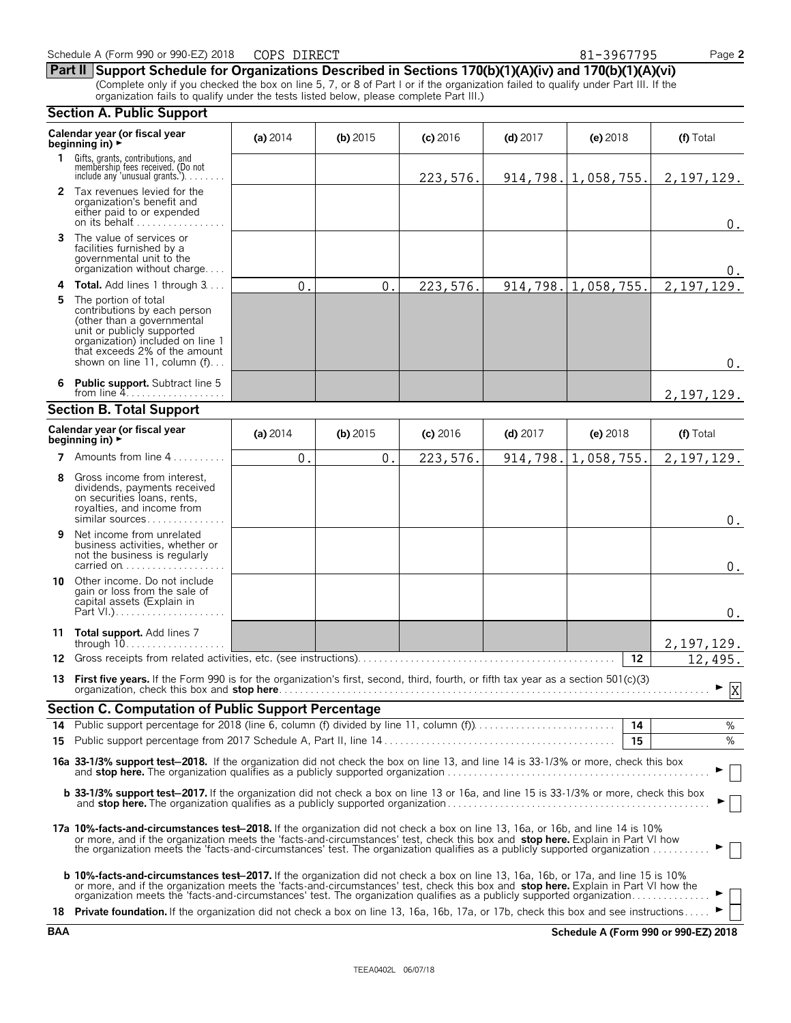|            | Calendar year (or fiscal year<br>beginning in) $\blacktriangleright$                                                                                                                                                                                                                                                                                                                                      | (a) 2014   | $(b)$ 2015 | $(c)$ 2016 | $(d)$ 2017 | (e) $2018$                     | (f) Total                            |
|------------|-----------------------------------------------------------------------------------------------------------------------------------------------------------------------------------------------------------------------------------------------------------------------------------------------------------------------------------------------------------------------------------------------------------|------------|------------|------------|------------|--------------------------------|--------------------------------------|
|            | 1 Gifts, grants, contributions, and<br>membership fees received. (Do not<br>include any 'unusual grants.')                                                                                                                                                                                                                                                                                                |            |            | 223,576.   |            | $914, 798.$   1,058,755.       | 2, 197, 129.                         |
|            | 2 Tax revenues levied for the<br>organization's benefit and<br>either paid to or expended<br>on its behalf                                                                                                                                                                                                                                                                                                |            |            |            |            |                                | $0$ .                                |
| 3          | The value of services or<br>facilities furnished by a<br>governmental unit to the<br>organization without charge                                                                                                                                                                                                                                                                                          |            |            |            |            |                                | 0.                                   |
|            | 4 Total. Add lines 1 through 3                                                                                                                                                                                                                                                                                                                                                                            | 0.         | 0.         | 223,576.   |            | $914, 798. \mid 1, 058, 755.$  | 2, 197, 129.                         |
| 5          | The portion of total<br>contributions by each person<br>(other than a governmental<br>unit or publicly supported<br>organization) included on line 1<br>that exceeds 2% of the amount<br>shown on line 11, column (f)                                                                                                                                                                                     |            |            |            |            |                                | $0$ .                                |
| 6.         | <b>Public support.</b> Subtract line 5<br>from line $4. \ldots \ldots \ldots \ldots \ldots$                                                                                                                                                                                                                                                                                                               |            |            |            |            |                                | 2, 197, 129.                         |
|            | <b>Section B. Total Support</b>                                                                                                                                                                                                                                                                                                                                                                           |            |            |            |            |                                |                                      |
|            | Calendar year (or fiscal year<br>beginning in) $\blacktriangleright$                                                                                                                                                                                                                                                                                                                                      | (a) $2014$ | (b) $2015$ | $(c)$ 2016 | $(d)$ 2017 | (e) 2018                       | (f) Total                            |
|            | 7 Amounts from line 4                                                                                                                                                                                                                                                                                                                                                                                     | 0.         | 0.         | 223, 576.  |            | $914, 798. \vert 1, 058, 755.$ | 2, 197, 129.                         |
| 8          | Gross income from interest,<br>dividends, payments received<br>on securities loans, rents,<br>royalties, and income from<br>similar sources                                                                                                                                                                                                                                                               |            |            |            |            |                                | 0.                                   |
| 9          | Net income from unrelated<br>business activities, whether or<br>not the business is regularly<br>carried on                                                                                                                                                                                                                                                                                               |            |            |            |            |                                | 0.                                   |
|            | 10 Other income. Do not include<br>gain or loss from the sale of<br>capital assets (Explain in                                                                                                                                                                                                                                                                                                            |            |            |            |            |                                | 0.                                   |
|            | 11 Total support. Add lines 7<br>through $10$                                                                                                                                                                                                                                                                                                                                                             |            |            |            |            |                                | 2, 197, 129.                         |
| 12         |                                                                                                                                                                                                                                                                                                                                                                                                           |            |            |            |            | 12                             | 12,495.                              |
|            | 13 First five years. If the Form 990 is for the organization's first, second, third, fourth, or fifth tax year as a section 501(c)(3)<br>organization, check this box and stop here.                                                                                                                                                                                                                      |            |            |            |            |                                | $\blacktriangleright$ X              |
|            | <b>Section C. Computation of Public Support Percentage</b>                                                                                                                                                                                                                                                                                                                                                |            |            |            |            |                                |                                      |
|            |                                                                                                                                                                                                                                                                                                                                                                                                           |            |            |            |            | 14                             | %                                    |
| 15         |                                                                                                                                                                                                                                                                                                                                                                                                           |            |            |            |            | 15                             | %                                    |
|            | 16a 33-1/3% support test-2018. If the organization did not check the box on line 13, and line 14 is 33-1/3% or more, check this box                                                                                                                                                                                                                                                                       |            |            |            |            |                                |                                      |
|            | b 33-1/3% support test-2017. If the organization did not check a box on line 13 or 16a, and line 15 is 33-1/3% or more, check this box                                                                                                                                                                                                                                                                    |            |            |            |            |                                |                                      |
|            | 17a 10%-facts-and-circumstances test-2018. If the organization did not check a box on line 13, 16a, or 16b, and line 14 is 10%<br>or more, and if the organization meets the 'facts-and-circumstances' test, check this box and stop here. Explain in Part VI how<br>the organization meets the 'facts-and-circumstances' test. The organization qualifies as a publicly supported organization           |            |            |            |            |                                |                                      |
|            | <b>b 10%-facts-and-circumstances test–2017.</b> If the organization did not check a box on line 13, 16a, 16b, or 17a, and line 15 is 10%<br>or more, and if the organization meets the 'facts-and-circumstances' test, check this box and stop here. Explain in Part VI how the<br>organization meets the 'facts-and-circumstances' test. The organization qualifies as a publicly supported organization |            |            |            |            |                                |                                      |
|            | 18 Private foundation. If the organization did not check a box on line 13, 16a, 16b, 17a, or 17b, check this box and see instructions                                                                                                                                                                                                                                                                     |            |            |            |            |                                |                                      |
| <b>BAA</b> |                                                                                                                                                                                                                                                                                                                                                                                                           |            |            |            |            |                                | Schedule A (Form 990 or 990-EZ) 2018 |

**Section A. Public Support**

**Part II Support Schedule for Organizations Described in Sections 170(b)(1)(A)(iv) and 170(b)(1)(A)(vi)** (Complete only if you checked the box on line 5, 7, or 8 of Part I or if the organization failed to qualify under Part III. If the organization fails to qualify under the tests listed below, please complete Part III.)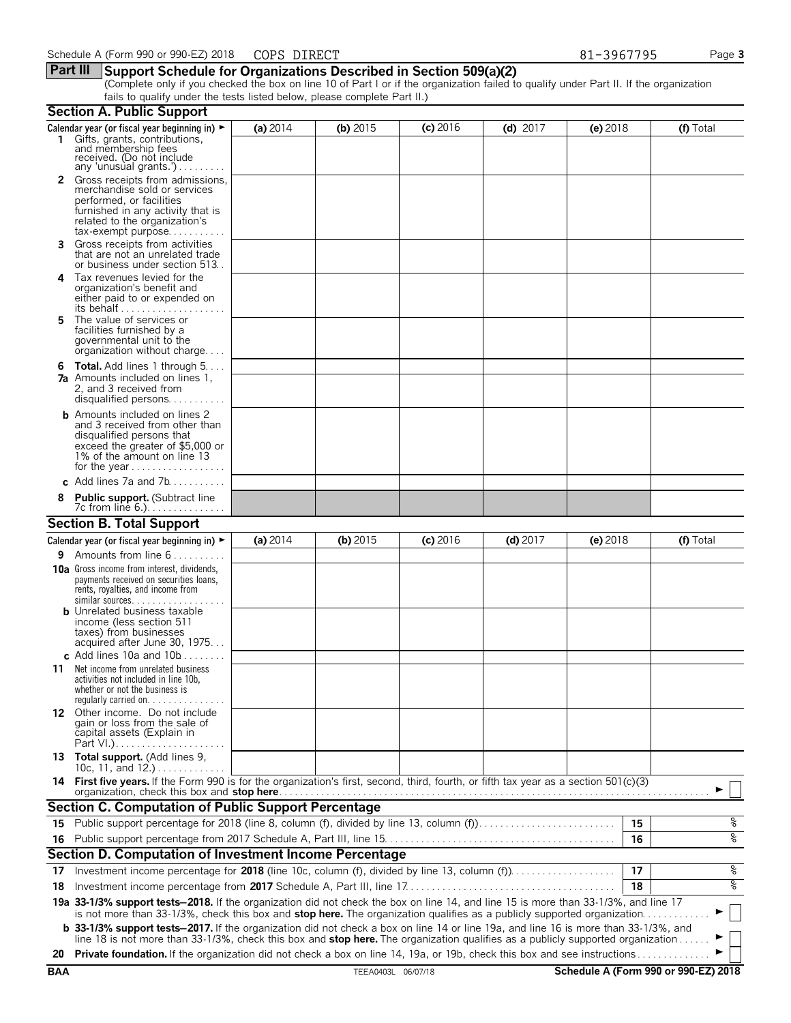# **Part III Support Schedule for Organizations Described in Section 509(a)(2)**

(Complete only if you checked the box on line 10 of Part I or if the organization failed to qualify under Part II. If the organization fails to qualify under the tests listed below, please complete Part II.)

|     | <b>Section A. Public Support</b>                                                                                                                                                                                                                               |            |                    |            |            |            |    |                                      |
|-----|----------------------------------------------------------------------------------------------------------------------------------------------------------------------------------------------------------------------------------------------------------------|------------|--------------------|------------|------------|------------|----|--------------------------------------|
|     | Calendar year (or fiscal year beginning in) $\blacktriangleright$<br>1 Gifts, grants, contributions,<br>and membership fees<br>received. (Do not include                                                                                                       | (a) $2014$ | (b) $2015$         | $(c)$ 2016 | (d) $2017$ | $(e)$ 2018 |    | (f) Total                            |
|     | any 'unusual grants.')<br>2 Gross receipts from admissions,<br>merchandise sold or services<br>performed, or facilities                                                                                                                                        |            |                    |            |            |            |    |                                      |
|     | furnished in any activity that is<br>related to the organization's<br>$tax\text{-}exempt$ purpose                                                                                                                                                              |            |                    |            |            |            |    |                                      |
| 3   | Gross receipts from activities<br>that are not an unrelated trade<br>or business under section 513.                                                                                                                                                            |            |                    |            |            |            |    |                                      |
| 4   | Tax revenues levied for the<br>organization's benefit and<br>either paid to or expended on<br>its behalf                                                                                                                                                       |            |                    |            |            |            |    |                                      |
| 5.  | The value of services or<br>facilities furnished by a<br>governmental unit to the<br>organization without charge                                                                                                                                               |            |                    |            |            |            |    |                                      |
|     | <b>6 Total.</b> Add lines 1 through $5 \ldots$<br><b>7a</b> Amounts included on lines 1.<br>2, and 3 received from<br>disqualified persons                                                                                                                     |            |                    |            |            |            |    |                                      |
|     | <b>b</b> Amounts included on lines 2<br>and 3 received from other than<br>disqualified persons that<br>exceed the greater of \$5,000 or<br>1% of the amount on line 13<br>for the year                                                                         |            |                    |            |            |            |    |                                      |
|     | c Add lines 7a and 7b                                                                                                                                                                                                                                          |            |                    |            |            |            |    |                                      |
|     | <b>Public support.</b> (Subtract line<br>7c from line 6.).                                                                                                                                                                                                     |            |                    |            |            |            |    |                                      |
|     | <b>Section B. Total Support</b>                                                                                                                                                                                                                                |            |                    |            |            |            |    |                                      |
|     | Calendar year (or fiscal year beginning in) $\blacktriangleright$                                                                                                                                                                                              | (a) $2014$ | $(b)$ 2015         | $(c)$ 2016 | $(d)$ 2017 | $(e)$ 2018 |    | (f) Total                            |
| 9.  | Amounts from line 6                                                                                                                                                                                                                                            |            |                    |            |            |            |    |                                      |
|     | <b>10a</b> Gross income from interest, dividends,<br>payments received on securities loans,<br>rents, royalties, and income from<br>similar sources.                                                                                                           |            |                    |            |            |            |    |                                      |
|     | <b>b</b> Unrelated business taxable<br>income (less section 511<br>taxes) from businesses<br>acquired after June 30, 1975<br>c. Add lines 10a and $10b$                                                                                                        |            |                    |            |            |            |    |                                      |
| 11  | Net income from unrelated business<br>activities not included in line 10b,<br>whether or not the business is<br>regularly carried on. $\ldots$                                                                                                                 |            |                    |            |            |            |    |                                      |
|     | 12 Other income. Do not include<br>gain or loss from the sale of<br>capital assets (Explain in                                                                                                                                                                 |            |                    |            |            |            |    |                                      |
|     | 13 Total support. (Add lines 9,<br>10c, 11, and 12.)                                                                                                                                                                                                           |            |                    |            |            |            |    |                                      |
|     | 14 First five years. If the Form 990 is for the organization's first, second, third, fourth, or fifth tax year as a section 501(c)(3)<br>organization, check this box and stop here.                                                                           |            |                    |            |            |            |    |                                      |
|     | Section C. Computation of Public Support Percentage                                                                                                                                                                                                            |            |                    |            |            |            |    |                                      |
|     | 15 Public support percentage for 2018 (line 8, column (f), divided by line 13, column (f)                                                                                                                                                                      |            |                    |            |            |            | 15 | ್ಠಿ                                  |
|     |                                                                                                                                                                                                                                                                |            |                    |            |            |            | 16 | oه                                   |
|     | Section D. Computation of Investment Income Percentage                                                                                                                                                                                                         |            |                    |            |            |            |    |                                      |
| 17  |                                                                                                                                                                                                                                                                |            |                    |            |            |            | 17 | ್ಗ                                   |
| 18  |                                                                                                                                                                                                                                                                |            |                    |            |            |            | 18 | ್ಠಿ                                  |
|     | 19a 33-1/3% support tests-2018. If the organization did not check the box on line 14, and line 15 is more than 33-1/3%, and line 17<br>is not more than 33-1/3%, check this box and stop here. The organization qualifies as a publicly supported organization |            |                    |            |            |            |    |                                      |
|     | <b>b</b> 33-1/3% support tests-2017. If the organization did not check a box on line 14 or line 19a, and line 16 is more than 33-1/3%, and                                                                                                                     |            |                    |            |            |            |    |                                      |
| 20  | line 18 is not more than 33-1/3%, check this box and stop here. The organization qualifies as a publicly supported organization<br>Private foundation. If the organization did not check a box on line 14, 19a, or 19b, check this box and see instructions    |            |                    |            |            |            |    |                                      |
| BAA |                                                                                                                                                                                                                                                                |            | TEEA0403L 06/07/18 |            |            |            |    | Schedule A (Form 990 or 990-EZ) 2018 |
|     |                                                                                                                                                                                                                                                                |            |                    |            |            |            |    |                                      |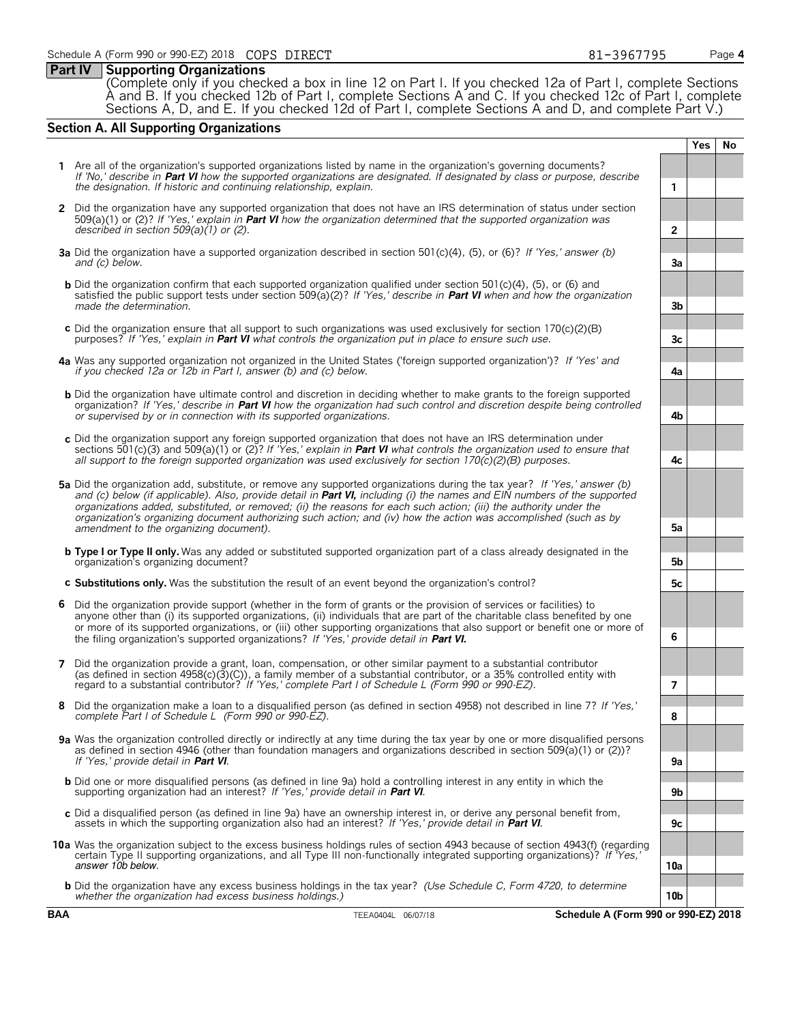# **Part IV Supporting Organizations**

(Complete only if you checked a box in line 12 on Part I. If you checked 12a of Part I, complete Sections A and B. If you checked 12b of Part I, complete Sections A and C. If you checked 12c of Part I, complete Sections A, D, and E. If you checked 12d of Part I, complete Sections A and D, and complete Part V.)

# **Section A. All Supporting Organizations**

**1** Are all of the organization's supported organizations listed by name in the organization's governing documents? *If 'No,' describe in* **Part VI** *how the supported organizations are designated. If designated by class or purpose, describe the designation. If historic and continuing relationship, explain.* **1 2** Did the organization have any supported organization that does not have an IRS determination of status under section 509(a)(1) or (2)? *If 'Yes,' explain in* **Part VI** *how the organization determined that the supported organization was described in section 509(a)(1) or (2).* **2 3a** Did the organization have a supported organization described in section 501(c)(4), (5), or (6)? *If 'Yes,' answer (b) and (c) below.* **3a b** Did the organization confirm that each supported organization qualified under section 501(c)(4), (5), or (6) and satisfied the public support tests under section 509(a)(2)? *If 'Yes,' describe in* **Part VI** *when and how the organization made the determination.* **3b c** Did the organization ensure that all support to such organizations was used exclusively for section 170(c)(2)(B) purposes? *If 'Yes,' explain in* **Part VI** *what controls the organization put in place to ensure such use.* **3c 4a** Was any supported organization not organized in the United States ('foreign supported organization')? *If 'Yes' and if you checked 12a or 12b in Part I, answer (b) and (c) below.* **4a b** Did the organization have ultimate control and discretion in deciding whether to make grants to the foreign supported organization? *If 'Yes,' describe in* **Part VI** *how the organization had such control and discretion despite being controlled or supervised by or in connection with its supported organizations.* **4b c** Did the organization support any foreign supported organization that does not have an IRS determination under sections 501(c)(3) and 509(a)(1) or (2)? *If 'Yes,' explain in* **Part VI** *what controls the organization used to ensure that all support to the foreign supported organization was used exclusively for section 170(c)(2)(B) purposes.* **4c 5a** Did the organization add, substitute, or remove any supported organizations during the tax year? *If 'Yes,' answer (b) and (c) below (if applicable). Also, provide detail in* **Part VI,** *including (i) the names and EIN numbers of the supported organizations added, substituted, or removed; (ii) the reasons for each such action; (iii) the authority under the organization's organizing document authorizing such action; and (iv) how the action was accomplished (such as by amendment to the organizing document).* **5a b Type I or Type II only.** Was any added or substituted supported organization part of a class already designated in the organization's organizing document? **5b c Substitutions only.** Was the substitution the result of an event beyond the organization's control? **5c 6** Did the organization provide support (whether in the form of grants or the provision of services or facilities) to anyone other than (i) its supported organizations, (ii) individuals that are part of the charitable class benefited by one or more of its supported organizations, or (iii) other supporting organizations that also support or benefit one or more of the filing organization's supported organizations? *If 'Yes,' provide detail in* **Part VI. 6 7** Did the organization provide a grant, loan, compensation, or other similar payment to a substantial contributor (as defined in section 4958(c)(3)(C)), a family member of a substantial contributor, or a 35% controlled entity with regard to a substantial contributor? *If 'Yes,' complete Part I of Schedule L (Form 990 or 990-EZ).* **7 8** Did the organization make a loan to a disqualified person (as defined in section 4958) not described in line 7? *If 'Yes,' complete Part I of Schedule L (Form 990 or 990-EZ).* **8 9a** Was the organization controlled directly or indirectly at any time during the tax year by one or more disqualified persons as defined in section 4946 (other than foundation managers and organizations described in section 509(a)(1) or (2))? *If 'Yes,' provide detail in* **Part VI**. **9a b** Did one or more disqualified persons (as defined in line 9a) hold a controlling interest in any entity in which the<br>supporting organization had an interest? If 'Yes,' provide detail in **Part VI**. c Did a disqualified person (as defined in line 9a) have an ownership interest in, or derive any personal benefit from,<br>assets in which the supporting organization also had an interest? If 'Yes,' provide detail in Part VI **10a** Was the organization subject to the excess business holdings rules of section 4943 because of section 4943(f) (regarding certain Type II supporting organizations, and all Type III non-functionally integrated supporting organizations)? *If 'Yes,'* answer 10b below. **10a b** Did the organization have any excess business holdings in the tax year? *(Use Schedule C, Form 4720, to determine whether the organization had excess business holdings.)* **10b BAA** TEEA0404L 06/07/18 **Schedule A (Form 990 or 990-EZ) 2018**

**Yes No**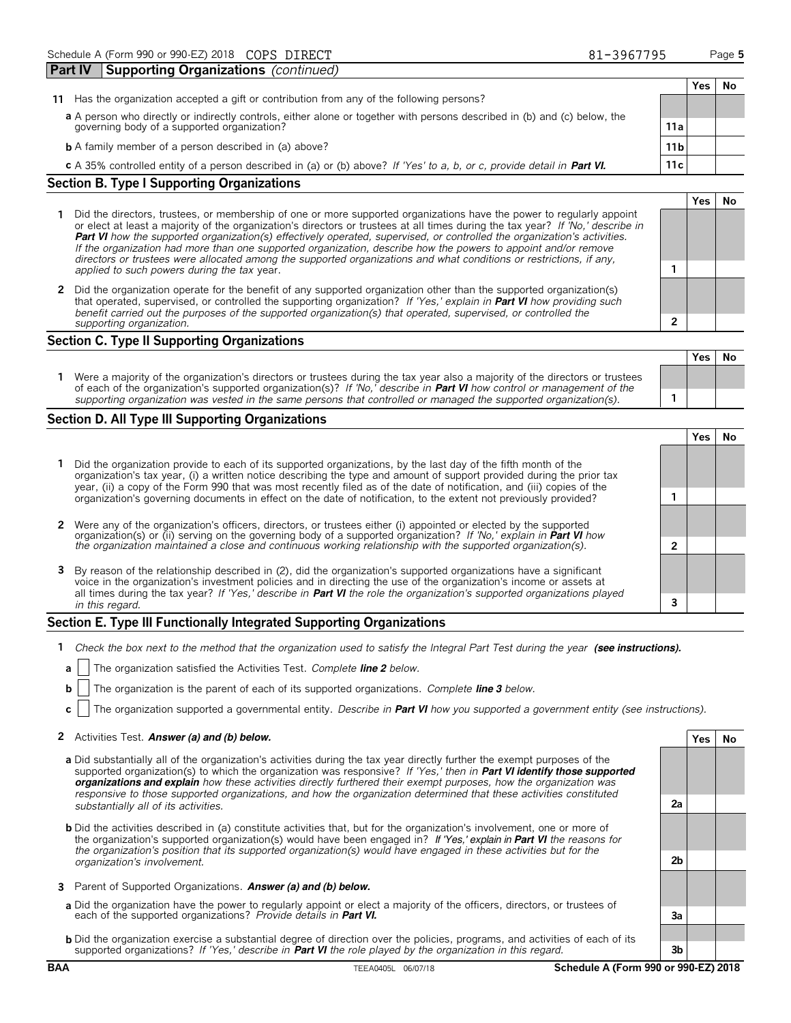|                                                                                                                           |                 | Yes | No |
|---------------------------------------------------------------------------------------------------------------------------|-----------------|-----|----|
| Has the organization accepted a gift or contribution from any of the following persons?<br>11                             |                 |     |    |
| a A person who directly or indirectly controls, either alone or together with persons described in (b) and (c) below, the |                 |     |    |
| governing body of a supported organization?                                                                               | 11a             |     |    |
| <b>b</b> A family member of a person described in (a) above?                                                              | 11 <sub>b</sub> |     |    |
| c A 35% controlled entity of a person described in (a) or (b) above? If 'Yes' to a, b, or c, provide detail in Part VI.   | 11 c            |     |    |
| <b>Section B. Type I Supporting Organizations</b>                                                                         |                 |     |    |
|                                                                                                                           |                 |     |    |

- **1** Did the directors, trustees, or membership of one or more supported organizations have the power to regularly appoint or elect at least a majority of the organization's directors or trustees at all times during the tax year? *If 'No,' describe in* **Part VI** *how the supported organization(s) effectively operated, supervised, or controlled the organization's activities. If the organization had more than one supported organization, describe how the powers to appoint and/or remove directors or trustees were allocated among the supported organizations and what conditions or restrictions, if any, applied to such powers during the tax* year. **1**
- **2** Did the organization operate for the benefit of any supported organization other than the supported organization(s) that operated, supervised, or controlled the supporting organization? *If 'Yes,' explain in* **Part VI** *how providing such benefit carried out the purposes of the supported organization(s) that operated, supervised, or controlled the supporting organization.* **2**

## **Section C. Type II Supporting Organizations**

|                                                                                                                                                                                                                                                               | Yes I | Nο |
|---------------------------------------------------------------------------------------------------------------------------------------------------------------------------------------------------------------------------------------------------------------|-------|----|
| Were a majority of the organization's directors or trustees during the tax year also a majority of the directors or trustees<br>of each of the organization's supported organization(s)? If 'No,' describe in <b>Part VI</b> how control or management of the |       |    |
| supporting organization was vested in the same persons that controlled or managed the supported organization(s).                                                                                                                                              |       |    |

# **Section D. All Type III Supporting Organizations**

|  |                                                                                                                                                                                                                                                                                                                                                                      |  | 'es |  |  |
|--|----------------------------------------------------------------------------------------------------------------------------------------------------------------------------------------------------------------------------------------------------------------------------------------------------------------------------------------------------------------------|--|-----|--|--|
|  | Did the organization provide to each of its supported organizations, by the last day of the fifth month of the<br>organization's tax year, (i) a written notice describing the type and amount of support provided during the prior tax<br>year, (ii) a copy of the Form 990 that was most recently filed as of the date of notification, and (iii) copies of the    |  |     |  |  |
|  | organization's governing documents in effect on the date of notification, to the extent not previously provided?                                                                                                                                                                                                                                                     |  |     |  |  |
|  | 2 Were any of the organization's officers, directors, or trustees either (i) appointed or elected by the supported<br>organization(s) or (ii) serving on the governing body of a supported organization? If 'No,' explain in <b>Part VI</b> how<br>the organization maintained a close and continuous working relationship with the supported organization(s).       |  |     |  |  |
|  |                                                                                                                                                                                                                                                                                                                                                                      |  |     |  |  |
|  | 3 By reason of the relationship described in (2), did the organization's supported organizations have a significant<br>voice in the organization's investment policies and in directing the use of the organization's income or assets at<br>all times during the tax year? If 'Yes,' describe in Part VI the role the organization's supported organizations played |  |     |  |  |
|  | in this regard.                                                                                                                                                                                                                                                                                                                                                      |  |     |  |  |

# **Section E. Type III Functionally Integrated Supporting Organizations**

- **1** *Check the box next to the method that the organization used to satisfy the Integral Part Test during the year* (see instructions).
- **a** The organization satisfied the Activities Test. *Complete line 2 below.*
- **b** The organization is the parent of each of its supported organizations. *Complete line 3 below.*
- **c** The organization supported a governmental entity. *Describe in* **Part VI** *how you supported a government entity (see instructions).*

## **2** Activities Test. Answer (a) and (b) below. **Yes No**

- **a** Did substantially all of the organization's activities during the tax year directly further the exempt purposes of the supported organization(s) to which the organization was responsive? *If 'Yes,' then in* **Part VI identify those supported organizations and explain** *how these activities directly furthered their exempt purposes, how the organization was responsive to those supported organizations, and how the organization determined that these activities constituted substantially all of its activities.* **2a**
- **b** Did the activities described in (a) constitute activities that, but for the organization's involvement, one or more of the organization's supported organization(s) would have been engaged in? If 'Yes,' explain in **Part VI** *the reasons for the organization's position that its supported organization(s) would have engaged in these activities but for the organization's involvement.* **2b**
- **3** Parent of Supported Organizations. **Answer (a) and (b) below.**
- **a** Did the organization have the power to regularly appoint or elect a majority of the officers, directors, or trustees of each of the supported organizations? *Provide details in* **Part VI. 3a**
- **b** Did the organization exercise a substantial degree of direction over the policies, programs, and activities of each of its supported organizations? *If 'Yes,' describe in* **Part VI** *the role played by the organization in this regard.* **3b**

**BAA** TEEA0405L 06/07/18 **Schedule A (Form 990 or 990-EZ) 2018**

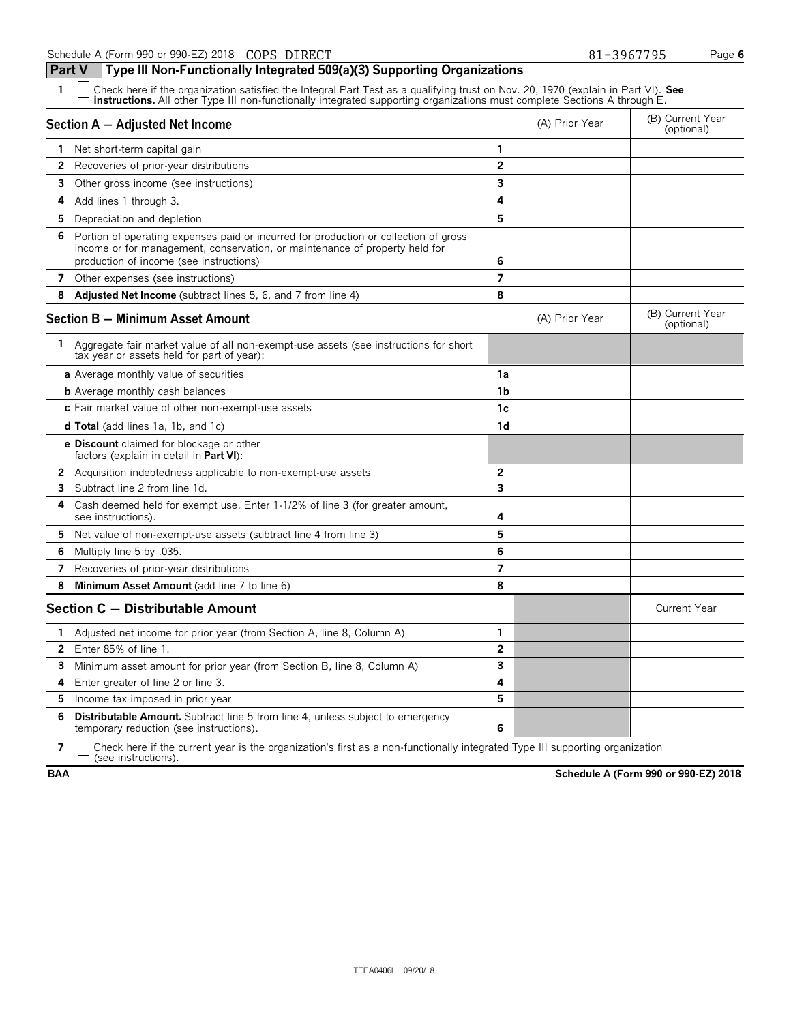**Part V Type III Non-Functionally Integrated 509(a)(3) Supporting Organizations**

| 1              | Check here if the organization satisfied the Integral Part Test as a qualifying trust on Nov. 20, 1970 (explain in Part VI). See<br><b>instructions.</b> All other Type III non-functionally integrated supporting organizations must complete Sections A through E. |                |                |                                |  |  |  |  |
|----------------|----------------------------------------------------------------------------------------------------------------------------------------------------------------------------------------------------------------------------------------------------------------------|----------------|----------------|--------------------------------|--|--|--|--|
|                | Section A - Adjusted Net Income                                                                                                                                                                                                                                      |                | (A) Prior Year | (B) Current Year<br>(optional) |  |  |  |  |
|                | <b>1</b> Net short-term capital gain                                                                                                                                                                                                                                 | 1              |                |                                |  |  |  |  |
| 2              | Recoveries of prior-year distributions                                                                                                                                                                                                                               | $\overline{2}$ |                |                                |  |  |  |  |
| 3.             | Other gross income (see instructions)                                                                                                                                                                                                                                | 3              |                |                                |  |  |  |  |
| 4              | Add lines 1 through 3.                                                                                                                                                                                                                                               | 4              |                |                                |  |  |  |  |
| 5.             | Depreciation and depletion                                                                                                                                                                                                                                           | 5              |                |                                |  |  |  |  |
| 6              | Portion of operating expenses paid or incurred for production or collection of gross<br>income or for management, conservation, or maintenance of property held for<br>production of income (see instructions)                                                       | 6              |                |                                |  |  |  |  |
| 7              | Other expenses (see instructions)                                                                                                                                                                                                                                    | $\overline{7}$ |                |                                |  |  |  |  |
| 8              | Adjusted Net Income (subtract lines 5, 6, and 7 from line 4)                                                                                                                                                                                                         | 8              |                |                                |  |  |  |  |
|                | <b>Section B - Minimum Asset Amount</b>                                                                                                                                                                                                                              |                | (A) Prior Year | (B) Current Year<br>(optional) |  |  |  |  |
|                | 1 Aggregate fair market value of all non-exempt-use assets (see instructions for short<br>tax year or assets held for part of year):                                                                                                                                 |                |                |                                |  |  |  |  |
|                | a Average monthly value of securities                                                                                                                                                                                                                                | 1a             |                |                                |  |  |  |  |
|                | <b>b</b> Average monthly cash balances                                                                                                                                                                                                                               | 1b             |                |                                |  |  |  |  |
|                | c Fair market value of other non-exempt-use assets                                                                                                                                                                                                                   | 1c             |                |                                |  |  |  |  |
|                | <b>d Total</b> (add lines 1a, 1b, and 1c)                                                                                                                                                                                                                            | 1 <sub>d</sub> |                |                                |  |  |  |  |
|                | <b>e Discount</b> claimed for blockage or other<br>factors (explain in detail in Part VI):                                                                                                                                                                           |                |                |                                |  |  |  |  |
| 2              | Acquisition indebtedness applicable to non-exempt-use assets                                                                                                                                                                                                         | 2              |                |                                |  |  |  |  |
| 3              | Subtract line 2 from line 1d.                                                                                                                                                                                                                                        | 3              |                |                                |  |  |  |  |
| 4              | Cash deemed held for exempt use. Enter 1-1/2% of line 3 (for greater amount,<br>see instructions).                                                                                                                                                                   | 4              |                |                                |  |  |  |  |
| 5.             | Net value of non-exempt-use assets (subtract line 4 from line 3)                                                                                                                                                                                                     | 5              |                |                                |  |  |  |  |
| 6              | Multiply line 5 by .035.                                                                                                                                                                                                                                             | 6              |                |                                |  |  |  |  |
| 7              | Recoveries of prior-year distributions                                                                                                                                                                                                                               | $\overline{7}$ |                |                                |  |  |  |  |
| 8              | Minimum Asset Amount (add line 7 to line 6)                                                                                                                                                                                                                          | 8              |                |                                |  |  |  |  |
|                | Section C - Distributable Amount                                                                                                                                                                                                                                     |                |                | <b>Current Year</b>            |  |  |  |  |
| 1.             | Adjusted net income for prior year (from Section A, line 8, Column A)                                                                                                                                                                                                | 1              |                |                                |  |  |  |  |
| $\overline{2}$ | Enter 85% of line 1.                                                                                                                                                                                                                                                 | $\overline{2}$ |                |                                |  |  |  |  |
| 3              | Minimum asset amount for prior year (from Section B, line 8, Column A)                                                                                                                                                                                               | 3              |                |                                |  |  |  |  |
| 4              | Enter greater of line 2 or line 3.                                                                                                                                                                                                                                   | 4              |                |                                |  |  |  |  |
| 5.             | Income tax imposed in prior year                                                                                                                                                                                                                                     | 5              |                |                                |  |  |  |  |
| 6              | <b>Distributable Amount.</b> Subtract line 5 from line 4, unless subject to emergency<br>temporary reduction (see instructions).                                                                                                                                     | 6              |                |                                |  |  |  |  |

**7**  $\Box$  Check here if the current year is the organization's first as a non-functionally integrated Type III supporting organization (see instructions).

**BAA Schedule A (Form 990 or 990-EZ) 2018**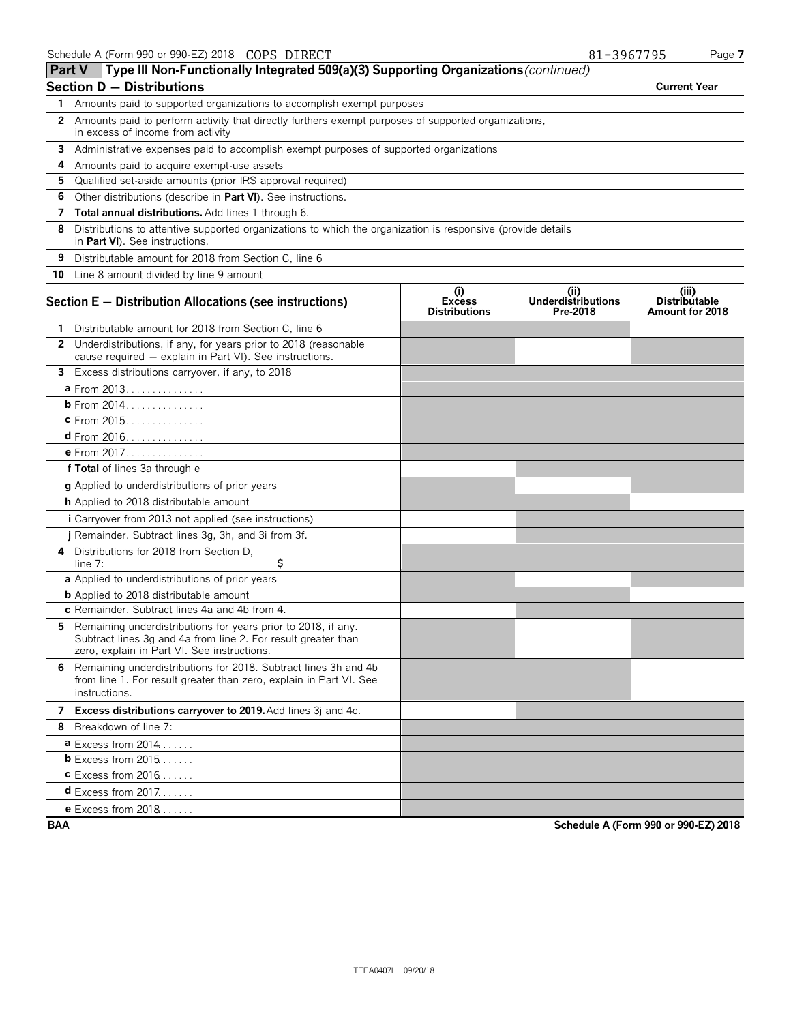| <b>Type III Non-Functionally Integrated 509(a)(3) Supporting Organizations</b> (continued)<br>Part V                                                                            |                                              |                                              |                                                  |
|---------------------------------------------------------------------------------------------------------------------------------------------------------------------------------|----------------------------------------------|----------------------------------------------|--------------------------------------------------|
| <b>Section D - Distributions</b>                                                                                                                                                |                                              |                                              | <b>Current Year</b>                              |
| Amounts paid to supported organizations to accomplish exempt purposes<br>1                                                                                                      |                                              |                                              |                                                  |
| 2 Amounts paid to perform activity that directly furthers exempt purposes of supported organizations,<br>in excess of income from activity                                      |                                              |                                              |                                                  |
| 3<br>Administrative expenses paid to accomplish exempt purposes of supported organizations                                                                                      |                                              |                                              |                                                  |
| Amounts paid to acquire exempt-use assets<br>4                                                                                                                                  |                                              |                                              |                                                  |
| Qualified set-aside amounts (prior IRS approval required)<br>5                                                                                                                  |                                              |                                              |                                                  |
| 6<br>Other distributions (describe in Part VI). See instructions.                                                                                                               |                                              |                                              |                                                  |
| Total annual distributions. Add lines 1 through 6.<br>7                                                                                                                         |                                              |                                              |                                                  |
| 8<br>Distributions to attentive supported organizations to which the organization is responsive (provide details<br>in <b>Part VI</b> ). See instructions.                      |                                              |                                              |                                                  |
| 9<br>Distributable amount for 2018 from Section C, line 6                                                                                                                       |                                              |                                              |                                                  |
| 10 Line 8 amount divided by line 9 amount                                                                                                                                       |                                              |                                              |                                                  |
| Section E - Distribution Allocations (see instructions)                                                                                                                         | (i)<br><b>Excess</b><br><b>Distributions</b> | (i)<br><b>Underdistributions</b><br>Pre-2018 | (iii)<br><b>Distributable</b><br>Amount for 2018 |
| Distributable amount for 2018 from Section C, line 6<br>1                                                                                                                       |                                              |                                              |                                                  |
| 2 Underdistributions, if any, for years prior to 2018 (reasonable<br>cause required - explain in Part VI). See instructions.                                                    |                                              |                                              |                                                  |
| 3 Excess distributions carryover, if any, to 2018                                                                                                                               |                                              |                                              |                                                  |
| a From 2013.                                                                                                                                                                    |                                              |                                              |                                                  |
| <b>b</b> From 2014.                                                                                                                                                             |                                              |                                              |                                                  |
| c From 2015.                                                                                                                                                                    |                                              |                                              |                                                  |
| $d$ From 2016.                                                                                                                                                                  |                                              |                                              |                                                  |
| e From 2017.                                                                                                                                                                    |                                              |                                              |                                                  |
| f Total of lines 3a through e                                                                                                                                                   |                                              |                                              |                                                  |
| g Applied to underdistributions of prior years                                                                                                                                  |                                              |                                              |                                                  |
| h Applied to 2018 distributable amount                                                                                                                                          |                                              |                                              |                                                  |
| <i>i</i> Carryover from 2013 not applied (see instructions)                                                                                                                     |                                              |                                              |                                                  |
| j Remainder. Subtract lines 3g, 3h, and 3i from 3f.                                                                                                                             |                                              |                                              |                                                  |
| Distributions for 2018 from Section D.<br>4<br>\$<br>line $7:$                                                                                                                  |                                              |                                              |                                                  |
| a Applied to underdistributions of prior years                                                                                                                                  |                                              |                                              |                                                  |
| <b>b</b> Applied to 2018 distributable amount                                                                                                                                   |                                              |                                              |                                                  |
| c Remainder. Subtract lines 4a and 4b from 4.                                                                                                                                   |                                              |                                              |                                                  |
| 5 Remaining underdistributions for years prior to 2018, if any.<br>Subtract lines 3g and 4a from line 2. For result greater than<br>zero, explain in Part VI. See instructions. |                                              |                                              |                                                  |
| Remaining underdistributions for 2018. Subtract lines 3h and 4b<br>6.<br>from line 1. For result greater than zero, explain in Part VI. See<br>instructions.                    |                                              |                                              |                                                  |
| 7 Excess distributions carryover to 2019. Add lines 3j and 4c.                                                                                                                  |                                              |                                              |                                                  |
| 8 Breakdown of line 7:                                                                                                                                                          |                                              |                                              |                                                  |
| <b>a</b> Excess from 2014                                                                                                                                                       |                                              |                                              |                                                  |
| $b$ Excess from 2015                                                                                                                                                            |                                              |                                              |                                                  |
| $c$ Excess from 2016                                                                                                                                                            |                                              |                                              |                                                  |
| <b>d</b> Excess from 2017                                                                                                                                                       |                                              |                                              |                                                  |
| <b>e</b> Excess from $2018$                                                                                                                                                     |                                              |                                              |                                                  |

**BAA Schedule A (Form 990 or 990-EZ) 2018**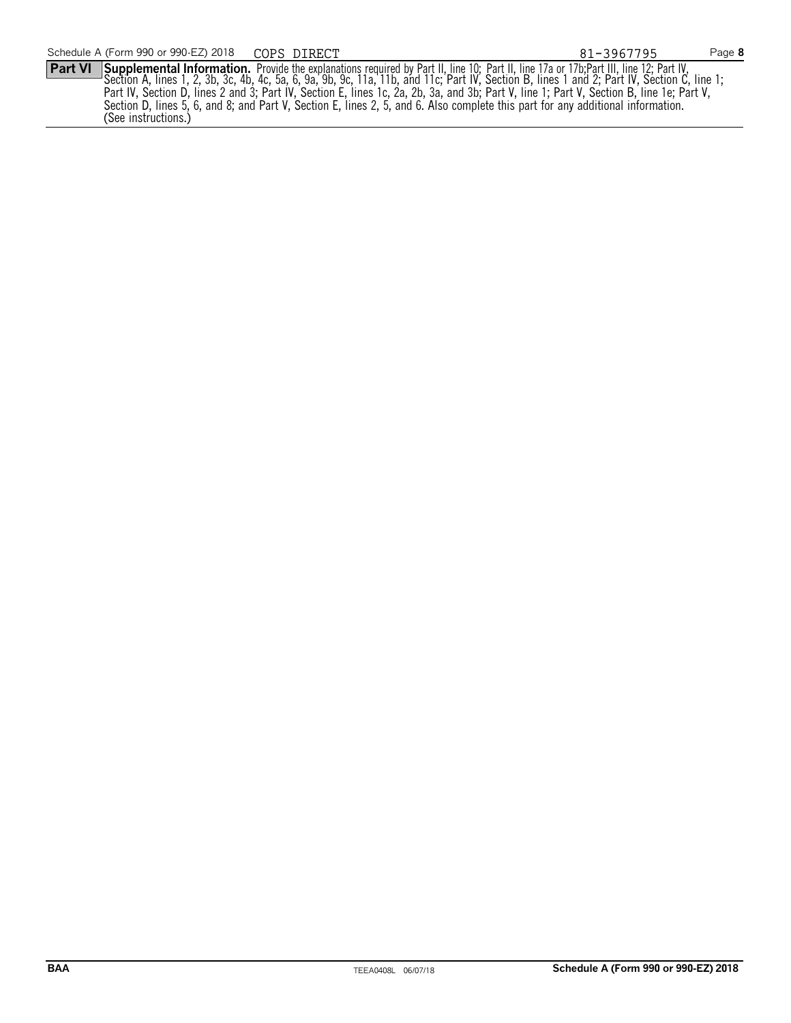**Part VI** Supplemental Information. Provide the explanations required by Part II, line 10; Part II, line 17a or 17b;Part III, line 12; Part IV, Section A, lines 1, 2, 3b, 3c, 4b, 4c, 5a, 6, 9a, 9b, 9c, 11a, 11b, and 11c; Part IV, Section B, lines 1 and 2; Part IV, Section C, line 1; Part IV, Section D, lines 2 and 3; Part IV, Section E, lines 1c, 2a, 2b, 3a, and 3b; Part V, line 1; Part V, Section B, line 1e; Part V, Section D, lines 5, 6, and 8; and Part V, Section E, lines 2, 5, and 6. Also complete this part for any additional information. (See instructions.)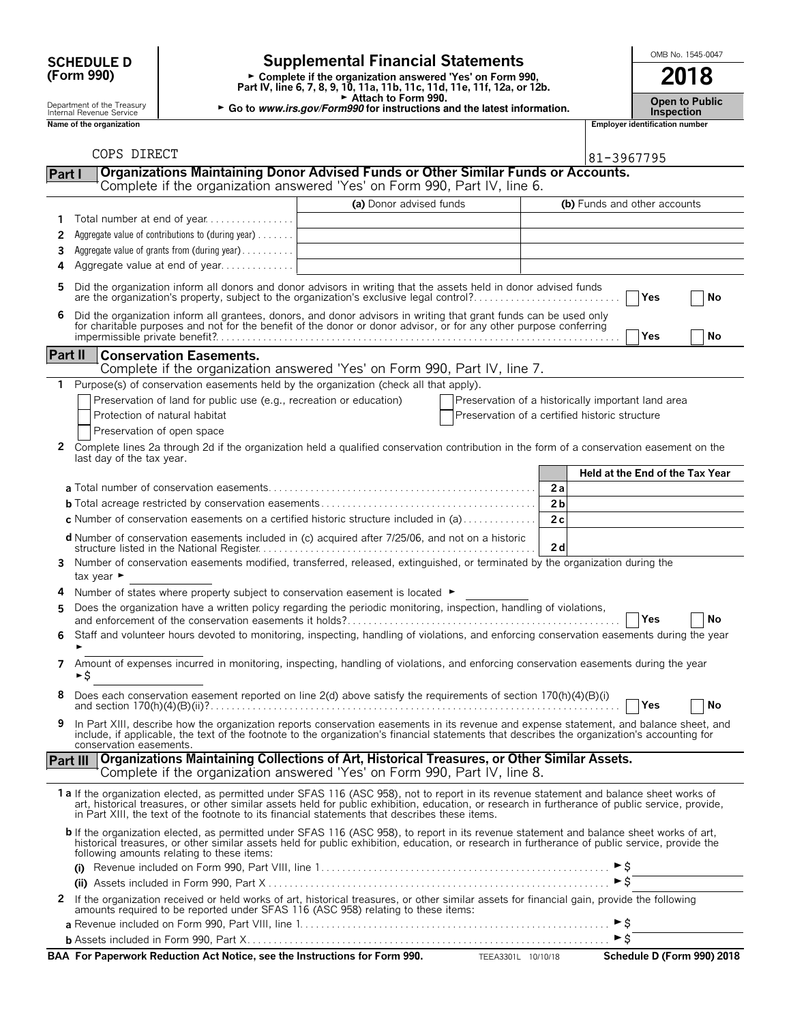| <b>SCHEDULE D</b> |  |
|-------------------|--|
| (Form 990)        |  |

# **SCHEDULE D**  $\begin{bmatrix} \text{OMB No. 1545-0047} \\ \text{OMB No. 1545-0047} \end{bmatrix}$

**Part IV, line 6, 7, 8, 9, 10, 11a, 11b, 11c, 11d, 11e, 11f, 12a, or 12b.**<br>
Part IV, line 6, 7, 8, 9, 10, 11a, 11b, 11c, 11d, 11e, 11f, 12a, or 12b.

G **Attach to Form 990.**

Department of the Treasury **Computer of the Treasury <b>Public** Go to *www.irs.gov/Form990* for instructions and the latest information.<br>Inspection of the organization<br>**Name of the organization** 

|            | <b>Open to Publio</b> |
|------------|-----------------------|
| Incnection |                       |

**Name of the organization Employer identification number**

|                  | COPS DIRECT                                                                                                                                                                                                                                                                                                                                                                                    |                         |                                                                                                      |                |                     | 81-3967795                      |           |
|------------------|------------------------------------------------------------------------------------------------------------------------------------------------------------------------------------------------------------------------------------------------------------------------------------------------------------------------------------------------------------------------------------------------|-------------------------|------------------------------------------------------------------------------------------------------|----------------|---------------------|---------------------------------|-----------|
| Part I           | <b>Organizations Maintaining Donor Advised Funds or Other Similar Funds or Accounts.</b><br>Complete if the organization answered 'Yes' on Form 990, Part IV, line 6.                                                                                                                                                                                                                          |                         |                                                                                                      |                |                     |                                 |           |
|                  |                                                                                                                                                                                                                                                                                                                                                                                                |                         |                                                                                                      |                |                     |                                 |           |
| ı<br>2<br>3<br>4 | Total number at end of year<br>Aggregate value of contributions to (during year)<br>Aggregate value of grants from (during year)<br>Aggregate value at end of year                                                                                                                                                                                                                             | (a) Donor advised funds |                                                                                                      |                |                     | (b) Funds and other accounts    |           |
| 5                | Did the organization inform all donors and donor advisors in writing that the assets held in donor advised funds<br>are the organization's property, subject to the organization's exclusive legal control?                                                                                                                                                                                    |                         |                                                                                                      |                |                     | Yes                             | No        |
| 6                | Did the organization inform all grantees, donors, and donor advisors in writing that grant funds can be used only for charitable purposes and not for the benefit of the donor or donor advisor, or for any other purpose conf                                                                                                                                                                 |                         |                                                                                                      |                |                     | Yes                             | No        |
| <b>Part II</b>   | <b>Conservation Easements.</b><br>Complete if the organization answered 'Yes' on Form 990, Part IV, line 7.                                                                                                                                                                                                                                                                                    |                         |                                                                                                      |                |                     |                                 |           |
| 1                | Purpose(s) of conservation easements held by the organization (check all that apply).                                                                                                                                                                                                                                                                                                          |                         |                                                                                                      |                |                     |                                 |           |
| 2                | Preservation of land for public use (e.g., recreation or education)<br>Protection of natural habitat<br>Preservation of open space<br>Complete lines 2a through 2d if the organization held a qualified conservation contribution in the form of a conservation easement on the<br>last day of the tax year.                                                                                   |                         | Preservation of a historically important land area<br>Preservation of a certified historic structure |                |                     |                                 |           |
|                  |                                                                                                                                                                                                                                                                                                                                                                                                |                         |                                                                                                      |                |                     | Held at the End of the Tax Year |           |
|                  |                                                                                                                                                                                                                                                                                                                                                                                                |                         |                                                                                                      | 2a             |                     |                                 |           |
|                  |                                                                                                                                                                                                                                                                                                                                                                                                |                         |                                                                                                      | 2 <sub>b</sub> |                     |                                 |           |
|                  | c Number of conservation easements on a certified historic structure included in $(a)$                                                                                                                                                                                                                                                                                                         |                         |                                                                                                      | 2c             |                     |                                 |           |
|                  | d Number of conservation easements included in (c) acquired after 7/25/06, and not on a historic                                                                                                                                                                                                                                                                                               |                         |                                                                                                      | 2d             |                     |                                 |           |
| 3                | Number of conservation easements modified, transferred, released, extinguished, or terminated by the organization during the<br>tax year ►                                                                                                                                                                                                                                                     |                         |                                                                                                      |                |                     |                                 |           |
| 4                | Number of states where property subject to conservation easement is located ►                                                                                                                                                                                                                                                                                                                  |                         |                                                                                                      |                |                     |                                 |           |
| 5                | Does the organization have a written policy regarding the periodic monitoring, inspection, handling of violations,                                                                                                                                                                                                                                                                             |                         |                                                                                                      |                |                     | Yes                             | No        |
| 6                | Staff and volunteer hours devoted to monitoring, inspecting, handling of violations, and enforcing conservation easements during the year                                                                                                                                                                                                                                                      |                         |                                                                                                      |                |                     |                                 |           |
| 7                | Amount of expenses incurred in monitoring, inspecting, handling of violations, and enforcing conservation easements during the year<br>►Ŝ                                                                                                                                                                                                                                                      |                         |                                                                                                      |                |                     |                                 |           |
|                  | Does each conservation easement reported on line 2(d) above satisfy the requirements of section 170(h)(4)(B)(i)                                                                                                                                                                                                                                                                                |                         |                                                                                                      |                |                     | Yes                             | <b>No</b> |
|                  | In Part XIII, describe how the organization reports conservation easements in its revenue and expense statement, and balance sheet, and<br>include, if applicable, the text of the footnote to the organization's financial statements that describes the organization's accounting for<br>conservation easements.                                                                             |                         |                                                                                                      |                |                     |                                 |           |
| Part III         | Organizations Maintaining Collections of Art, Historical Treasures, or Other Similar Assets.<br>Complete if the organization answered 'Yes' on Form 990, Part IV, line 8.                                                                                                                                                                                                                      |                         |                                                                                                      |                |                     |                                 |           |
|                  | 1a If the organization elected, as permitted under SFAS 116 (ASC 958), not to report in its revenue statement and balance sheet works of<br>art, historical treasures, or other similar assets held for public exhibition, education, or research in furtherance of public service, provide,<br>in Part XIII, the text of the footnote to its financial statements that describes these items. |                         |                                                                                                      |                |                     |                                 |           |
|                  | b If the organization elected, as permitted under SFAS 116 (ASC 958), to report in its revenue statement and balance sheet works of art,<br>historical treasures, or other similar assets held for public exhibition, education, or research in furtherance of public service, provide the<br>following amounts relating to these items:                                                       |                         |                                                                                                      |                |                     |                                 |           |
|                  | (i)                                                                                                                                                                                                                                                                                                                                                                                            |                         |                                                                                                      |                |                     |                                 |           |
|                  |                                                                                                                                                                                                                                                                                                                                                                                                |                         |                                                                                                      |                | $\triangleright$ \$ |                                 |           |
|                  | 2 If the organization received or held works of art, historical treasures, or other similar assets for financial gain, provide the following<br>amounts required to be reported under SFAS 116 (ASC 958) relating to these items:                                                                                                                                                              |                         |                                                                                                      |                |                     |                                 |           |
|                  |                                                                                                                                                                                                                                                                                                                                                                                                |                         |                                                                                                      |                |                     |                                 |           |
|                  |                                                                                                                                                                                                                                                                                                                                                                                                |                         |                                                                                                      |                |                     |                                 |           |

| BAA For Paperwork Reduction Act Notice, see the Instructions for Form 990. | Schedule D (Form 990) 2018 |
|----------------------------------------------------------------------------|----------------------------|
| <b>TEEA3301L</b>                                                           | 10/10/18                   |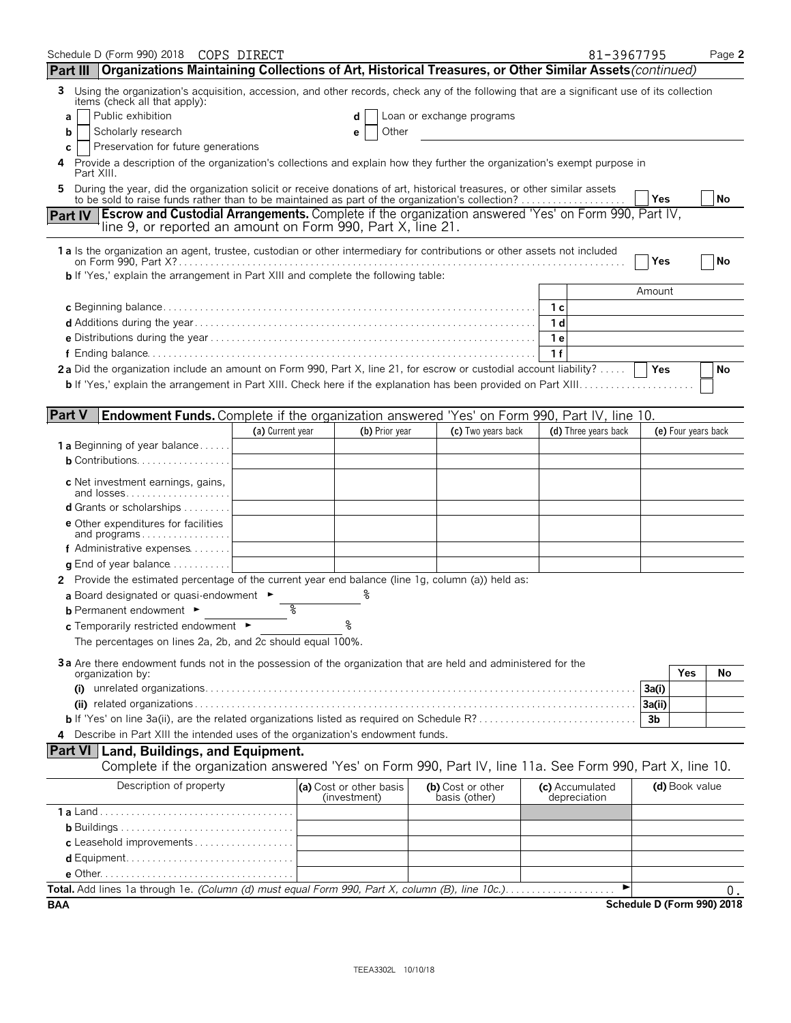| Schedule D (Form 990) 2018 COPS DIRECT                                                                                                                                                                                                          |                  |                                         |                                    |                                 | 81-3967795           |                |                     | Page 2                           |
|-------------------------------------------------------------------------------------------------------------------------------------------------------------------------------------------------------------------------------------------------|------------------|-----------------------------------------|------------------------------------|---------------------------------|----------------------|----------------|---------------------|----------------------------------|
| Part III   Organizations Maintaining Collections of Art, Historical Treasures, or Other Similar Assets (continued)                                                                                                                              |                  |                                         |                                    |                                 |                      |                |                     |                                  |
| 3<br>Using the organization's acquisition, accession, and other records, check any of the following that are a significant use of its collection<br>items (check all that apply):                                                               |                  |                                         |                                    |                                 |                      |                |                     |                                  |
| Public exhibition<br>a                                                                                                                                                                                                                          |                  | d                                       | Loan or exchange programs          |                                 |                      |                |                     |                                  |
| Scholarly research<br>b                                                                                                                                                                                                                         |                  | Other<br>е                              |                                    |                                 |                      |                |                     |                                  |
| Preservation for future generations<br>c<br>Provide a description of the organization's collections and explain how they further the organization's exempt purpose in<br>4                                                                      |                  |                                         |                                    |                                 |                      |                |                     |                                  |
| Part XIII.<br>During the year, did the organization solicit or receive donations of art, historical treasures, or other similar assets<br>5<br>to be sold to raise funds rather than to be maintained as part of the organization's collection? |                  |                                         |                                    |                                 |                      | Yes            |                     | No                               |
| Part IV   Escrow and Custodial Arrangements. Complete if the organization answered 'Yes' on Form 990, Part IV,                                                                                                                                  |                  |                                         |                                    |                                 |                      |                |                     |                                  |
| line 9, or reported an amount on Form 990, Part X, line 21.                                                                                                                                                                                     |                  |                                         |                                    |                                 |                      |                |                     |                                  |
|                                                                                                                                                                                                                                                 |                  |                                         |                                    |                                 |                      |                |                     |                                  |
| 1 a Is the organization an agent, trustee, custodian or other intermediary for contributions or other assets not included                                                                                                                       |                  |                                         |                                    |                                 |                      | Yes            |                     | <b>No</b>                        |
| b If 'Yes,' explain the arrangement in Part XIII and complete the following table:                                                                                                                                                              |                  |                                         |                                    |                                 |                      |                |                     |                                  |
|                                                                                                                                                                                                                                                 |                  |                                         |                                    |                                 |                      | Amount         |                     |                                  |
|                                                                                                                                                                                                                                                 |                  |                                         |                                    | 1 с                             |                      |                |                     |                                  |
|                                                                                                                                                                                                                                                 |                  |                                         |                                    | 1 <sub>d</sub>                  |                      |                |                     |                                  |
|                                                                                                                                                                                                                                                 |                  |                                         |                                    | 1 e                             |                      |                |                     |                                  |
|                                                                                                                                                                                                                                                 |                  |                                         |                                    | 1f                              |                      |                |                     |                                  |
| 2a Did the organization include an amount on Form 990, Part X, line 21, for escrow or custodial account liability?                                                                                                                              |                  |                                         |                                    |                                 |                      | Yes            |                     | No                               |
|                                                                                                                                                                                                                                                 |                  |                                         |                                    |                                 |                      |                |                     |                                  |
|                                                                                                                                                                                                                                                 |                  |                                         |                                    |                                 |                      |                |                     |                                  |
| <b>Part V</b><br>Endowment Funds. Complete if the organization answered 'Yes' on Form 990, Part IV, line 10.                                                                                                                                    |                  | (b) Prior year                          | (c) Two years back                 |                                 | (d) Three years back |                | (e) Four years back |                                  |
| <b>1 a</b> Beginning of year balance                                                                                                                                                                                                            | (a) Current year |                                         |                                    |                                 |                      |                |                     |                                  |
| <b>b</b> Contributions. $\ldots \ldots \ldots \ldots \ldots$                                                                                                                                                                                    |                  |                                         |                                    |                                 |                      |                |                     |                                  |
|                                                                                                                                                                                                                                                 |                  |                                         |                                    |                                 |                      |                |                     |                                  |
| c Net investment earnings, gains,<br>and losses                                                                                                                                                                                                 |                  |                                         |                                    |                                 |                      |                |                     |                                  |
| <b>d</b> Grants or scholarships $\ldots \ldots \ldots$                                                                                                                                                                                          |                  |                                         |                                    |                                 |                      |                |                     |                                  |
| <b>e</b> Other expenditures for facilities                                                                                                                                                                                                      |                  |                                         |                                    |                                 |                      |                |                     |                                  |
| and programs                                                                                                                                                                                                                                    |                  |                                         |                                    |                                 |                      |                |                     |                                  |
| f Administrative expenses                                                                                                                                                                                                                       |                  |                                         |                                    |                                 |                      |                |                     |                                  |
| <b>q</b> End of year balance $\ldots \ldots \ldots$<br>2 Provide the estimated percentage of the current year end balance (line 1g, column (a)) held as:                                                                                        |                  |                                         |                                    |                                 |                      |                |                     |                                  |
| a Board designated or quasi-endowment $\blacktriangleright$                                                                                                                                                                                     |                  |                                         |                                    |                                 |                      |                |                     |                                  |
| <b>b</b> Permanent endowment ►                                                                                                                                                                                                                  | %                |                                         |                                    |                                 |                      |                |                     |                                  |
| c Temporarily restricted endowment                                                                                                                                                                                                              |                  |                                         |                                    |                                 |                      |                |                     |                                  |
| The percentages on lines 2a, 2b, and 2c should equal 100%.                                                                                                                                                                                      |                  |                                         |                                    |                                 |                      |                |                     |                                  |
|                                                                                                                                                                                                                                                 |                  |                                         |                                    |                                 |                      |                |                     |                                  |
| 3a Are there endowment funds not in the possession of the organization that are held and administered for the<br>organization by:                                                                                                               |                  |                                         |                                    |                                 |                      |                | Yes                 | No                               |
| (i)                                                                                                                                                                                                                                             |                  |                                         |                                    |                                 |                      | 3a(i)          |                     |                                  |
|                                                                                                                                                                                                                                                 |                  |                                         |                                    |                                 |                      | 3a(ii)         |                     |                                  |
|                                                                                                                                                                                                                                                 |                  |                                         |                                    |                                 |                      | 3 <sub>b</sub> |                     |                                  |
| Describe in Part XIII the intended uses of the organization's endowment funds.                                                                                                                                                                  |                  |                                         |                                    |                                 |                      |                |                     |                                  |
| <b>Part VI Land, Buildings, and Equipment.</b>                                                                                                                                                                                                  |                  |                                         |                                    |                                 |                      |                |                     |                                  |
| Complete if the organization answered 'Yes' on Form 990, Part IV, line 11a. See Form 990, Part X, line 10.                                                                                                                                      |                  |                                         |                                    |                                 |                      |                |                     |                                  |
| Description of property                                                                                                                                                                                                                         |                  | (a) Cost or other basis<br>(investment) | (b) Cost or other<br>basis (other) | (c) Accumulated<br>depreciation |                      |                | (d) Book value      |                                  |
|                                                                                                                                                                                                                                                 |                  |                                         |                                    |                                 |                      |                |                     |                                  |
|                                                                                                                                                                                                                                                 |                  |                                         |                                    |                                 |                      |                |                     |                                  |
|                                                                                                                                                                                                                                                 |                  |                                         |                                    |                                 |                      |                |                     |                                  |
|                                                                                                                                                                                                                                                 |                  |                                         |                                    |                                 |                      |                |                     |                                  |
|                                                                                                                                                                                                                                                 |                  |                                         |                                    |                                 |                      |                |                     |                                  |
|                                                                                                                                                                                                                                                 |                  |                                         |                                    |                                 | ▶                    |                |                     | Ο.<br>Schedule D (Form 990) 2018 |
| BAA                                                                                                                                                                                                                                             |                  |                                         |                                    |                                 |                      |                |                     |                                  |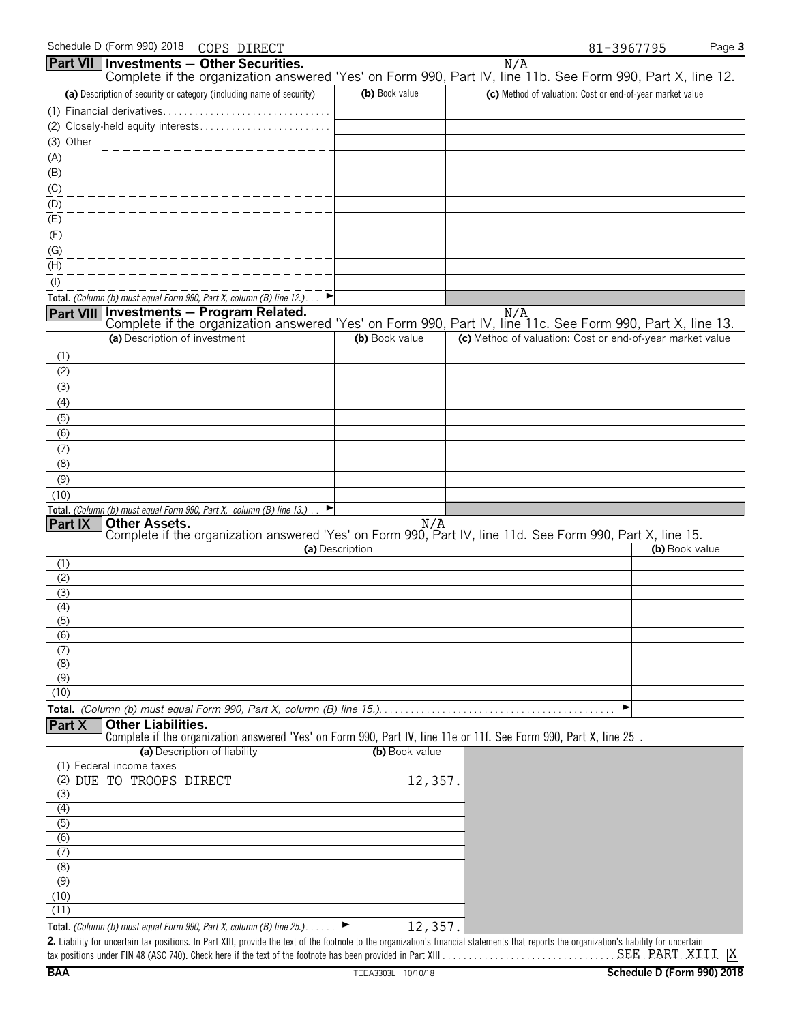|                                    |                               | <b>Part VII</b>   Investments - Other Securities.                         |                 | N/A                                                                                                                                |
|------------------------------------|-------------------------------|---------------------------------------------------------------------------|-----------------|------------------------------------------------------------------------------------------------------------------------------------|
|                                    |                               |                                                                           |                 | Complete if the organization answered 'Yes' on Form 990, Part IV, line 11b. See Form 990, Part X, line 12.                         |
|                                    |                               | (a) Description of security or category (including name of security)      | (b) Book value  | (c) Method of valuation: Cost or end-of-year market value                                                                          |
|                                    |                               |                                                                           |                 |                                                                                                                                    |
|                                    |                               |                                                                           |                 |                                                                                                                                    |
| (3) Other                          |                               | ________________                                                          |                 |                                                                                                                                    |
| (A)                                |                               |                                                                           |                 |                                                                                                                                    |
| $\frac{(B)}{B}$<br>$\frac{(C)}{C}$ |                               |                                                                           |                 |                                                                                                                                    |
|                                    |                               |                                                                           |                 |                                                                                                                                    |
| $\frac{(D)}{(E)}$                  |                               |                                                                           |                 |                                                                                                                                    |
| (F)                                |                               |                                                                           |                 |                                                                                                                                    |
| $\overline{(G)}$                   |                               |                                                                           |                 |                                                                                                                                    |
| $(\mathsf{H})$                     |                               |                                                                           |                 |                                                                                                                                    |
| $($ l $)$                          |                               |                                                                           |                 |                                                                                                                                    |
|                                    |                               | Total. (Column (b) must equal Form 990, Part X, column (B) line $12.$ )   |                 |                                                                                                                                    |
|                                    |                               | Part VIII Investments - Program Related.                                  |                 | N/A<br>Complete if the organization answered 'Yes' on Form 990, Part IV, line 11c. See Form 990, Part X, line 13.                  |
|                                    | (a) Description of investment |                                                                           | (b) Book value  | (c) Method of valuation: Cost or end-of-year market value                                                                          |
| (1)                                |                               |                                                                           |                 |                                                                                                                                    |
| (2)                                |                               |                                                                           |                 |                                                                                                                                    |
| (3)                                |                               |                                                                           |                 |                                                                                                                                    |
| (4)                                |                               |                                                                           |                 |                                                                                                                                    |
| (5)                                |                               |                                                                           |                 |                                                                                                                                    |
| (6)                                |                               |                                                                           |                 |                                                                                                                                    |
| (7)                                |                               |                                                                           |                 |                                                                                                                                    |
| (8)                                |                               |                                                                           |                 |                                                                                                                                    |
| (9)                                |                               |                                                                           |                 |                                                                                                                                    |
| (10)                               |                               | Total. (Column (b) must equal Form 990, Part X, column (B) line 13.)<br>E |                 |                                                                                                                                    |
| Part IX                            | <b>Other Assets.</b>          |                                                                           |                 |                                                                                                                                    |
|                                    |                               |                                                                           |                 | <b>Other Assets.</b><br>Complete if the organization answered 'Yes' on Form 990, Part IV, line 11d. See Form 990, Part X, line 15. |
| (1)                                |                               |                                                                           | (a) Description | (b) Book value                                                                                                                     |
| (2)                                |                               |                                                                           |                 |                                                                                                                                    |
| (3)                                |                               |                                                                           |                 |                                                                                                                                    |
| (4)                                |                               |                                                                           |                 |                                                                                                                                    |
| (5)                                |                               |                                                                           |                 |                                                                                                                                    |
| (6)                                |                               |                                                                           |                 |                                                                                                                                    |
| (7)<br>(8)                         |                               |                                                                           |                 |                                                                                                                                    |
| (9)                                |                               |                                                                           |                 |                                                                                                                                    |
| (10)                               |                               |                                                                           |                 |                                                                                                                                    |
|                                    |                               |                                                                           |                 |                                                                                                                                    |
| Part X                             | <b>Other Liabilities.</b>     |                                                                           |                 |                                                                                                                                    |
|                                    |                               | (a) Description of liability                                              | (b) Book value  | Complete if the organization answered 'Yes' on Form 990, Part IV, line 11e or 11f. See Form 990, Part X, line 25.                  |
|                                    | (1) Federal income taxes      |                                                                           |                 |                                                                                                                                    |
|                                    | (2) DUE TO TROOPS DIRECT      |                                                                           | 12,357.         |                                                                                                                                    |
| (3)                                |                               |                                                                           |                 |                                                                                                                                    |
| (4)                                |                               |                                                                           |                 |                                                                                                                                    |
| $\overline{(5)}$                   |                               |                                                                           |                 |                                                                                                                                    |
| (6)<br>(7)                         |                               |                                                                           |                 |                                                                                                                                    |
| (8)                                |                               |                                                                           |                 |                                                                                                                                    |
| (9)                                |                               |                                                                           |                 |                                                                                                                                    |
| (10)                               |                               |                                                                           |                 |                                                                                                                                    |
| (11)                               |                               |                                                                           |                 |                                                                                                                                    |
|                                    |                               | Total. (Column (b) must equal Form 990, Part X, column (B) line 25.)      | 12,357.         |                                                                                                                                    |

2. Liability for uncertain tax positions. In Part XIII, provide the text of the footnote to the organization's financial statements that reports the organization's liability for uncertain tax positions under FIN 48 (ASC 740). Check here if the text of the footnote has been provided in Part XIII. . . . . . . . . . . . . . . . . . . . . . . . . . . . . . . . . . . . . . . . . . . . . . . . . . . . . . X SEE PART XIII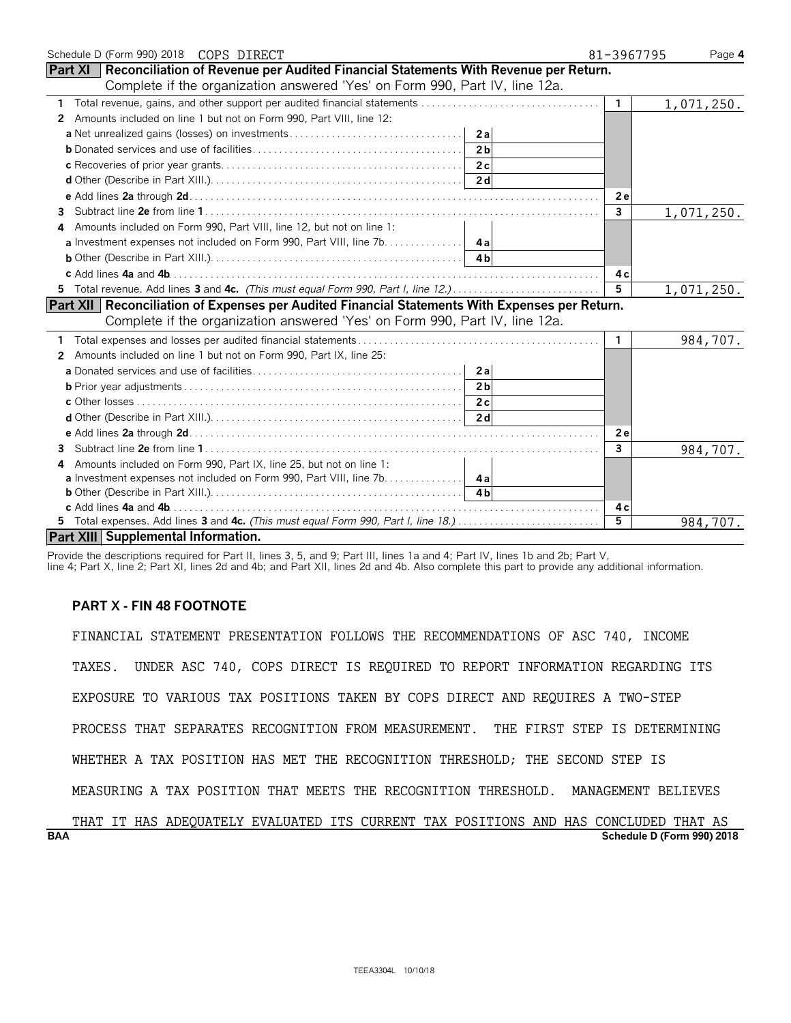| Schedule D (Form 990) 2018 COPS DIRECT                                                               | 81-3967795     | Page 4     |
|------------------------------------------------------------------------------------------------------|----------------|------------|
| <b>Part XI   Reconciliation of Revenue per Audited Financial Statements With Revenue per Return.</b> |                |            |
| Complete if the organization answered 'Yes' on Form 990, Part IV, line 12a.                          |                |            |
|                                                                                                      | $\mathbf{1}$   | 1,071,250. |
| Amounts included on line 1 but not on Form 990, Part VIII, line 12:<br>2                             |                |            |
| 2al                                                                                                  |                |            |
| 2 <sub>b</sub>                                                                                       |                |            |
|                                                                                                      |                |            |
|                                                                                                      |                |            |
|                                                                                                      | 2e             |            |
| 3                                                                                                    | $\overline{3}$ | 1,071,250. |
| Amounts included on Form 990, Part VIII, line 12, but not on line 1:<br>4                            |                |            |
| <b>a</b> Investment expenses not included on Form 990, Part VIII, line 7b. 4a                        |                |            |
|                                                                                                      |                |            |
|                                                                                                      | 4 с            |            |
|                                                                                                      | 5              | 1,071,250. |
| Part XII   Reconciliation of Expenses per Audited Financial Statements With Expenses per Return.     |                |            |
| Complete if the organization answered 'Yes' on Form 990, Part IV, line 12a.                          |                |            |
|                                                                                                      | $\mathbf{1}$   | 984,707.   |
| Amounts included on line 1 but not on Form 990, Part IX, line 25:<br>2                               |                |            |
| 2a                                                                                                   |                |            |
| 2 <sub>b</sub>                                                                                       |                |            |
|                                                                                                      |                |            |
|                                                                                                      |                |            |
|                                                                                                      | 2e             |            |
| 3                                                                                                    | 3              | 984,707.   |
| Amounts included on Form 990, Part IX, line 25, but not on line 1:<br>4                              |                |            |
| <b>a</b> Investment expenses not included on Form 990, Part VIII, line 7b. 4a                        |                |            |
|                                                                                                      |                |            |
|                                                                                                      | 4 c            |            |
|                                                                                                      | 5              | 984,707.   |
| Part XIII Supplemental Information.                                                                  |                |            |

Provide the descriptions required for Part II, lines 3, 5, and 9; Part III, lines 1a and 4; Part IV, lines 1b and 2b; Part V,

line 4; Part X, line 2; Part XI, lines 2d and 4b; and Part XII, lines 2d and 4b. Also complete this part to provide any additional information.

# **PART X - FIN 48 FOOTNOTE**

FINANCIAL STATEMENT PRESENTATION FOLLOWS THE RECOMMENDATIONS OF ASC 740, INCOME TAXES. UNDER ASC 740, COPS DIRECT IS REQUIRED TO REPORT INFORMATION REGARDING ITS EXPOSURE TO VARIOUS TAX POSITIONS TAKEN BY COPS DIRECT AND REQUIRES A TWO-STEP PROCESS THAT SEPARATES RECOGNITION FROM MEASUREMENT. THE FIRST STEP IS DETERMINING WHETHER A TAX POSITION HAS MET THE RECOGNITION THRESHOLD; THE SECOND STEP IS MEASURING A TAX POSITION THAT MEETS THE RECOGNITION THRESHOLD. MANAGEMENT BELIEVES

**BAA Schedule D (Form 990) 2018** THAT IT HAS ADEQUATELY EVALUATED ITS CURRENT TAX POSITIONS AND HAS CONCLUDED THAT AS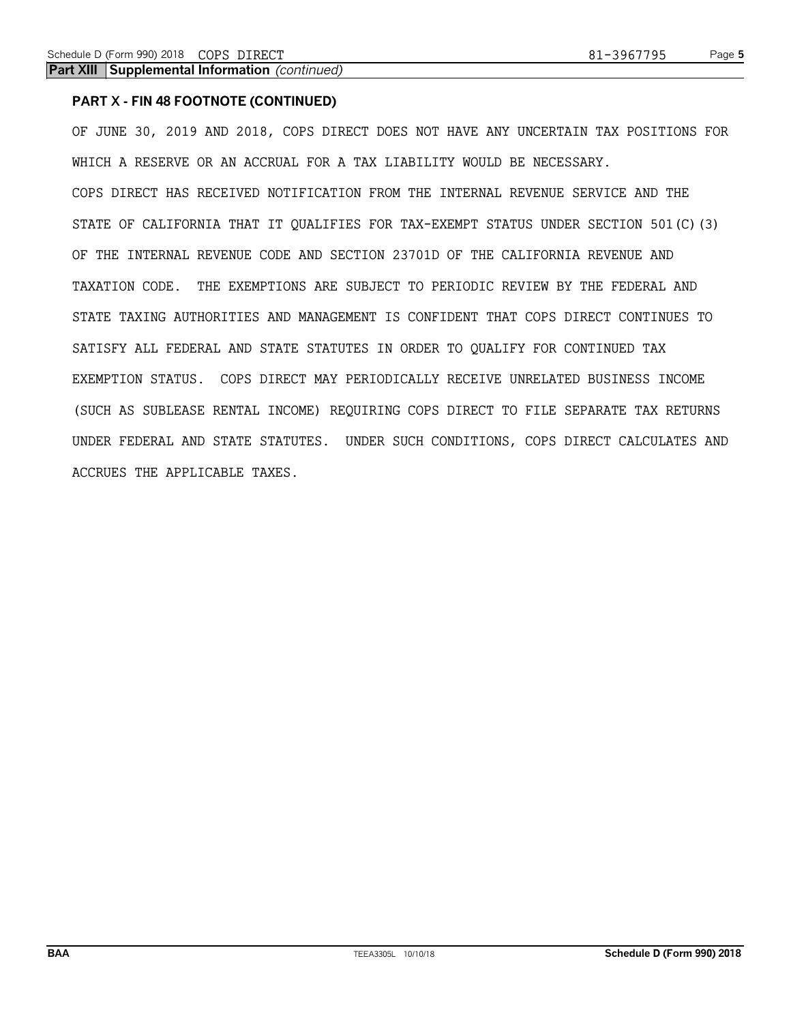**Part XIII Supplemental Information** *(continued)*

# **PART X - FIN 48 FOOTNOTE (CONTINUED)**

OF JUNE 30, 2019 AND 2018, COPS DIRECT DOES NOT HAVE ANY UNCERTAIN TAX POSITIONS FOR WHICH A RESERVE OR AN ACCRUAL FOR A TAX LIABILITY WOULD BE NECESSARY. COPS DIRECT HAS RECEIVED NOTIFICATION FROM THE INTERNAL REVENUE SERVICE AND THE STATE OF CALIFORNIA THAT IT QUALIFIES FOR TAX-EXEMPT STATUS UNDER SECTION 501(C)(3) OF THE INTERNAL REVENUE CODE AND SECTION 23701D OF THE CALIFORNIA REVENUE AND TAXATION CODE. THE EXEMPTIONS ARE SUBJECT TO PERIODIC REVIEW BY THE FEDERAL AND STATE TAXING AUTHORITIES AND MANAGEMENT IS CONFIDENT THAT COPS DIRECT CONTINUES TO SATISFY ALL FEDERAL AND STATE STATUTES IN ORDER TO QUALIFY FOR CONTINUED TAX EXEMPTION STATUS. COPS DIRECT MAY PERIODICALLY RECEIVE UNRELATED BUSINESS INCOME (SUCH AS SUBLEASE RENTAL INCOME) REQUIRING COPS DIRECT TO FILE SEPARATE TAX RETURNS UNDER FEDERAL AND STATE STATUTES. UNDER SUCH CONDITIONS, COPS DIRECT CALCULATES AND ACCRUES THE APPLICABLE TAXES.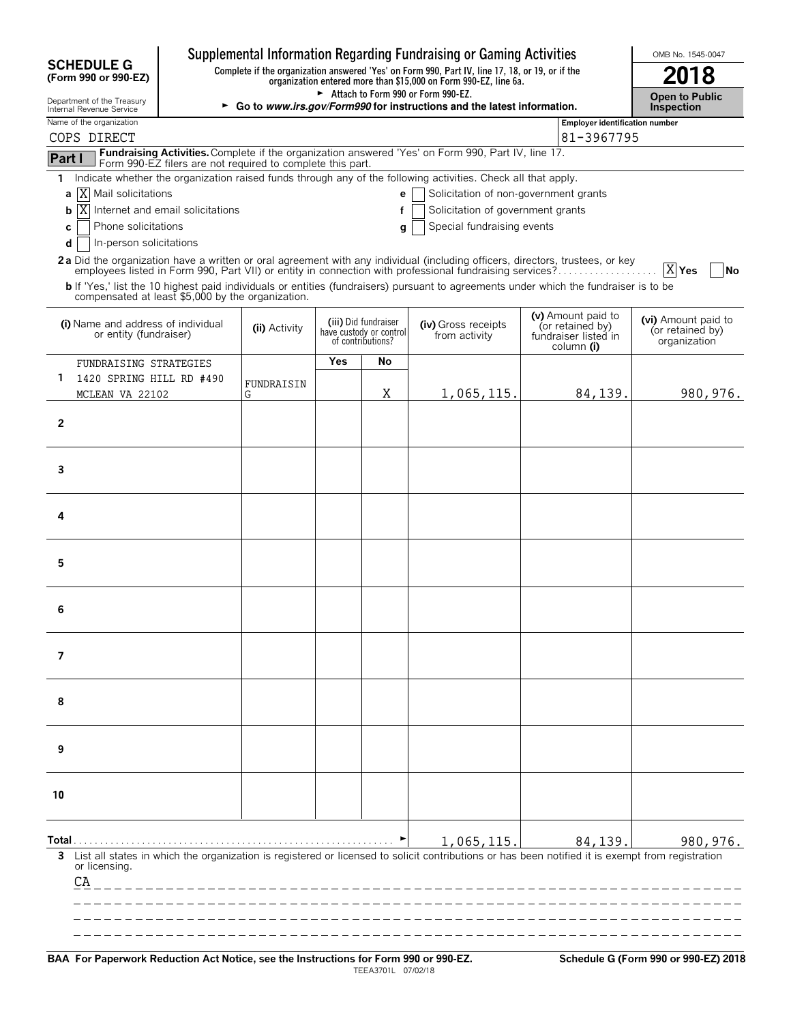|                                                              |                                                                                                 |               |     |                                                                      | Supplemental Information Regarding Fundraising or Gaming Activities                                                                                              |                                                                              | OMB No. 1545-0047                                       |
|--------------------------------------------------------------|-------------------------------------------------------------------------------------------------|---------------|-----|----------------------------------------------------------------------|------------------------------------------------------------------------------------------------------------------------------------------------------------------|------------------------------------------------------------------------------|---------------------------------------------------------|
| <b>SCHEDULE G</b><br>(Form 990 or 990-EZ)                    | Complete if the organization answered 'Yes' on Form 990, Part IV, line 17, 18, or 19, or if the | 18            |     |                                                                      |                                                                                                                                                                  |                                                                              |                                                         |
| Department of the Treasury<br>Internal Revenue Service       |                                                                                                 |               |     |                                                                      | Attach to Form 990 or Form 990-EZ.<br>► Go to www.irs.gov/Form990 for instructions and the latest information.                                                   |                                                                              | <b>Open to Public</b><br><b>Inspection</b>              |
| Name of the organization                                     |                                                                                                 |               |     |                                                                      |                                                                                                                                                                  | <b>Employer identification number</b>                                        |                                                         |
| COPS DIRECT                                                  |                                                                                                 |               |     |                                                                      |                                                                                                                                                                  | 81-3967795                                                                   |                                                         |
| Part I                                                       | Form 990-EZ filers are not required to complete this part.                                      |               |     |                                                                      | Fundraising Activities. Complete if the organization answered 'Yes' on Form 990, Part IV, line 17.                                                               |                                                                              |                                                         |
| 1.                                                           |                                                                                                 |               |     |                                                                      | Indicate whether the organization raised funds through any of the following activities. Check all that apply.                                                    |                                                                              |                                                         |
| X Mail solicitations<br>a                                    |                                                                                                 |               |     | e                                                                    | Solicitation of non-government grants                                                                                                                            |                                                                              |                                                         |
| ΙX<br>b                                                      | Internet and email solicitations                                                                |               |     | f                                                                    | Solicitation of government grants                                                                                                                                |                                                                              |                                                         |
| Phone solicitations<br>C<br>In-person solicitations          |                                                                                                 |               |     | g                                                                    | Special fundraising events                                                                                                                                       |                                                                              |                                                         |
| d                                                            |                                                                                                 |               |     |                                                                      | 2a Did the organization have a written or oral agreement with any individual (including officers, directors, trustees, or key                                    |                                                                              |                                                         |
|                                                              |                                                                                                 |               |     |                                                                      | employees listed in Form 990, Part VII) or entity in connection with professional fundraising services?                                                          |                                                                              | X Yes<br> No                                            |
| compensated at least \$5,000 by the organization.            |                                                                                                 |               |     |                                                                      | b If 'Yes,' list the 10 highest paid individuals or entities (fundraisers) pursuant to agreements under which the fundraiser is to be                            |                                                                              |                                                         |
| (i) Name and address of individual<br>or entity (fundraiser) |                                                                                                 | (ii) Activity |     | (iii) Did fundraiser<br>have custody or control<br>of contributions? | (iv) Gross receipts<br>from activity                                                                                                                             | (v) Amount paid to<br>(or retained by)<br>fundraiser listed in<br>column (i) | (vi) Amount paid to<br>(or retained by)<br>organization |
| FUNDRAISING STRATEGIES                                       |                                                                                                 |               | Yes | Νo                                                                   |                                                                                                                                                                  |                                                                              |                                                         |
| 1<br>1420 SPRING HILL RD #490                                |                                                                                                 | FUNDRAISIN    |     |                                                                      |                                                                                                                                                                  |                                                                              |                                                         |
| MCLEAN VA 22102                                              |                                                                                                 | G             |     | X                                                                    | 1,065,115.                                                                                                                                                       | 84,139.                                                                      | 980,976.                                                |
| $\overline{2}$                                               |                                                                                                 |               |     |                                                                      |                                                                                                                                                                  |                                                                              |                                                         |
| 3                                                            |                                                                                                 |               |     |                                                                      |                                                                                                                                                                  |                                                                              |                                                         |
| 4                                                            |                                                                                                 |               |     |                                                                      |                                                                                                                                                                  |                                                                              |                                                         |
| 5                                                            |                                                                                                 |               |     |                                                                      |                                                                                                                                                                  |                                                                              |                                                         |
| 6                                                            |                                                                                                 |               |     |                                                                      |                                                                                                                                                                  |                                                                              |                                                         |
| 7                                                            |                                                                                                 |               |     |                                                                      |                                                                                                                                                                  |                                                                              |                                                         |
| 8                                                            |                                                                                                 |               |     |                                                                      |                                                                                                                                                                  |                                                                              |                                                         |
| 9                                                            |                                                                                                 |               |     |                                                                      |                                                                                                                                                                  |                                                                              |                                                         |
| 10                                                           |                                                                                                 |               |     |                                                                      |                                                                                                                                                                  |                                                                              |                                                         |
| or licensing.                                                |                                                                                                 |               |     |                                                                      | 1,065,115.<br>3 List all states in which the organization is registered or licensed to solicit contributions or has been notified it is exempt from registration | 84,139.                                                                      | 980, 976.                                               |
| CA                                                           | ________________________________                                                                |               |     |                                                                      |                                                                                                                                                                  |                                                                              |                                                         |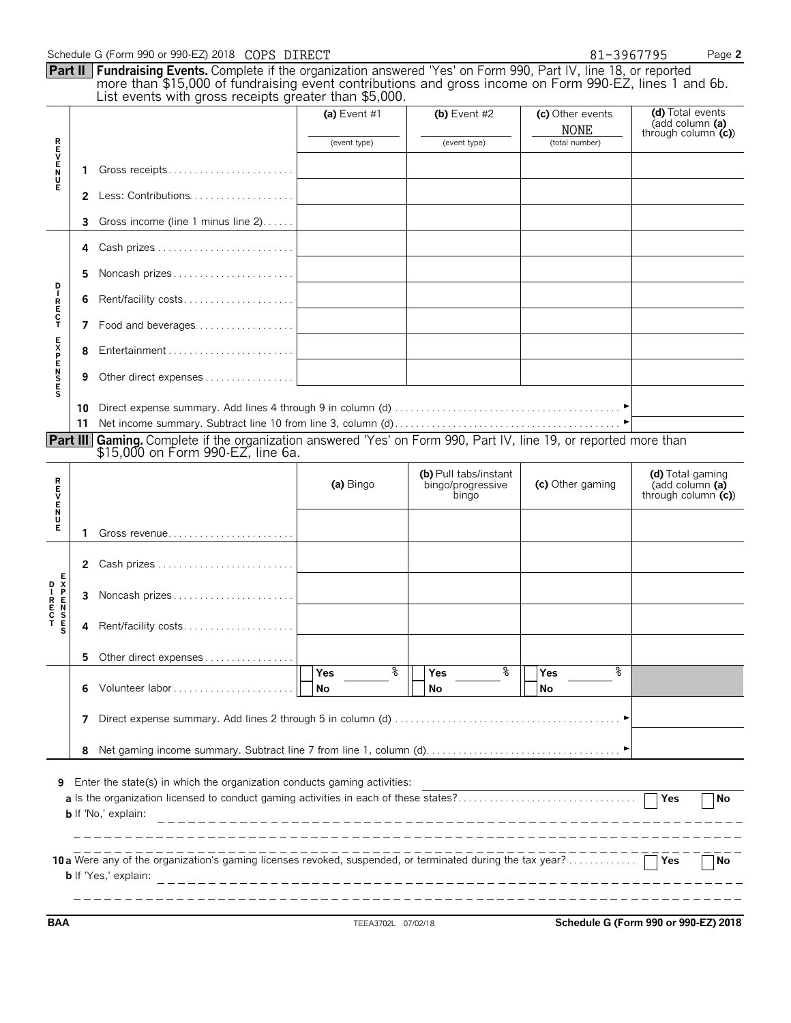|               |    | Schedule G (Form 990 or 990-EZ) 2018 COPS DIRECT                                                                                                                                                                                                                                             |                 |                                                     | 81-3967795                      | Page 2                                                      |
|---------------|----|----------------------------------------------------------------------------------------------------------------------------------------------------------------------------------------------------------------------------------------------------------------------------------------------|-----------------|-----------------------------------------------------|---------------------------------|-------------------------------------------------------------|
|               |    | <b>Part II</b> Fundraising Events. Complete if the organization answered 'Yes' on Form 990, Part IV, line 18, or reported<br>more than \$15,000 of fundraising event contributions and gross income on Form 990-EZ, lines 1 and 6b.<br>List events with gross receipts greater than \$5,000. |                 |                                                     |                                 |                                                             |
|               |    |                                                                                                                                                                                                                                                                                              | (a) Event $#1$  | (b) Event $#2$                                      | (c) Other events<br><b>NONE</b> | (d) Total events<br>(add column (a)<br>through column $(c)$ |
|               |    |                                                                                                                                                                                                                                                                                              | (event type)    | (event type)                                        | (total number)                  |                                                             |
| トロンドイド        | 1  |                                                                                                                                                                                                                                                                                              |                 |                                                     |                                 |                                                             |
|               | 2  |                                                                                                                                                                                                                                                                                              |                 |                                                     |                                 |                                                             |
|               | 3  | Gross income (line 1 minus line 2)                                                                                                                                                                                                                                                           |                 |                                                     |                                 |                                                             |
|               | 4  |                                                                                                                                                                                                                                                                                              |                 |                                                     |                                 |                                                             |
| D             | 5  |                                                                                                                                                                                                                                                                                              |                 |                                                     |                                 |                                                             |
| IRECT         | 6  | Rent/facility costs                                                                                                                                                                                                                                                                          |                 |                                                     |                                 |                                                             |
|               | 7  | Food and beverages                                                                                                                                                                                                                                                                           |                 |                                                     |                                 |                                                             |
| <b>SENSES</b> | 8  |                                                                                                                                                                                                                                                                                              |                 |                                                     |                                 |                                                             |
|               | 9  |                                                                                                                                                                                                                                                                                              |                 |                                                     |                                 |                                                             |
|               | 10 |                                                                                                                                                                                                                                                                                              |                 |                                                     |                                 |                                                             |
|               | 11 |                                                                                                                                                                                                                                                                                              |                 |                                                     |                                 |                                                             |
|               |    | <b>Part III</b> Gaming. Complete if the organization answered 'Yes' on Form 990, Part IV, line 19, or reported more than<br>\$15,000 on Form 990-EZ, line 6a.                                                                                                                                |                 |                                                     |                                 |                                                             |
| アロンドラス        |    |                                                                                                                                                                                                                                                                                              | (a) Bingo       | (b) Pull tabs/instant<br>bingo/progressive<br>bingo | (c) Other gaming                | (d) Total gaming<br>(add column (a)<br>through column $(c)$ |
|               | 1  |                                                                                                                                                                                                                                                                                              |                 |                                                     |                                 |                                                             |
|               |    |                                                                                                                                                                                                                                                                                              |                 |                                                     |                                 |                                                             |
|               | 2  |                                                                                                                                                                                                                                                                                              |                 |                                                     |                                 |                                                             |
|               | 3  |                                                                                                                                                                                                                                                                                              |                 |                                                     |                                 |                                                             |
| s             | 4  | Rent/facility costs                                                                                                                                                                                                                                                                          |                 |                                                     |                                 |                                                             |
|               | 5. | Other direct expenses                                                                                                                                                                                                                                                                        |                 |                                                     |                                 |                                                             |
|               | 6  |                                                                                                                                                                                                                                                                                              | နွ<br>Yes<br>No | ႜ<br><b>Yes</b><br>No                               | °<br>Yes<br>No                  |                                                             |
|               | 7  |                                                                                                                                                                                                                                                                                              |                 |                                                     |                                 |                                                             |
|               | 8  |                                                                                                                                                                                                                                                                                              |                 |                                                     |                                 |                                                             |
| 9             |    | Enter the state(s) in which the organization conducts gaming activities:<br>a Is the organization licensed to conduct gaming activities in each of these states?<br><b>b</b> If 'No,' explain:                                                                                               |                 |                                                     |                                 | Yes<br><b>No</b>                                            |
|               |    | <b>b</b> If 'Yes,' explain:                                                                                                                                                                                                                                                                  |                 |                                                     |                                 | Yes<br>No.                                                  |

**BAA** TEEA3702L 07/02/18 **Schedule G (Form 990 or 990-EZ) 2018**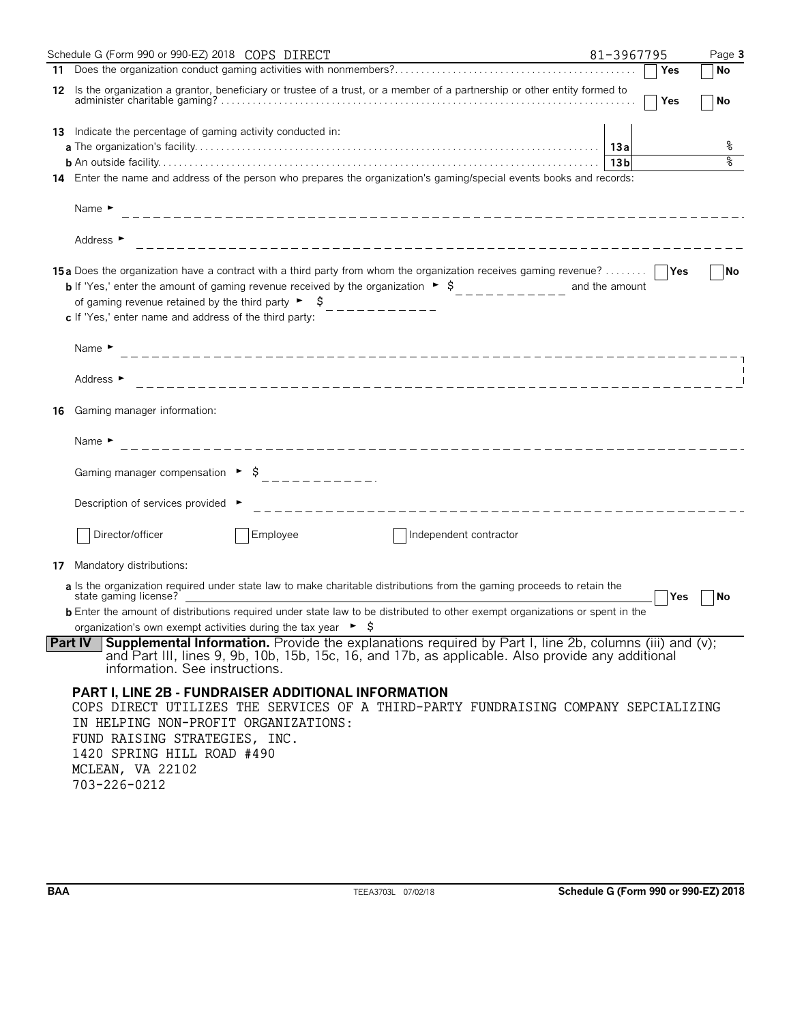| Schedule G (Form 990 or 990-EZ) 2018 COPS DIRECT                                                                                                                                                                                                                                                                                                                                                  | 81-3967795             | Page 3 |
|---------------------------------------------------------------------------------------------------------------------------------------------------------------------------------------------------------------------------------------------------------------------------------------------------------------------------------------------------------------------------------------------------|------------------------|--------|
|                                                                                                                                                                                                                                                                                                                                                                                                   | Yes                    | No     |
| Is the organization a grantor, beneficiary or trustee of a trust, or a member of a partnership or other entity formed to<br>12                                                                                                                                                                                                                                                                    | Yes                    | l No   |
| 13 Indicate the percentage of gaming activity conducted in:                                                                                                                                                                                                                                                                                                                                       |                        |        |
|                                                                                                                                                                                                                                                                                                                                                                                                   |                        | နွ     |
|                                                                                                                                                                                                                                                                                                                                                                                                   | 13 <sub>b</sub>        | ०१०    |
| 14 Enter the name and address of the person who prepares the organization's gaming/special events books and records:                                                                                                                                                                                                                                                                              |                        |        |
| Name $\blacktriangleright$                                                                                                                                                                                                                                                                                                                                                                        |                        |        |
| Address ►                                                                                                                                                                                                                                                                                                                                                                                         |                        |        |
| 15a Does the organization have a contract with a third party from whom the organization receives gaming revenue?      Yes<br><b>b</b> If 'Yes,' enter the amount of gaming revenue received by the organization $\rightarrow$ \$__________ and the amount<br>of gaming revenue retained by the third party $\rightarrow$ \$____________<br>c If 'Yes,' enter name and address of the third party: |                        | No     |
|                                                                                                                                                                                                                                                                                                                                                                                                   |                        |        |
| Name $\blacktriangleright$                                                                                                                                                                                                                                                                                                                                                                        |                        |        |
| Address ►                                                                                                                                                                                                                                                                                                                                                                                         |                        |        |
| Gaming manager information:<br>16                                                                                                                                                                                                                                                                                                                                                                 |                        |        |
| Name $\blacktriangleright$                                                                                                                                                                                                                                                                                                                                                                        |                        |        |
| Gaming manager compensation $\rightarrow$ \$<br>-----------                                                                                                                                                                                                                                                                                                                                       |                        |        |
| Description of services provided ▶                                                                                                                                                                                                                                                                                                                                                                |                        |        |
| Director/officer<br>Employee                                                                                                                                                                                                                                                                                                                                                                      | Independent contractor |        |
| Mandatory distributions:<br>17                                                                                                                                                                                                                                                                                                                                                                    |                        |        |
| a Is the organization required under state law to make charitable distributions from the gaming proceeds to retain the<br>state gaming license?<br><b>b</b> Enter the amount of distributions required under state law to be distributed to other exempt organizations or spent in the                                                                                                            | Yes                    | No     |
| organization's own exempt activities during the tax year $\triangleright$ $\sharp$                                                                                                                                                                                                                                                                                                                |                        |        |
| <b>Part IV</b> Supplemental Information. Provide the explanations required by Part I, line 2b, columns (iii) and (v);<br>and Part III, lines 9, 9b, 10b, 15b, 15c, 16, and 17b, as applicable. Also provide any additional<br>information. See instructions.                                                                                                                                      |                        |        |
| <b>PART I, LINE 2B - FUNDRAISER ADDITIONAL INFORMATION</b><br>COPS DIRECT UTILIZES THE SERVICES OF A THIRD-PARTY FUNDRAISING COMPANY SEPCIALIZING<br>IN HELPING NON-PROFIT ORGANIZATIONS:<br>FUND RAISING STRATEGIES, INC.<br>1420 SPRING HILL ROAD #490<br>MCLEAN, VA 22102                                                                                                                      |                        |        |

703-226-0212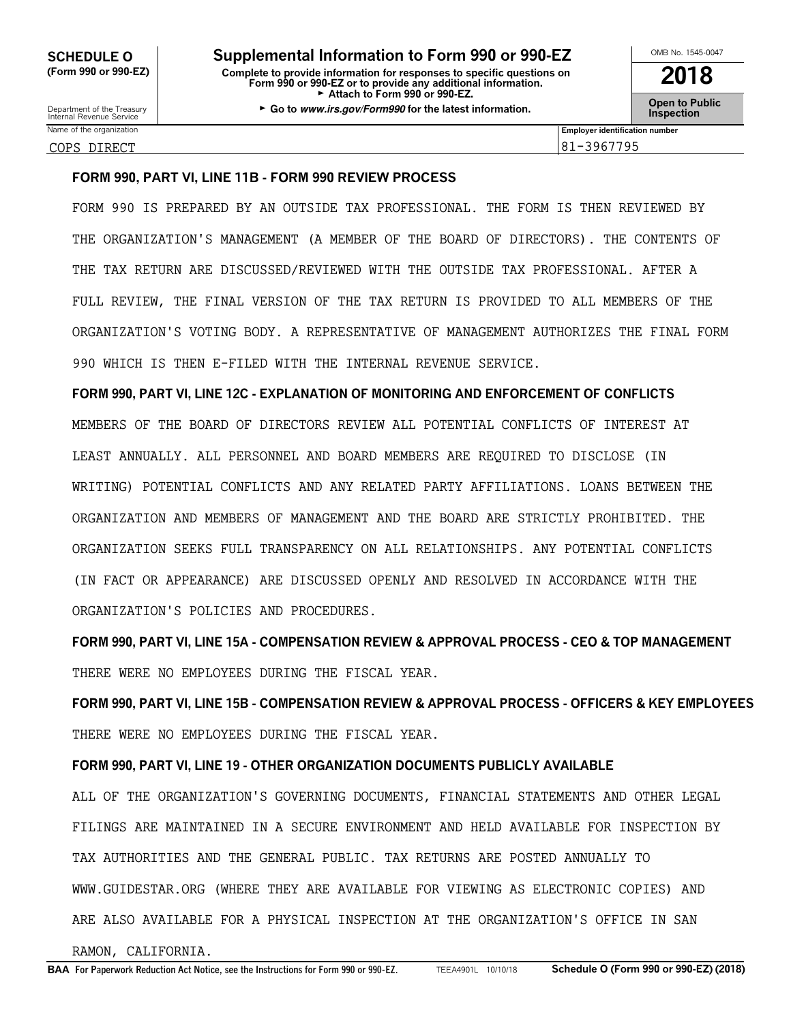Name of the organization **Employer identification number Employer identification number** 

COPS DIRECT 81-3967795

# **FORM 990, PART VI, LINE 11B - FORM 990 REVIEW PROCESS**

FORM 990 IS PREPARED BY AN OUTSIDE TAX PROFESSIONAL. THE FORM IS THEN REVIEWED BY THE ORGANIZATION'S MANAGEMENT (A MEMBER OF THE BOARD OF DIRECTORS). THE CONTENTS OF THE TAX RETURN ARE DISCUSSED/REVIEWED WITH THE OUTSIDE TAX PROFESSIONAL. AFTER A FULL REVIEW, THE FINAL VERSION OF THE TAX RETURN IS PROVIDED TO ALL MEMBERS OF THE ORGANIZATION'S VOTING BODY. A REPRESENTATIVE OF MANAGEMENT AUTHORIZES THE FINAL FORM 990 WHICH IS THEN E-FILED WITH THE INTERNAL REVENUE SERVICE.

**FORM 990, PART VI, LINE 12C - EXPLANATION OF MONITORING AND ENFORCEMENT OF CONFLICTS** MEMBERS OF THE BOARD OF DIRECTORS REVIEW ALL POTENTIAL CONFLICTS OF INTEREST AT LEAST ANNUALLY. ALL PERSONNEL AND BOARD MEMBERS ARE REQUIRED TO DISCLOSE (IN WRITING) POTENTIAL CONFLICTS AND ANY RELATED PARTY AFFILIATIONS. LOANS BETWEEN THE ORGANIZATION AND MEMBERS OF MANAGEMENT AND THE BOARD ARE STRICTLY PROHIBITED. THE ORGANIZATION SEEKS FULL TRANSPARENCY ON ALL RELATIONSHIPS. ANY POTENTIAL CONFLICTS (IN FACT OR APPEARANCE) ARE DISCUSSED OPENLY AND RESOLVED IN ACCORDANCE WITH THE ORGANIZATION'S POLICIES AND PROCEDURES.

**FORM 990, PART VI, LINE 15A - COMPENSATION REVIEW & APPROVAL PROCESS - CEO & TOP MANAGEMENT** THERE WERE NO EMPLOYEES DURING THE FISCAL YEAR.

**FORM 990, PART VI, LINE 15B - COMPENSATION REVIEW & APPROVAL PROCESS - OFFICERS & KEY EMPLOYEES** THERE WERE NO EMPLOYEES DURING THE FISCAL YEAR.

# **FORM 990, PART VI, LINE 19 - OTHER ORGANIZATION DOCUMENTS PUBLICLY AVAILABLE**

ALL OF THE ORGANIZATION'S GOVERNING DOCUMENTS, FINANCIAL STATEMENTS AND OTHER LEGAL FILINGS ARE MAINTAINED IN A SECURE ENVIRONMENT AND HELD AVAILABLE FOR INSPECTION BY TAX AUTHORITIES AND THE GENERAL PUBLIC. TAX RETURNS ARE POSTED ANNUALLY TO WWW.GUIDESTAR.ORG (WHERE THEY ARE AVAILABLE FOR VIEWING AS ELECTRONIC COPIES) AND ARE ALSO AVAILABLE FOR A PHYSICAL INSPECTION AT THE ORGANIZATION'S OFFICE IN SAN

RAMON, CALIFORNIA.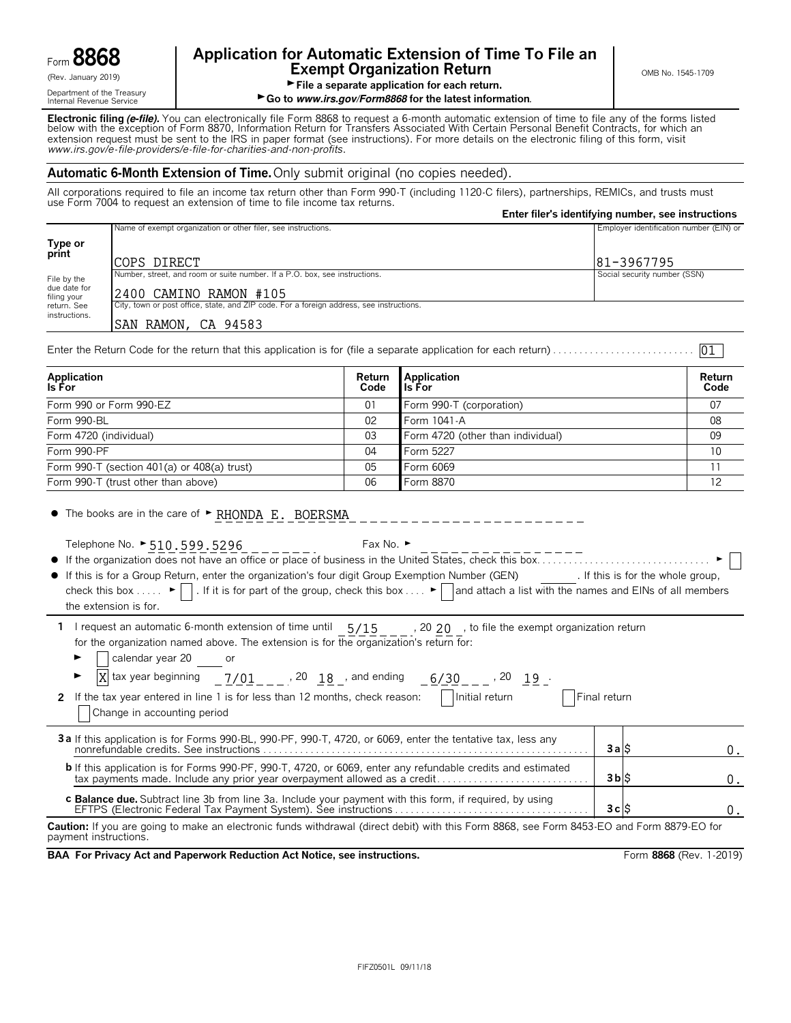Department of the Treasury<br>Internal Revenue Service

# Form **8868 Application for Automatic Extension of Time To File an Exempt Organization Return Exempt Organization Return**

# File a separate application for each return.

► Go to *www.irs.gov/Form8868* for the latest information.

**Electronic filing** *(e-file).* You can electronically file Form 8868 to request a 6-month automatic extension of time to file any of the forms listed<br>below with the exception of Form 8870, Information Return for Transfers extension request must be sent to the IRS in paper format (see instructions). For more details on the electronic filing of this form, visit *www.irs.gov/e*-*file*-*providers/e-file-for-charities-and-non-profits*.

# **Automatic 6-Month Extension of Time.** Only submit original (no copies needed).

All corporations required to file an income tax return other than Form 990-T (including 1120-C filers), partnerships, REMICs, and trusts must use Form 7004 to request an extension of time to file income tax returns. **Enter filer's identifying number, see instructions**

|                                            |                                                                                                                                                                                                                                                                                                                                                                                                                                                                            |                |                                   | Enter lifer's identifying number, see instructions |                |
|--------------------------------------------|----------------------------------------------------------------------------------------------------------------------------------------------------------------------------------------------------------------------------------------------------------------------------------------------------------------------------------------------------------------------------------------------------------------------------------------------------------------------------|----------------|-----------------------------------|----------------------------------------------------|----------------|
|                                            | Name of exempt organization or other filer, see instructions.                                                                                                                                                                                                                                                                                                                                                                                                              |                |                                   | Employer identification number (EIN) or            |                |
| Type or<br>print                           | COPS DIRECT                                                                                                                                                                                                                                                                                                                                                                                                                                                                |                |                                   | 81-3967795                                         |                |
| File by the<br>due date for<br>filing your | Number, street, and room or suite number. If a P.O. box, see instructions.<br>2400 CAMINO RAMON #105                                                                                                                                                                                                                                                                                                                                                                       |                |                                   | Social security number (SSN)                       |                |
| return. See<br>instructions.               | City, town or post office, state, and ZIP code. For a foreign address, see instructions.<br>SAN RAMON, CA 94583                                                                                                                                                                                                                                                                                                                                                            |                |                                   |                                                    |                |
|                                            |                                                                                                                                                                                                                                                                                                                                                                                                                                                                            |                |                                   |                                                    | 01             |
| <b>Application</b><br>Is For               |                                                                                                                                                                                                                                                                                                                                                                                                                                                                            | Return<br>Code | <b>Application</b><br>Is For      |                                                    | Return<br>Code |
|                                            | Form 990 or Form 990-EZ                                                                                                                                                                                                                                                                                                                                                                                                                                                    | 01             | Form 990-T (corporation)          |                                                    | 07             |
| Form 990-BL                                |                                                                                                                                                                                                                                                                                                                                                                                                                                                                            | 02             | Form 1041-A                       |                                                    | 08             |
|                                            | Form 4720 (individual)                                                                                                                                                                                                                                                                                                                                                                                                                                                     | 03             | Form 4720 (other than individual) |                                                    | 09             |
| Form 990-PF                                |                                                                                                                                                                                                                                                                                                                                                                                                                                                                            | 04             | Form 5227                         |                                                    | 10             |
|                                            | Form 990-T (section 401(a) or 408(a) trust)                                                                                                                                                                                                                                                                                                                                                                                                                                | 05             | Form 6069                         |                                                    | 11             |
|                                            | Form 990-T (trust other than above)                                                                                                                                                                                                                                                                                                                                                                                                                                        | 06             | Form 8870                         |                                                    | 12             |
|                                            | • The books are in the care of FRHONDA E. BOERSMA<br>Telephone No. $\triangleright$ 510.599.5296 Fax No. $\triangleright$<br>• If this is for a Group Return, enter the organization's four digit Group Exemption Number (GEN) [If this is for the whole group,<br>check this box $\blacktriangleright \Box$ . If it is for part of the group, check this box $\blacktriangleright \Box$ and attach a list with the names and EINs of all members<br>the extension is for. |                |                                   |                                                    |                |
|                                            | 1 I request an automatic 6-month extension of time until 5/15 , 20 20, to file the exempt organization return<br>for the organization named above. The extension is for the organization's return for:                                                                                                                                                                                                                                                                     |                |                                   |                                                    |                |

|  | calendar year 20 |  |  |
|--|------------------|--|--|
|  |                  |  |  |

| $\overline{X}$ tax year beginning $\overline{Y/01}$ $\overline{Y}$ , 20 $\overline{18}$ and ending<br>►<br>$6/30$ , 20 19 .<br>Initial return<br>2 If the tax year entered in line 1 is for less than 12 months, check reason:<br>Change in accounting period | Final return |    |
|---------------------------------------------------------------------------------------------------------------------------------------------------------------------------------------------------------------------------------------------------------------|--------------|----|
| 3a If this application is for Forms 990-BL, 990-PF, 990-T, 4720, or 6069, enter the tentative tax, less any                                                                                                                                                   | 3a S         | n. |
| <b>b</b> If this application is for Forms 990-PF, 990-T, 4720, or 6069, enter any refundable credits and estimated<br>tax payments made. Include any prior year overpayment allowed as a credit                                                               | 3 b S        |    |
| <b>c Balance due.</b> Subtract line 3b from line 3a. Include your payment with this form, if required, by using                                                                                                                                               | 3cS          |    |

**Caution:** If you are going to make an electronic funds withdrawal (direct debit) with this Form 8868, see Form 8453-EO and Form 8879-EO for payment instructions.

**BAA For Privacy Act and Paperwork Reduction Act Notice, see instructions. Form 8868 (Rev. 1-2019)** Form 8868 (Rev. 1-2019)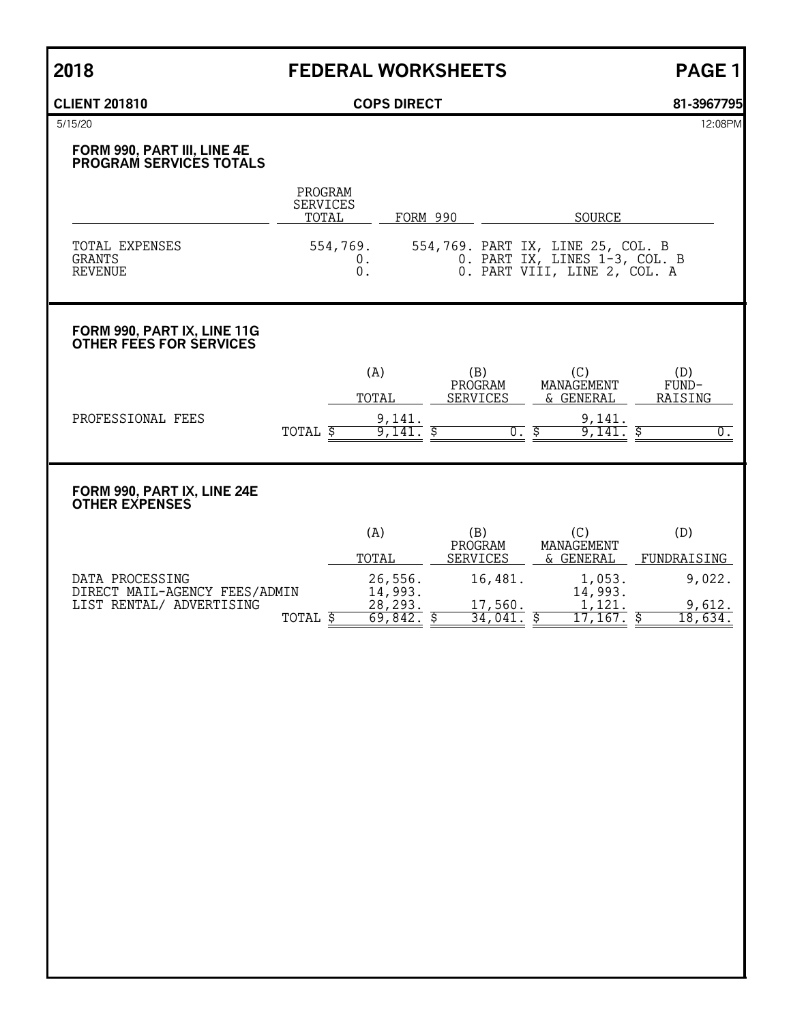# **2018 FEDERAL WORKSHEETS PAGE 1**

# **CLIENT 201810 COPS DIRECT 81-3967795**

5/15/20 12:08PM

# **FORM 990, PART III, LINE 4E PROGRAM SERVICES TOTALS**

|                                     | PROGRAM<br><b>SERVICES</b><br>TOTAL | FORM 990 | SOURCE                                                                                             |
|-------------------------------------|-------------------------------------|----------|----------------------------------------------------------------------------------------------------|
| TOTAL EXPENSES<br>GRANTS<br>REVENUE | 554,769.                            |          | 554,769. PART IX, LINE 25, COL. B<br>0. PART IX, LINES 1-3, COL. B<br>0. PART VIII, LINE 2, COL. A |

# **FORM 990, PART IX, LINE 11G OTHER FEES FOR SERVICES**

|                      |       | (A,      | B<br>PROGRAM | ◡<br>MANAGEMENT   | D)<br>FUND- |
|----------------------|-------|----------|--------------|-------------------|-------------|
|                      |       | TOTAL    | SERVICES     | GENERAL<br>$\sim$ | RAISING     |
| PROFESSIONAL<br>FEES |       | a<br>141 |              | 141<br>u          |             |
|                      | TOTAL | 141      | ν.           | ᆠᆇᆂ               |             |

# **FORM 990, PART IX, LINE 24E OTHER EXPENSES**

|                                                  | (A)                | (B)<br>PROGRAM  | MANAGEMENT        |             |
|--------------------------------------------------|--------------------|-----------------|-------------------|-------------|
|                                                  | TOTAL              | <b>SERVICES</b> | & GENERAL         | FUNDRAISING |
| DATA PROCESSING<br>DIRECT MAIL-AGENCY FEES/ADMIN | 26,556.<br>14,993. | 16,481.         | 1,053.<br>14,993. | 9,022.      |
| LIST RENTAL/ ADVERTISING                         | 28,293.            | 17,560.         | 1,121             | 9,612.      |
| TOTAL                                            | 69,842             | 34,041          | 167               | .634.       |